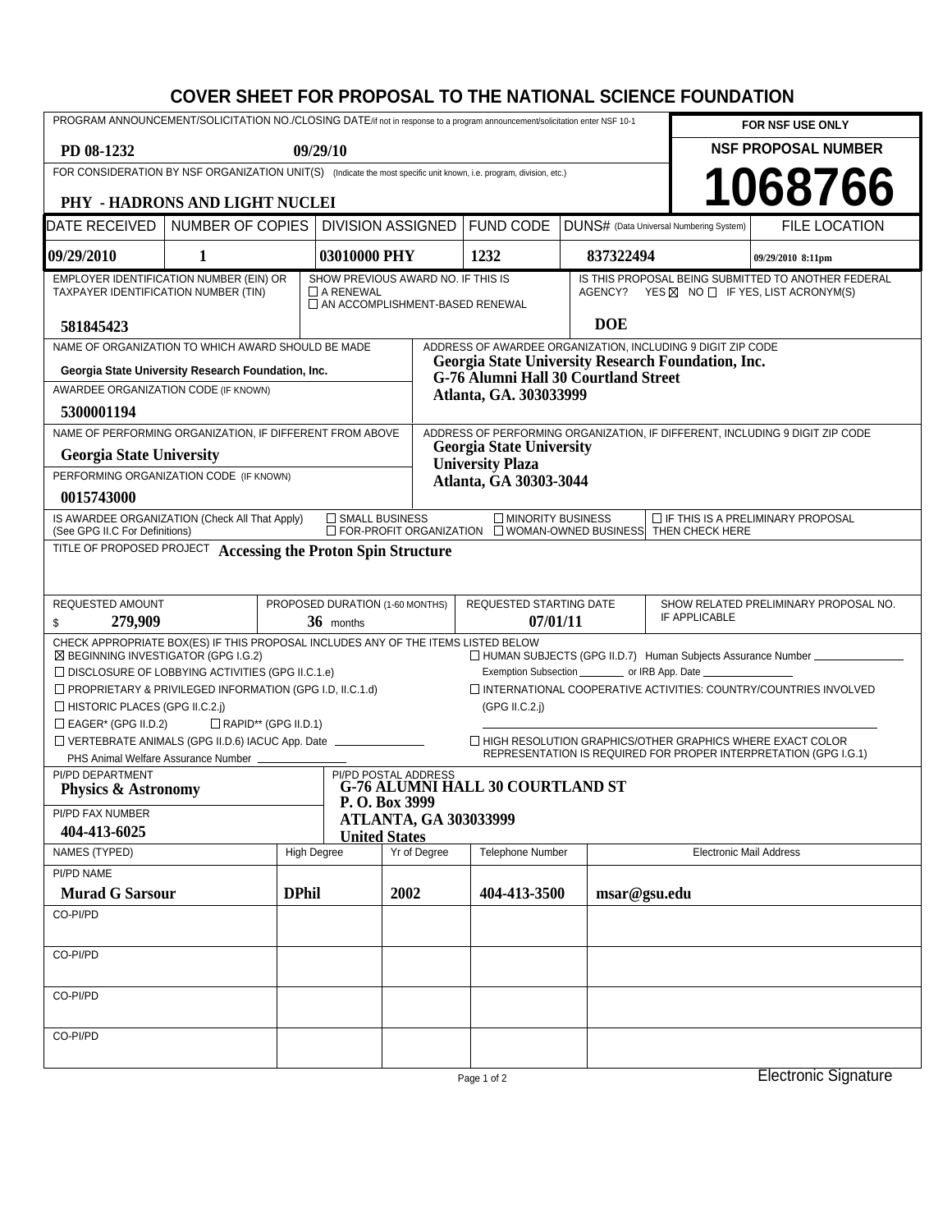# **COVER SHEET FOR PROPOSAL TO THE NATIONAL SCIENCE FOUNDATION**

| PROGRAM ANNOUNCEMENT/SOLICITATION NO./CLOSING DATE/if not in response to a program announcement/solicitation enter NSF 10-1 |                                           |                    |                                                        |                              |                                                            |              |                                                                                                                   | FOR NSF USE ONLY                                                                                                 |
|-----------------------------------------------------------------------------------------------------------------------------|-------------------------------------------|--------------------|--------------------------------------------------------|------------------------------|------------------------------------------------------------|--------------|-------------------------------------------------------------------------------------------------------------------|------------------------------------------------------------------------------------------------------------------|
| PD 08-1232                                                                                                                  |                                           |                    | 09/29/10                                               |                              |                                                            |              |                                                                                                                   | <b>NSF PROPOSAL NUMBER</b>                                                                                       |
| FOR CONSIDERATION BY NSF ORGANIZATION UNIT(S) (Indicate the most specific unit known, i.e. program, division, etc.)         |                                           |                    |                                                        |                              |                                                            |              |                                                                                                                   |                                                                                                                  |
| PHY - HADRONS AND LIGHT NUCLEI                                                                                              |                                           |                    |                                                        |                              |                                                            |              |                                                                                                                   | 1068766                                                                                                          |
| DATE RECEIVED                                                                                                               | NUMBER OF COPIES                          |                    | <b>DIVISION ASSIGNED</b>                               |                              | <b>FUND CODE</b>                                           |              | DUNS# (Data Universal Numbering System)                                                                           | <b>FILE LOCATION</b>                                                                                             |
| 09/29/2010                                                                                                                  | 1                                         |                    | 03010000 PHY                                           |                              | 1232                                                       | 837322494    |                                                                                                                   | 09/29/2010 8:11pm                                                                                                |
| EMPLOYER IDENTIFICATION NUMBER (EIN) OR<br>TAXPAYER IDENTIFICATION NUMBER (TIN)                                             |                                           |                    | SHOW PREVIOUS AWARD NO. IF THIS IS<br>$\Box$ A RENEWAL |                              |                                                            |              |                                                                                                                   | IS THIS PROPOSAL BEING SUBMITTED TO ANOTHER FEDERAL<br>AGENCY? YES $\boxtimes$ NO $\Box$ IF YES, LIST ACRONYM(S) |
|                                                                                                                             |                                           |                    | AN ACCOMPLISHMENT-BASED RENEWAL                        |                              |                                                            |              |                                                                                                                   |                                                                                                                  |
| 581845423                                                                                                                   |                                           |                    |                                                        |                              |                                                            | <b>DOE</b>   |                                                                                                                   |                                                                                                                  |
| NAME OF ORGANIZATION TO WHICH AWARD SHOULD BE MADE                                                                          |                                           |                    |                                                        |                              |                                                            |              | ADDRESS OF AWARDEE ORGANIZATION, INCLUDING 9 DIGIT ZIP CODE<br>Georgia State University Research Foundation, Inc. |                                                                                                                  |
| Georgia State University Research Foundation, Inc.<br>AWARDEE ORGANIZATION CODE (IF KNOWN)                                  |                                           |                    |                                                        |                              | G-76 Alumni Hall 30 Courtland Street                       |              |                                                                                                                   |                                                                                                                  |
| 5300001194                                                                                                                  |                                           |                    |                                                        |                              | Atlanta, GA. 303033999                                     |              |                                                                                                                   |                                                                                                                  |
| NAME OF PERFORMING ORGANIZATION, IF DIFFERENT FROM ABOVE                                                                    |                                           |                    |                                                        |                              |                                                            |              |                                                                                                                   | ADDRESS OF PERFORMING ORGANIZATION, IF DIFFERENT, INCLUDING 9 DIGIT ZIP CODE                                     |
| <b>Georgia State University</b>                                                                                             |                                           |                    |                                                        |                              | <b>Georgia State University</b><br><b>University Plaza</b> |              |                                                                                                                   |                                                                                                                  |
| PERFORMING ORGANIZATION CODE (IF KNOWN)                                                                                     |                                           |                    |                                                        |                              | Atlanta, GA 30303-3044                                     |              |                                                                                                                   |                                                                                                                  |
| 0015743000                                                                                                                  |                                           |                    |                                                        |                              |                                                            |              |                                                                                                                   |                                                                                                                  |
| IS AWARDEE ORGANIZATION (Check All That Apply)<br>(See GPG II.C For Definitions)                                            |                                           |                    | □ SMALL BUSINESS                                       |                              | MINORITY BUSINESS                                          |              | □ FOR-PROFIT ORGANIZATION □ WOMAN-OWNED BUSINESS THEN CHECK HERE                                                  | $\Box$ IF THIS IS A PRELIMINARY PROPOSAL                                                                         |
| TITLE OF PROPOSED PROJECT Accessing the Proton Spin Structure                                                               |                                           |                    |                                                        |                              |                                                            |              |                                                                                                                   |                                                                                                                  |
|                                                                                                                             |                                           |                    |                                                        |                              |                                                            |              |                                                                                                                   |                                                                                                                  |
| REQUESTED AMOUNT                                                                                                            |                                           |                    | PROPOSED DURATION (1-60 MONTHS)                        |                              | REQUESTED STARTING DATE                                    |              |                                                                                                                   | SHOW RELATED PRELIMINARY PROPOSAL NO.                                                                            |
| 279,909<br>\$                                                                                                               |                                           |                    | 36 months                                              |                              | 07/01/11                                                   |              | IF APPLICABLE                                                                                                     |                                                                                                                  |
| CHECK APPROPRIATE BOX(ES) IF THIS PROPOSAL INCLUDES ANY OF THE ITEMS LISTED BELOW<br>⊠ BEGINNING INVESTIGATOR (GPG I.G.2)   |                                           |                    |                                                        |                              |                                                            |              |                                                                                                                   | □ HUMAN SUBJECTS (GPG II.D.7) Human Subjects Assurance Number __________                                         |
| $\Box$ DISCLOSURE OF LOBBYING ACTIVITIES (GPG II.C.1.e)                                                                     |                                           |                    |                                                        |                              |                                                            |              | Exemption Subsection ____________ or IRB App. Date ____________________                                           |                                                                                                                  |
| PROPRIETARY & PRIVILEGED INFORMATION (GPG I.D, II.C.1.d)<br>$\Box$ HISTORIC PLACES (GPG II.C.2.j)                           |                                           |                    |                                                        |                              | (GPG II.C.2.)                                              |              |                                                                                                                   | □ INTERNATIONAL COOPERATIVE ACTIVITIES: COUNTRY/COUNTRIES INVOLVED                                               |
| $\Box$ EAGER* (GPG II.D.2)                                                                                                  | $\Box$ RAPID** (GPG II.D.1)               |                    |                                                        |                              |                                                            |              |                                                                                                                   |                                                                                                                  |
| VERTEBRATE ANIMALS (GPG II.D.6) IACUC App. Date ___________                                                                 |                                           |                    |                                                        |                              |                                                            |              | $\Box$ HIGH RESOLUTION GRAPHICS/OTHER GRAPHICS WHERE EXACT COLOR                                                  | REPRESENTATION IS REQUIRED FOR PROPER INTERPRETATION (GPG I.G.1)                                                 |
| PI/PD DEPARTMENT                                                                                                            | PHS Animal Welfare Assurance Number _____ |                    |                                                        |                              |                                                            |              |                                                                                                                   |                                                                                                                  |
| <b>Physics &amp; Astronomy</b>                                                                                              |                                           |                    |                                                        |                              | PI/PD POSTAL ADDRESS<br>G-76 ALUMNI HALL 30 COURTLAND ST   |              |                                                                                                                   |                                                                                                                  |
| PI/PD FAX NUMBER                                                                                                            |                                           |                    | P.O. Box 3999                                          | <b>ATLANTA, GA 303033999</b> |                                                            |              |                                                                                                                   |                                                                                                                  |
| 404-413-6025                                                                                                                |                                           |                    | <b>United States</b>                                   |                              |                                                            |              |                                                                                                                   |                                                                                                                  |
| NAMES (TYPED)                                                                                                               |                                           | <b>High Degree</b> |                                                        | Yr of Degree                 | Telephone Number                                           |              | <b>Electronic Mail Address</b>                                                                                    |                                                                                                                  |
| PI/PD NAME<br><b>Murad G Sarsour</b>                                                                                        |                                           | <b>DPhil</b>       |                                                        | 2002                         | 404-413-3500                                               | msar@gsu.edu |                                                                                                                   |                                                                                                                  |
| CO-PI/PD                                                                                                                    |                                           |                    |                                                        |                              |                                                            |              |                                                                                                                   |                                                                                                                  |
|                                                                                                                             |                                           |                    |                                                        |                              |                                                            |              |                                                                                                                   |                                                                                                                  |
| CO-PI/PD                                                                                                                    |                                           |                    |                                                        |                              |                                                            |              |                                                                                                                   |                                                                                                                  |
|                                                                                                                             |                                           |                    |                                                        |                              |                                                            |              |                                                                                                                   |                                                                                                                  |
| CO-PI/PD                                                                                                                    |                                           |                    |                                                        |                              |                                                            |              |                                                                                                                   |                                                                                                                  |
| CO-PI/PD                                                                                                                    |                                           |                    |                                                        |                              |                                                            |              |                                                                                                                   |                                                                                                                  |
|                                                                                                                             |                                           |                    |                                                        |                              |                                                            |              |                                                                                                                   |                                                                                                                  |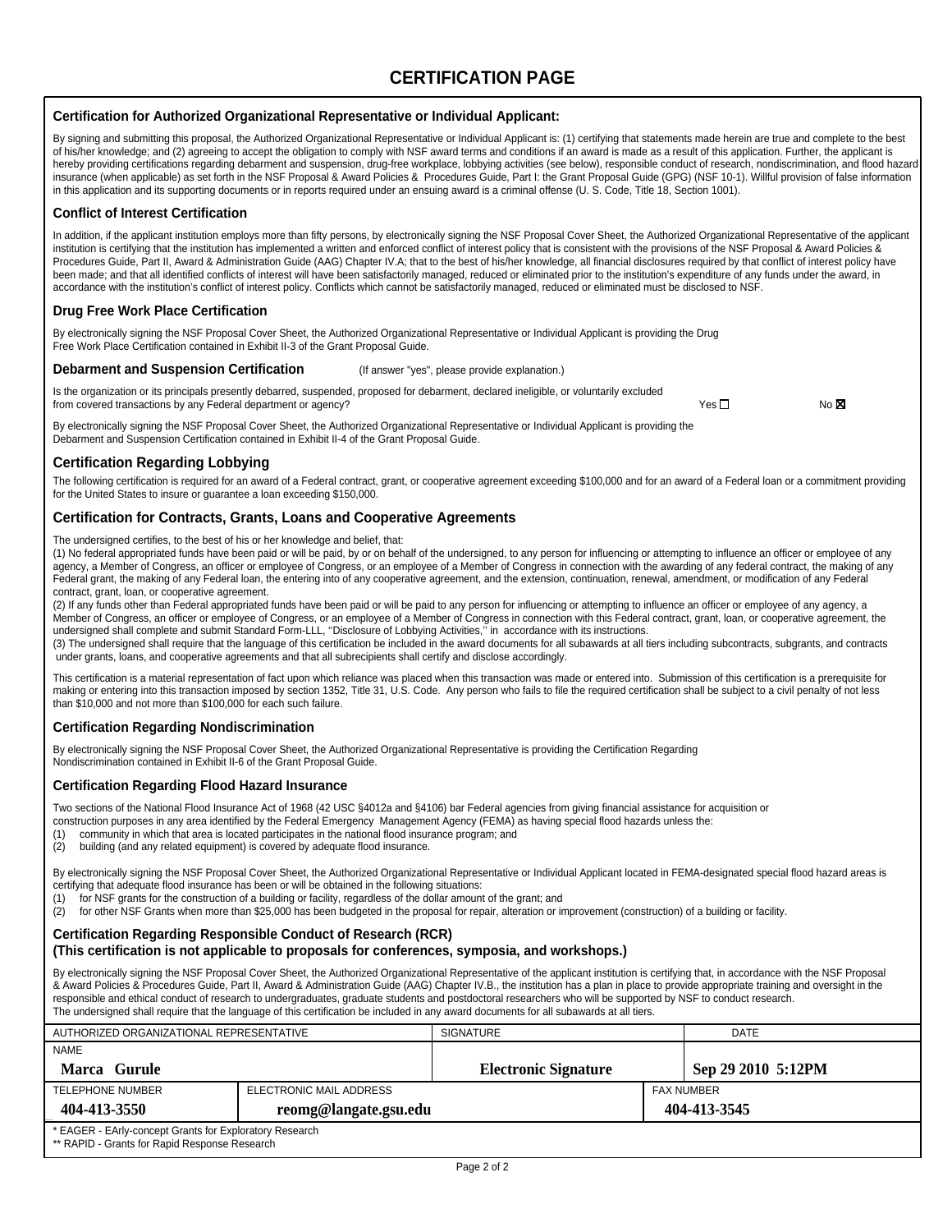# **CERTIFICATION PAGE**

#### **Certification for Authorized Organizational Representative or Individual Applicant:**

By signing and submitting this proposal, the Authorized Organizational Representative or Individual Applicant is: (1) certifying that statements made herein are true and complete to the best of his/her knowledge; and (2) agreeing to accept the obligation to comply with NSF award terms and conditions if an award is made as a result of this application. Further, the applicant is hereby providing certifications regarding debarment and suspension, drug-free workplace, lobbying activities (see below), responsible conduct of research, nondiscrimination, and flood hazard insurance (when applicable) as set forth in the NSF Proposal & Award Policies & Procedures Guide, Part I: the Grant Proposal Guide (GPG) (NSF 10-1). Willful provision of false information in this application and its supporting documents or in reports required under an ensuing award is a criminal offense (U. S. Code, Title 18, Section 1001).

#### **Conflict of Interest Certification**

In addition, if the applicant institution employs more than fifty persons, by electronically signing the NSF Proposal Cover Sheet, the Authorized Organizational Representative of the applicant institution is certifying that the institution has implemented a written and enforced conflict of interest policy that is consistent with the provisions of the NSF Proposal & Award Policies & Procedures Guide, Part II, Award & Administration Guide (AAG) Chapter IV.A; that to the best of his/her knowledge, all financial disclosures required by that conflict of interest policy have been made; and that all identified conflicts of interest will have been satisfactorily managed, reduced or eliminated prior to the institution's expenditure of any funds under the award, in accordance with the institution's conflict of interest policy. Conflicts which cannot be satisfactorily managed, reduced or eliminated must be disclosed to NSF.

#### **Drug Free Work Place Certification**

By electronically signing the NSF Proposal Cover Sheet, the Authorized Organizational Representative or Individual Applicant is providing the Drug Free Work Place Certification contained in Exhibit II-3 of the Grant Proposal Guide.

#### **Debarment and Suspension Certification** (If answer "yes", please provide explanation.)

| Is the organization or its principals presently debarred, suspended, proposed for debarment, declared ineligible, or voluntarily excluded |              |             |
|-------------------------------------------------------------------------------------------------------------------------------------------|--------------|-------------|
| from covered transactions by any Federal department or agency?                                                                            | Yes $\Gamma$ | No <b>X</b> |
|                                                                                                                                           |              |             |

By electronically signing the NSF Proposal Cover Sheet, the Authorized Organizational Representative or Individual Applicant is providing the Debarment and Suspension Certification contained in Exhibit II-4 of the Grant Proposal Guide.

#### **Certification Regarding Lobbying**

The following certification is required for an award of a Federal contract, grant, or cooperative agreement exceeding \$100,000 and for an award of a Federal loan or a commitment providing for the United States to insure or guarantee a loan exceeding \$150,000.

#### **Certification for Contracts, Grants, Loans and Cooperative Agreements**

The undersigned certifies, to the best of his or her knowledge and belief, that:

(1) No federal appropriated funds have been paid or will be paid, by or on behalf of the undersigned, to any person for influencing or attempting to influence an officer or employee of any agency, a Member of Congress, an officer or employee of Congress, or an employee of a Member of Congress in connection with the awarding of any federal contract, the making of any Federal grant, the making of any Federal loan, the entering into of any cooperative agreement, and the extension, continuation, renewal, amendment, or modification of any Federal contract, grant, loan, or cooperative agreement.

(2) If any funds other than Federal appropriated funds have been paid or will be paid to any person for influencing or attempting to influence an officer or employee of any agency, a Member of Congress, an officer or employee of Congress, or an employee of a Member of Congress in connection with this Federal contract, grant, loan, or cooperative agreement, the undersigned shall complete and submit Standard Form-LLL, ''Disclosure of Lobbying Activities,'' in accordance with its instructions.

(3) The undersigned shall require that the language of this certification be included in the award documents for all subawards at all tiers including subcontracts, subgrants, and contracts under grants, loans, and cooperative agreements and that all subrecipients shall certify and disclose accordingly.

This certification is a material representation of fact upon which reliance was placed when this transaction was made or entered into. Submission of this certification is a prerequisite for making or entering into this transaction imposed by section 1352, Title 31, U.S. Code. Any person who fails to file the required certification shall be subject to a civil penalty of not less than \$10,000 and not more than \$100,000 for each such failure.

#### **Certification Regarding Nondiscrimination**

By electronically signing the NSF Proposal Cover Sheet, the Authorized Organizational Representative is providing the Certification Regarding Nondiscrimination contained in Exhibit II-6 of the Grant Proposal Guide.

#### **Certification Regarding Flood Hazard Insurance**

Two sections of the National Flood Insurance Act of 1968 (42 USC §4012a and §4106) bar Federal agencies from giving financial assistance for acquisition or

- construction purposes in any area identified by the Federal Emergency Management Agency (FEMA) as having special flood hazards unless the:
- (1) community in which that area is located participates in the national flood insurance program; and

(2) building (and any related equipment) is covered by adequate flood insurance.

| By electronically signing the NSF Proposal Cover Sheet, the Authorized Organizational Representative or Individual Applicant located in FEMA-designated special flood hazard areas is |
|---------------------------------------------------------------------------------------------------------------------------------------------------------------------------------------|
| certifying that adequate flood insurance has been or will be obtained in the following situations:                                                                                    |

- (1) for NSF grants for the construction of a building or facility, regardless of the dollar amount of the grant; and
- (2) for other NSF Grants when more than \$25,000 has been budgeted in the proposal for repair, alteration or improvement (construction) of a building or facility.

### **Certification Regarding Responsible Conduct of Research (RCR)**

**(This certification is not applicable to proposals for conferences, symposia, and workshops.)** 

By electronically signing the NSF Proposal Cover Sheet, the Authorized Organizational Representative of the applicant institution is certifying that, in accordance with the NSF Proposal & Award Policies & Procedures Guide, Part II, Award & Administration Guide (AAG) Chapter IV.B., the institution has a plan in place to provide appropriate training and oversight in the responsible and ethical conduct of research to undergraduates, graduate students and postdoctoral researchers who will be supported by NSF to conduct research. The undersigned shall require that the language of this certification be included in any award documents for all subawards at all tiers.

| AUTHORIZED ORGANIZATIONAL REPRESENTATIVE                                                                 |                         | SIGNATURE                   | <b>DATE</b>        |
|----------------------------------------------------------------------------------------------------------|-------------------------|-----------------------------|--------------------|
| <b>NAME</b>                                                                                              |                         |                             |                    |
| Marca Gurule                                                                                             |                         | <b>Electronic Signature</b> | Sep 29 2010 5:12PM |
| <b>TELEPHONE NUMBER</b>                                                                                  | ELECTRONIC MAIL ADDRESS |                             | <b>FAX NUMBER</b>  |
| 404-413-3550                                                                                             | reomg@langate.gsu.edu   |                             | 404-413-3545       |
| * EAGER - EArly-concept Grants for Exploratory Research<br>** RAPID - Grants for Rapid Response Research |                         |                             |                    |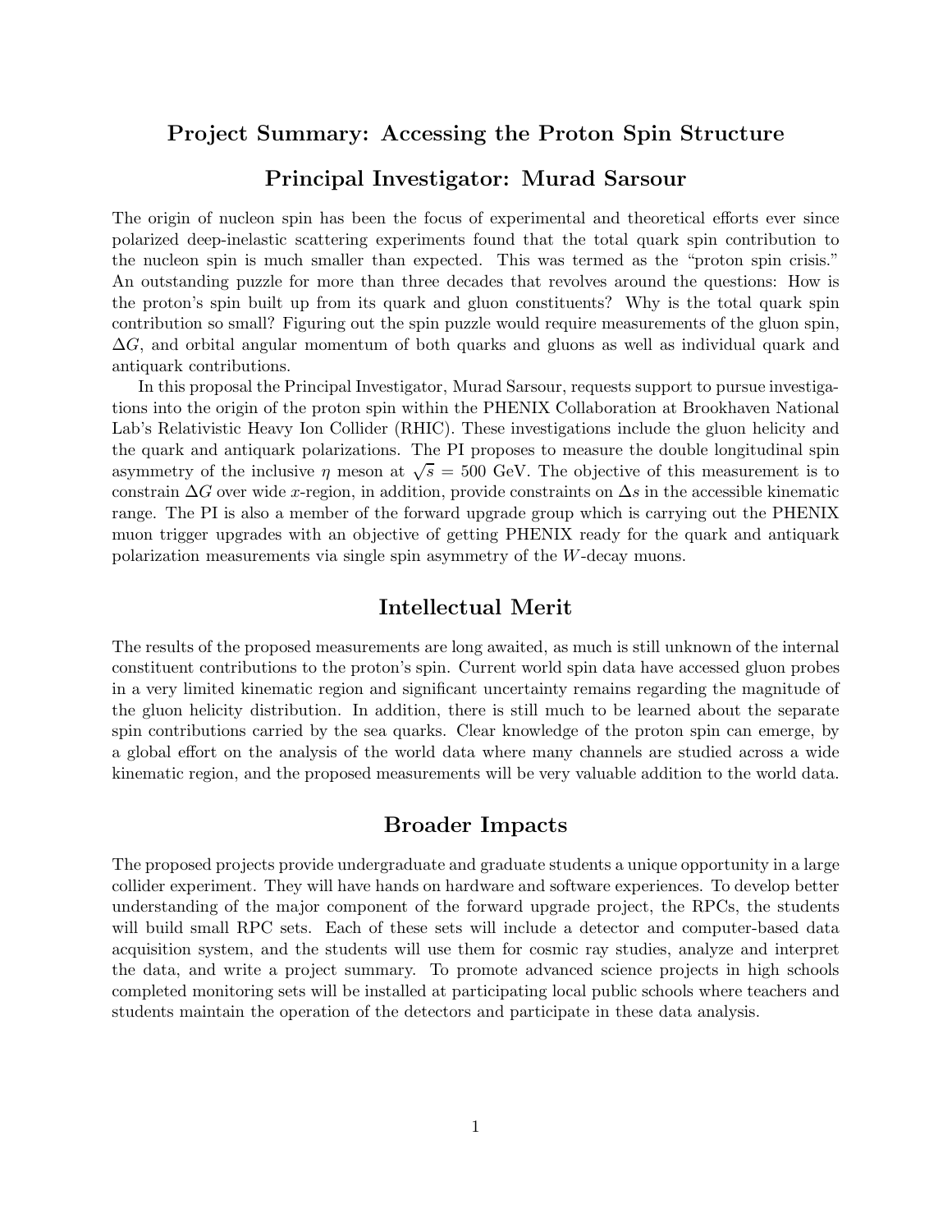# **Project Summary: Accessing the Proton Spin Structure**

## **Principal Investigator: Murad Sarsour**

The origin of nucleon spin has been the focus of experimental and theoretical efforts ever since polarized deep-inelastic scattering experiments found that the total quark spin contribution to the nucleon spin is much smaller than expected. This was termed as the "proton spin crisis." An outstanding puzzle for more than three decades that revolves around the questions: How is the proton's spin built up from its quark and gluon constituents? Why is the total quark spin contribution so small? Figuring out the spin puzzle would require measurements of the gluon spin,  $\Delta G$ , and orbital angular momentum of both quarks and gluons as well as individual quark and antiquark contributions.

In this proposal the Principal Investigator, Murad Sarsour, requests support to pursue investigations into the origin of the proton spin within the PHENIX Collaboration at Brookhaven National Lab's Relativistic Heavy Ion Collider (RHIC). These investigations include the gluon helicity and the quark and antiquark polarizations. The PI proposes to measure the double longitudinal spin asymmetry of the inclusive  $\eta$  meson at  $\sqrt{s} = 500$  GeV. The objective of this measurement is to constrain  $\Delta G$  over wide x-region, in addition, provide constraints on  $\Delta s$  in the accessible kinematic range. The PI is also a member of the forward upgrade group which is carrying out the PHENIX muon trigger upgrades with an objective of getting PHENIX ready for the quark and antiquark polarization measurements via single spin asymmetry of the W-decay muons.

## **Intellectual Merit**

The results of the proposed measurements are long awaited, as much is still unknown of the internal constituent contributions to the proton's spin. Current world spin data have accessed gluon probes in a very limited kinematic region and significant uncertainty remains regarding the magnitude of the gluon helicity distribution. In addition, there is still much to be learned about the separate spin contributions carried by the sea quarks. Clear knowledge of the proton spin can emerge, by a global effort on the analysis of the world data where many channels are studied across a wide kinematic region, and the proposed measurements will be very valuable addition to the world data.

### **Broader Impacts**

The proposed projects provide undergraduate and graduate students a unique opportunity in a large collider experiment. They will have hands on hardware and software experiences. To develop better understanding of the major component of the forward upgrade project, the RPCs, the students will build small RPC sets. Each of these sets will include a detector and computer-based data acquisition system, and the students will use them for cosmic ray studies, analyze and interpret the data, and write a project summary. To promote advanced science projects in high schools completed monitoring sets will be installed at participating local public schools where teachers and students maintain the operation of the detectors and participate in these data analysis.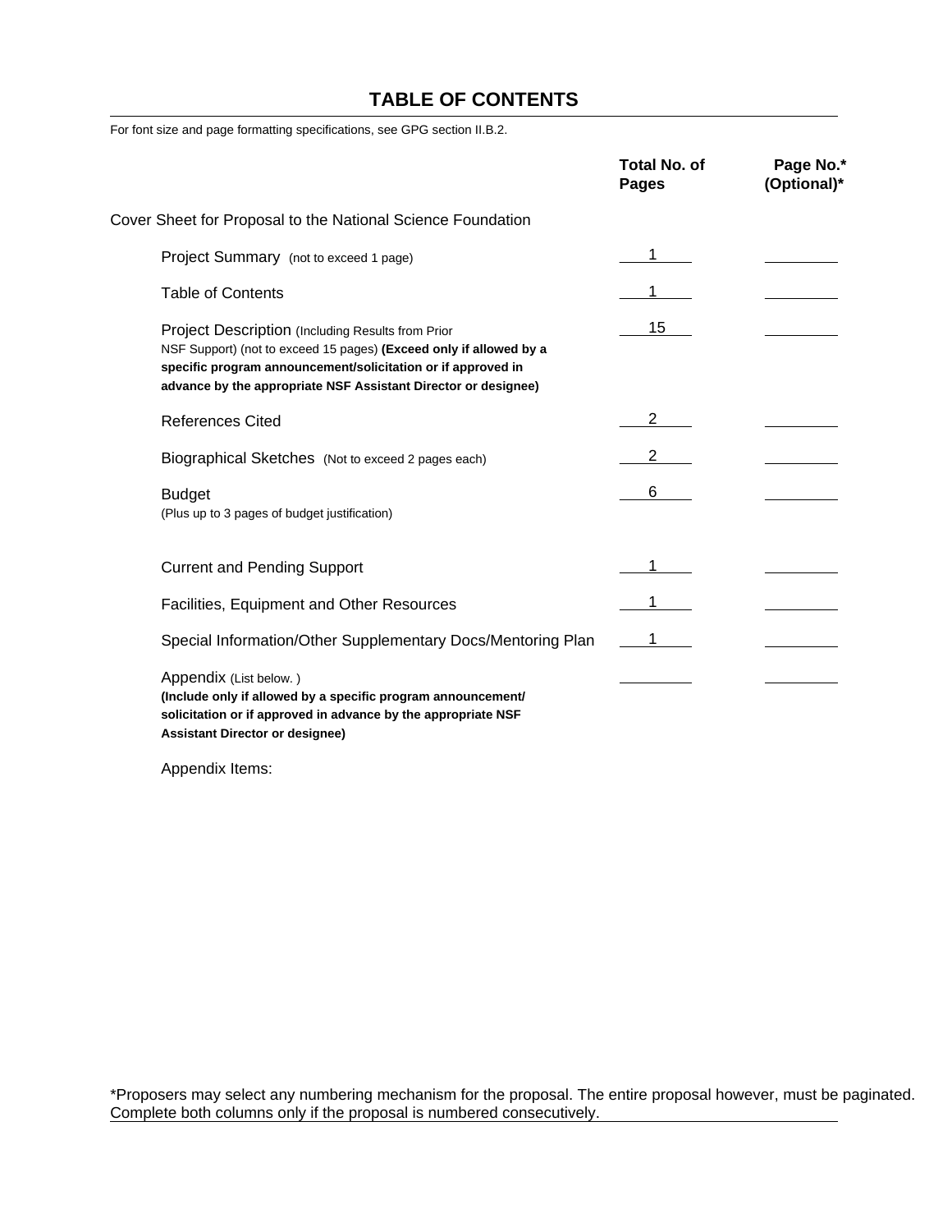# **TABLE OF CONTENTS**

For font size and page formatting specifications, see GPG section II.B.2.

|                                                                                                                                                                                                                                                           | Total No. of<br><b>Pages</b> | Page No.*<br>(Optional)* |
|-----------------------------------------------------------------------------------------------------------------------------------------------------------------------------------------------------------------------------------------------------------|------------------------------|--------------------------|
| Cover Sheet for Proposal to the National Science Foundation                                                                                                                                                                                               |                              |                          |
| Project Summary (not to exceed 1 page)                                                                                                                                                                                                                    |                              |                          |
| <b>Table of Contents</b>                                                                                                                                                                                                                                  |                              |                          |
| Project Description (Including Results from Prior<br>NSF Support) (not to exceed 15 pages) (Exceed only if allowed by a<br>specific program announcement/solicitation or if approved in<br>advance by the appropriate NSF Assistant Director or designee) | 15                           |                          |
| <b>References Cited</b>                                                                                                                                                                                                                                   | $^{2}$                       |                          |
| Biographical Sketches (Not to exceed 2 pages each)                                                                                                                                                                                                        |                              |                          |
| <b>Budget</b><br>(Plus up to 3 pages of budget justification)                                                                                                                                                                                             | 6                            |                          |
| <b>Current and Pending Support</b>                                                                                                                                                                                                                        |                              |                          |
| Facilities, Equipment and Other Resources                                                                                                                                                                                                                 |                              |                          |
| Special Information/Other Supplementary Docs/Mentoring Plan                                                                                                                                                                                               |                              |                          |
| Appendix (List below.)<br>(Include only if allowed by a specific program announcement/<br>solicitation or if approved in advance by the appropriate NSF<br><b>Assistant Director or designee)</b>                                                         |                              |                          |

Appendix Items:

\*Proposers may select any numbering mechanism for the proposal. The entire proposal however, must be paginated. Complete both columns only if the proposal is numbered consecutively.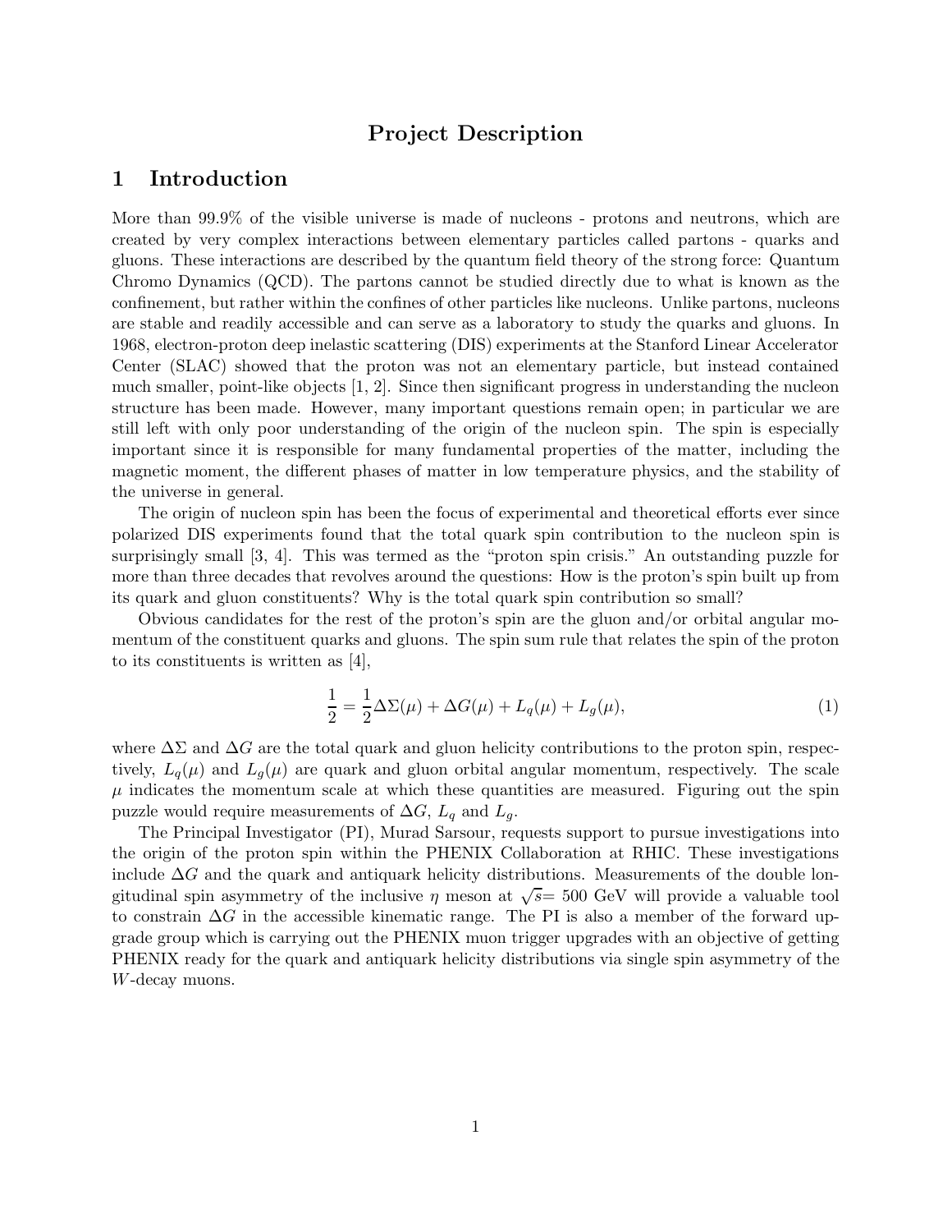## **Project Description**

### **1 Introduction**

More than 99.9% of the visible universe is made of nucleons - protons and neutrons, which are created by very complex interactions between elementary particles called partons - quarks and gluons. These interactions are described by the quantum field theory of the strong force: Quantum Chromo Dynamics (QCD). The partons cannot be studied directly due to what is known as the confinement, but rather within the confines of other particles like nucleons. Unlike partons, nucleons are stable and readily accessible and can serve as a laboratory to study the quarks and gluons. In 1968, electron-proton deep inelastic scattering (DIS) experiments at the Stanford Linear Accelerator Center (SLAC) showed that the proton was not an elementary particle, but instead contained much smaller, point-like objects [1, 2]. Since then significant progress in understanding the nucleon structure has been made. However, many important questions remain open; in particular we are still left with only poor understanding of the origin of the nucleon spin. The spin is especially important since it is responsible for many fundamental properties of the matter, including the magnetic moment, the different phases of matter in low temperature physics, and the stability of the universe in general.

The origin of nucleon spin has been the focus of experimental and theoretical efforts ever since polarized DIS experiments found that the total quark spin contribution to the nucleon spin is surprisingly small [3, 4]. This was termed as the "proton spin crisis." An outstanding puzzle for more than three decades that revolves around the questions: How is the proton's spin built up from its quark and gluon constituents? Why is the total quark spin contribution so small?

Obvious candidates for the rest of the proton's spin are the gluon and/or orbital angular momentum of the constituent quarks and gluons. The spin sum rule that relates the spin of the proton to its constituents is written as [4],

$$
\frac{1}{2} = \frac{1}{2}\Delta\Sigma(\mu) + \Delta G(\mu) + L_q(\mu) + L_g(\mu),
$$
\n(1)

where  $\Delta\Sigma$  and  $\Delta G$  are the total quark and gluon helicity contributions to the proton spin, respectively,  $L_q(\mu)$  and  $L_q(\mu)$  are quark and gluon orbital angular momentum, respectively. The scale  $\mu$  indicates the momentum scale at which these quantities are measured. Figuring out the spin puzzle would require measurements of  $\Delta G$ ,  $L_q$  and  $L_q$ .

The Principal Investigator (PI), Murad Sarsour, requests support to pursue investigations into the origin of the proton spin within the PHENIX Collaboration at RHIC. These investigations include  $\Delta G$  and the quark and antiquark helicity distributions. Measurements of the double longitudinal spin asymmetry of the inclusive  $\eta$  meson at  $\sqrt{s}$ = 500 GeV will provide a valuable tool to constrain  $\Delta G$  in the accessible kinematic range. The PI is also a member of the forward upgrade group which is carrying out the PHENIX muon trigger upgrades with an objective of getting PHENIX ready for the quark and antiquark helicity distributions via single spin asymmetry of the W-decay muons.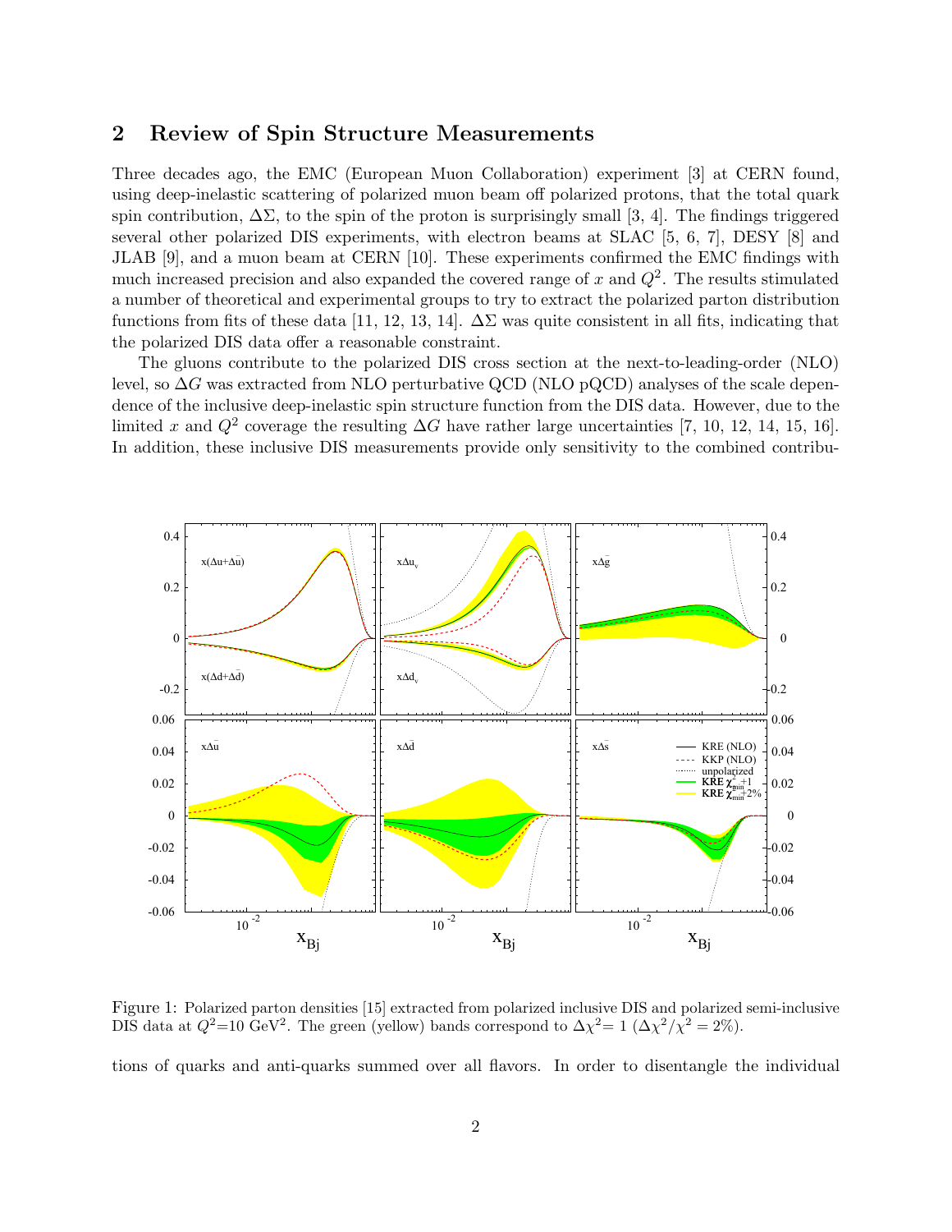### **2 Review of Spin Structure Measurements**

Three decades ago, the EMC (European Muon Collaboration) experiment [3] at CERN found, using deep-inelastic scattering of polarized muon beam off polarized protons, that the total quark spin contribution,  $\Delta\Sigma$ , to the spin of the proton is surprisingly small [3, 4]. The findings triggered several other polarized DIS experiments, with electron beams at SLAC [5, 6, 7], DESY [8] and JLAB [9], and a muon beam at CERN [10]. These experiments confirmed the EMC findings with much increased precision and also expanded the covered range of x and  $Q^2$ . The results stimulated a number of theoretical and experimental groups to try to extract the polarized parton distribution functions from fits of these data [11, 12, 13, 14].  $\Delta\Sigma$  was quite consistent in all fits, indicating that the polarized DIS data offer a reasonable constraint.

The gluons contribute to the polarized DIS cross section at the next-to-leading-order (NLO) level, so  $\Delta G$  was extracted from NLO perturbative QCD (NLO pQCD) analyses of the scale dependence of the inclusive deep-inelastic spin structure function from the DIS data. However, due to the limited x and  $Q^2$  coverage the resulting  $\Delta G$  have rather large uncertainties [7, 10, 12, 14, 15, 16]. In addition, these inclusive DIS measurements provide only sensitivity to the combined contribu-



Figure 1: Polarized parton densities [15] extracted from polarized inclusive DIS and polarized semi-inclusive DIS data at  $Q^2=10$  GeV<sup>2</sup>. The green (yellow) bands correspond to  $\Delta \chi^2=1$  ( $\Delta \chi^2/\chi^2=2\%$ ).

tions of quarks and anti-quarks summed over all flavors. In order to disentangle the individual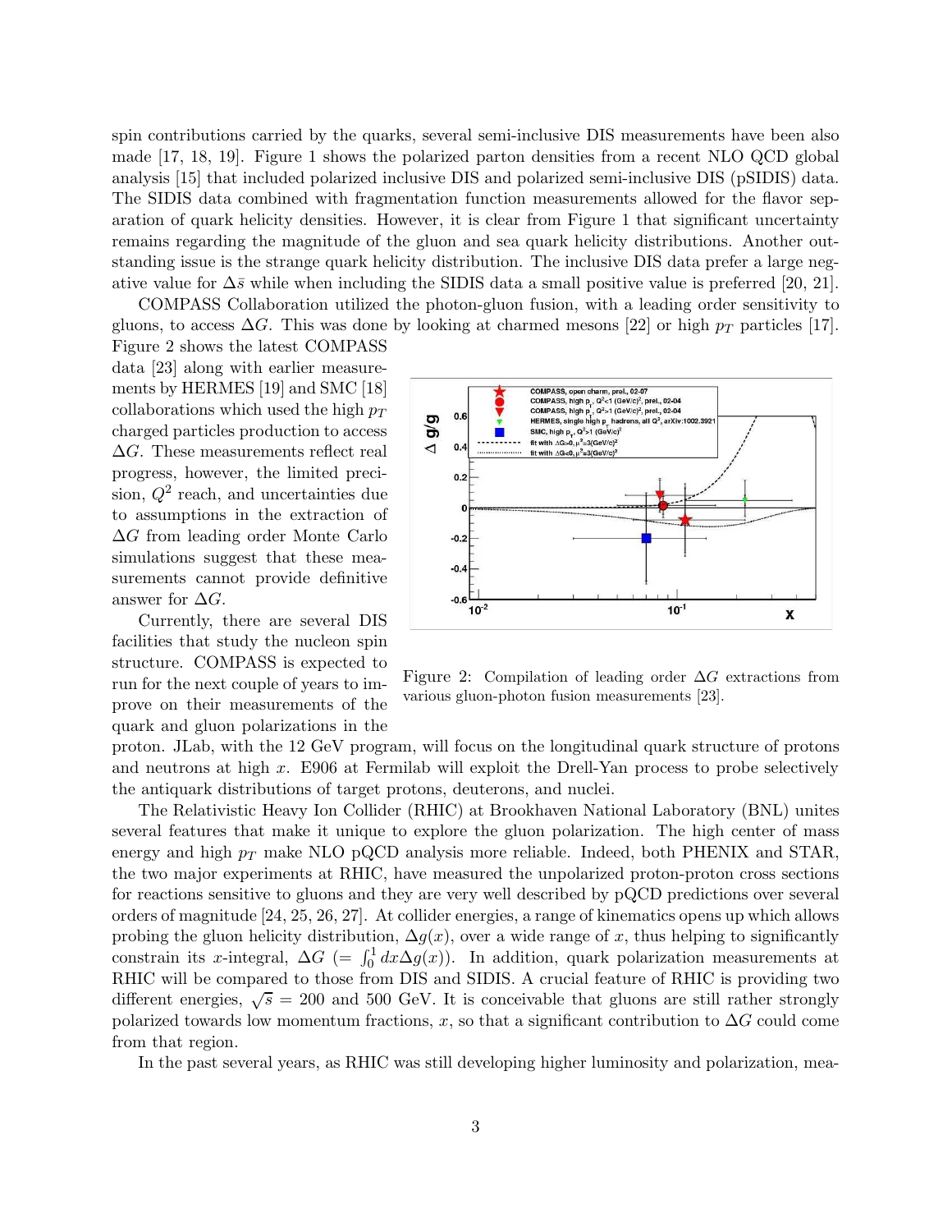spin contributions carried by the quarks, several semi-inclusive DIS measurements have been also made [17, 18, 19]. Figure 1 shows the polarized parton densities from a recent NLO QCD global analysis [15] that included polarized inclusive DIS and polarized semi-inclusive DIS (pSIDIS) data. The SIDIS data combined with fragmentation function measurements allowed for the flavor separation of quark helicity densities. However, it is clear from Figure 1 that significant uncertainty remains regarding the magnitude of the gluon and sea quark helicity distributions. Another outstanding issue is the strange quark helicity distribution. The inclusive DIS data prefer a large negative value for  $\Delta \bar{s}$  while when including the SIDIS data a small positive value is preferred [20, 21].

COMPASS Collaboration utilized the photon-gluon fusion, with a leading order sensitivity to gluons, to access  $\Delta G$ . This was done by looking at charmed mesons [22] or high  $p_T$  particles [17]. Figure 2 shows the latest COMPASS data [23] along with earlier measurements by HERMES [19] and SMC [18] collaborations which used the high  $p_T$ charged particles production to access  $\Delta G$ . These measurements reflect real progress, however, the limited precision,  $Q^2$  reach, and uncertainties due to assumptions in the extraction of  $\Delta G$  from leading order Monte Carlo simulations suggest that these measurements cannot provide definitive answer for  $\Delta G$ .

Currently, there are several DIS facilities that study the nucleon spin structure. COMPASS is expected to run for the next couple of years to improve on their measurements of the quark and gluon polarizations in the



Figure 2: Compilation of leading order  $\Delta G$  extractions from various gluon-photon fusion measurements [23].

proton. JLab, with the 12 GeV program, will focus on the longitudinal quark structure of protons and neutrons at high x. E906 at Fermilab will exploit the Drell-Yan process to probe selectively the antiquark distributions of target protons, deuterons, and nuclei.

The Relativistic Heavy Ion Collider (RHIC) at Brookhaven National Laboratory (BNL) unites several features that make it unique to explore the gluon polarization. The high center of mass energy and high  $p_T$  make NLO pQCD analysis more reliable. Indeed, both PHENIX and STAR, the two major experiments at RHIC, have measured the unpolarized proton-proton cross sections for reactions sensitive to gluons and they are very well described by pQCD predictions over several orders of magnitude [24, 25, 26, 27]. At collider energies, a range of kinematics opens up which allows probing the gluon helicity distribution,  $\Delta g(x)$ , over a wide range of x, thus helping to significantly constrain its x-integral,  $\Delta G$  (=  $\int_0^1 dx \Delta g(x)$ ). In addition, quark polarization measurements at RHIC will be compared to those from DIS and SIDIS. A crucial feature of RHIC is providing two different energies,  $\sqrt{s} = 200$  and 500 GeV. It is conceivable that gluons are still rather strongly polarized towards low momentum fractions, x, so that a significant contribution to  $\Delta G$  could come from that region.

In the past several years, as RHIC was still developing higher luminosity and polarization, mea-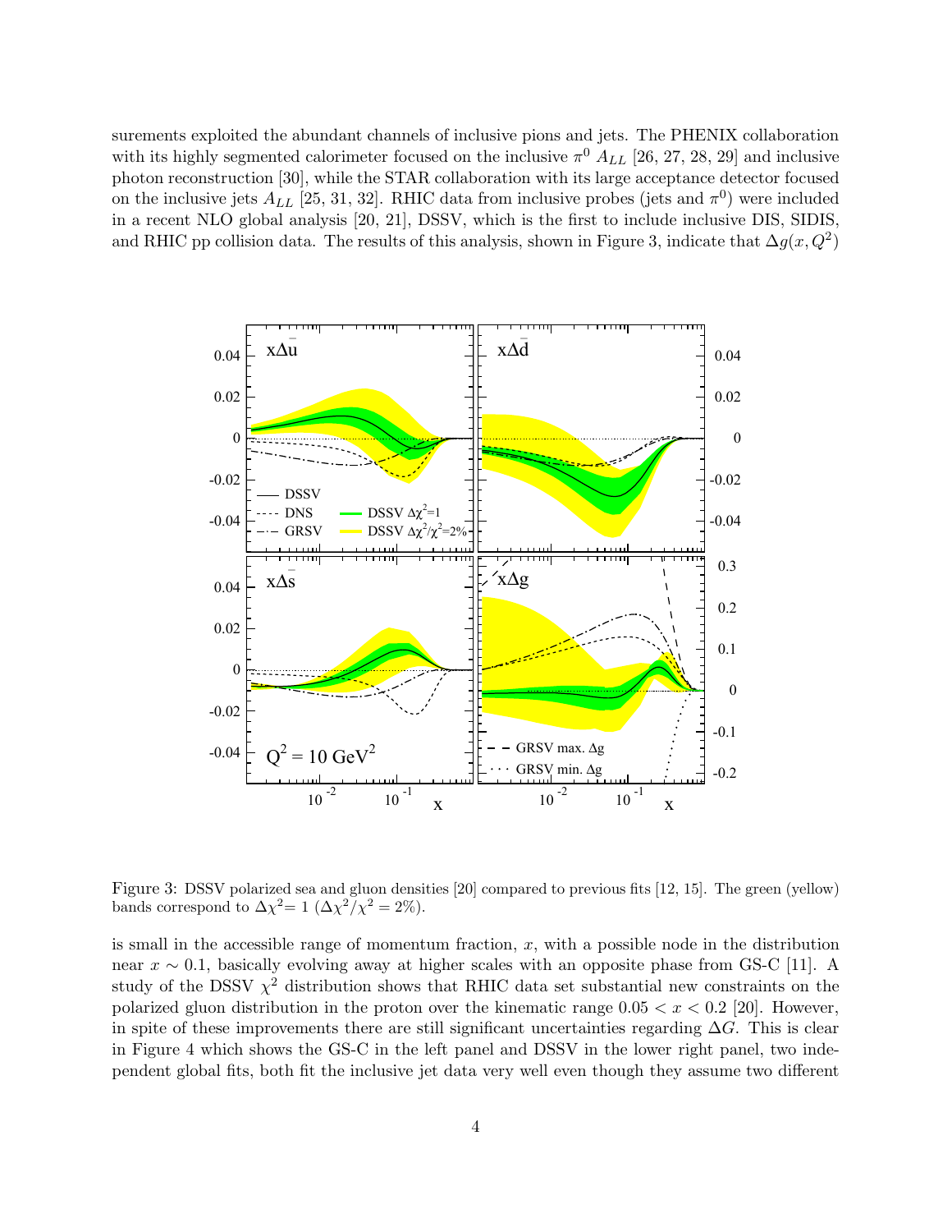surements exploited the abundant channels of inclusive pions and jets. The PHENIX collaboration with its highly segmented calorimeter focused on the inclusive  $\pi^0$  A<sub>LL</sub> [26, 27, 28, 29] and inclusive photon reconstruction [30], while the STAR collaboration with its large acceptance detector focused on the inclusive jets  $A_{LL}$  [25, 31, 32]. RHIC data from inclusive probes (jets and  $\pi^0$ ) were included in a recent NLO global analysis [20, 21], DSSV, which is the first to include inclusive DIS, SIDIS, and RHIC pp collision data. The results of this analysis, shown in Figure 3, indicate that  $\Delta q(x, Q^2)$ 



Figure 3: DSSV polarized sea and gluon densities [20] compared to previous fits [12, 15]. The green (yellow) bands correspond to  $\Delta \chi^2 = 1$  ( $\Delta \chi^2 / \chi^2 = 2\%$ ).

is small in the accessible range of momentum fraction,  $x$ , with a possible node in the distribution near  $x \sim 0.1$ , basically evolving away at higher scales with an opposite phase from GS-C [11]. A study of the DSSV  $\chi^2$  distribution shows that RHIC data set substantial new constraints on the polarized gluon distribution in the proton over the kinematic range  $0.05 < x < 0.2$  [20]. However, in spite of these improvements there are still significant uncertainties regarding  $\Delta G$ . This is clear in Figure 4 which shows the GS-C in the left panel and DSSV in the lower right panel, two independent global fits, both fit the inclusive jet data very well even though they assume two different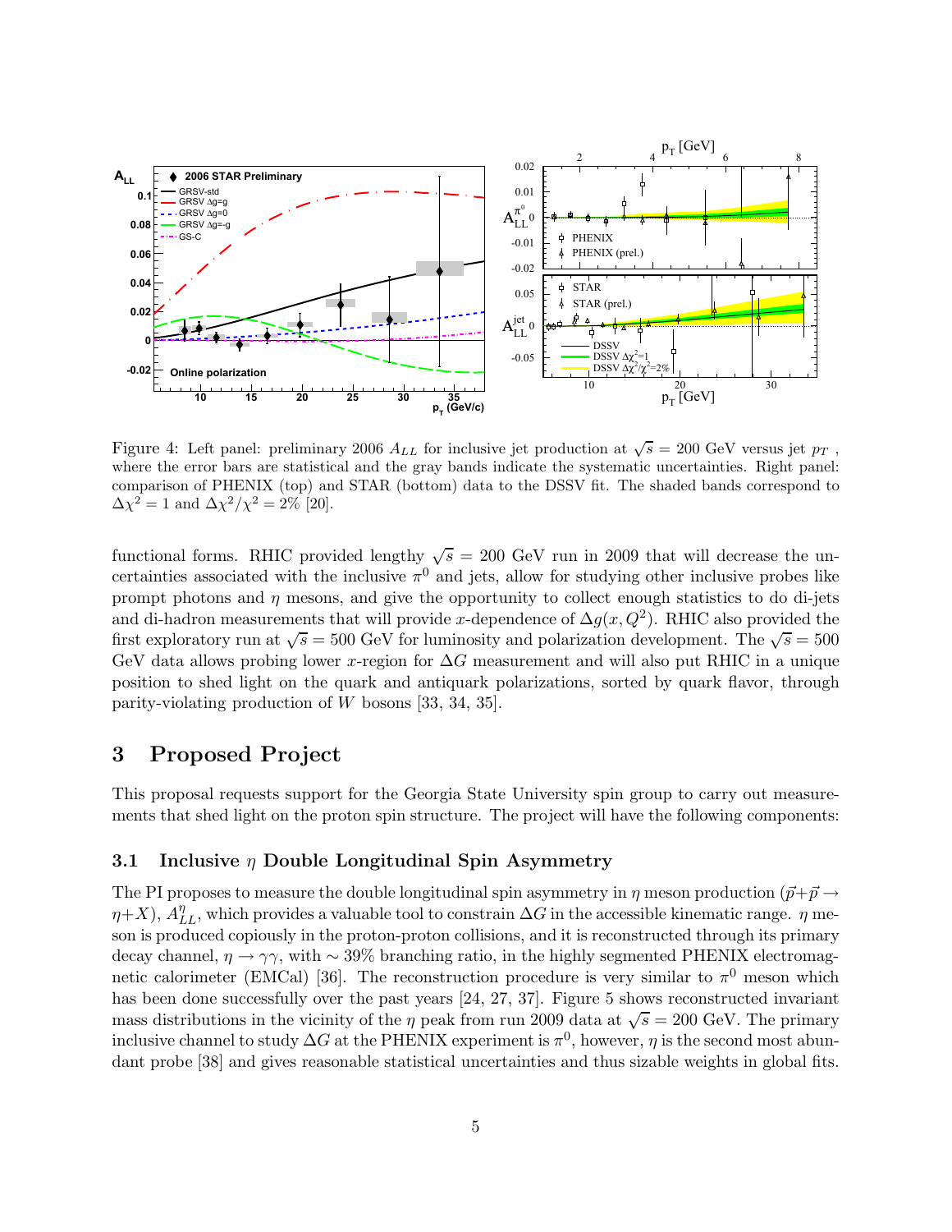

Figure 4: Left panel: preliminary 2006  $A_{LL}$  for inclusive jet production at  $\sqrt{s} = 200$  GeV versus jet  $p_T$ , where the error bars are statistical and the gray bands indicate the systematic uncertainties. Right panel: comparison of PHENIX (top) and STAR (bottom) data to the DSSV fit. The shaded bands correspond to  $\Delta \chi^2 = 1$  and  $\Delta \chi^2 / \chi^2 = 2\%$  [20].

functional forms. RHIC provided lengthy  $\sqrt{s} = 200$  GeV run in 2009 that will decrease the uncertainties associated with the inclusive  $\pi^0$  and jets, allow for studying other inclusive probes like prompt photons and  $\eta$  mesons, and give the opportunity to collect enough statistics to do di-jets and di-hadron measurements that will provide x-dependence of  $\Delta q(x, Q^2)$ . RHIC also provided the first exploratory run at  $\sqrt{s} = 500$  GeV for luminosity and polarization development. The  $\sqrt{s} = 500$ GeV data allows probing lower x-region for  $\Delta G$  measurement and will also put RHIC in a unique position to shed light on the quark and antiquark polarizations, sorted by quark flavor, through parity-violating production of W bosons [33, 34, 35].

### **3 Proposed Project**

This proposal requests support for the Georgia State University spin group to carry out measurements that shed light on the proton spin structure. The project will have the following components:

### **3.1 Inclusive** η **Double Longitudinal Spin Asymmetry**

The PI proposes to measure the double longitudinal spin asymmetry in  $\eta$  meson production ( $\vec{p}+\vec{p} \rightarrow$  $(\eta + X)$ ,  $A_{LL}^{\eta}$ , which provides a valuable tool to constrain  $\Delta G$  in the accessible kinematic range.  $\eta$  me-<br>son is produced conjously in the proton-proton collisions, and it is reconstructed through its primary son is produced copiously in the proton-proton collisions, and it is reconstructed through its primary decay channel,  $\eta \to \gamma \gamma$ , with ~ 39% branching ratio, in the highly segmented PHENIX electromagnetic calorimeter (EMCal) [36]. The reconstruction procedure is very similar to  $\pi^0$  meson which has been done successfully over the past years [24, 27, 37]. Figure 5 shows reconstructed invariant mass distributions in the vicinity of the  $\eta$  peak from run 2009 data at  $\sqrt{s} = 200$  GeV. The primary inclusive channel to study  $\Delta G$  at the PHENIX experiment is  $\pi^0$ , however,  $\eta$  is the second most abundant probe [38] and gives reasonable statistical uncertainties and thus sizable weights in global fits.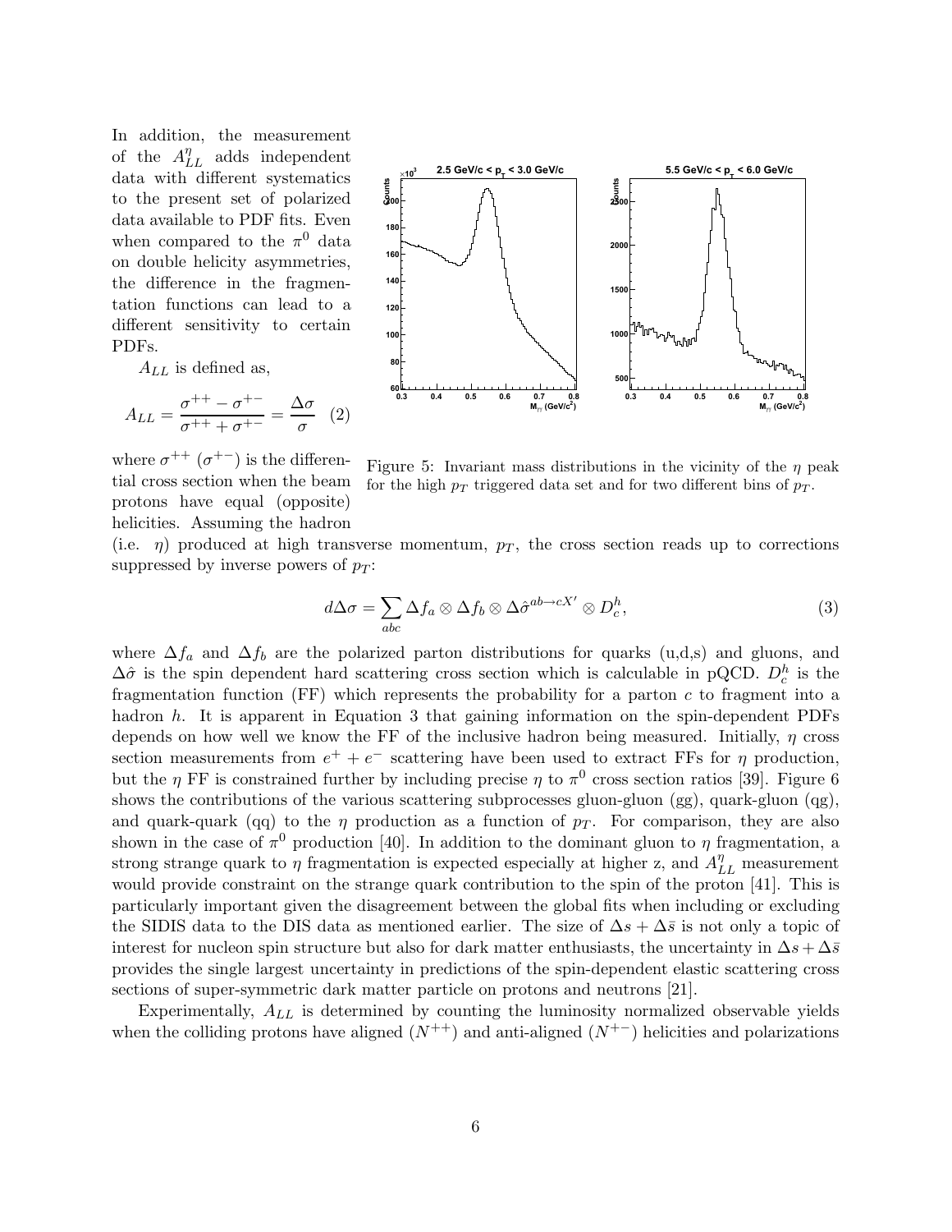In addition, the measurement of the  $A_{LL}^{\eta}$  adds independent<br>data with different systematics data with different systematics to the present set of polarized data available to PDF fits. Even when compared to the  $\pi^0$  data on double helicity asymmetries, the difference in the fragmentation functions can lead to a different sensitivity to certain PDFs.

 $A_{LL}$  is defined as,

$$
A_{LL} = \frac{\sigma^{++} - \sigma^{+-}}{\sigma^{++} + \sigma^{+-}} = \frac{\Delta \sigma}{\sigma} \quad (2)
$$



where  $\sigma^{++}$  ( $\sigma^{+-}$ ) is the differential cross section when the beam protons have equal (opposite) helicities. Assuming the hadron

Figure 5: Invariant mass distributions in the vicinity of the  $\eta$  peak for the high  $p_T$  triggered data set and for two different bins of  $p_T$ .

(i.e.  $\eta$ ) produced at high transverse momentum,  $p<sub>T</sub>$ , the cross section reads up to corrections suppressed by inverse powers of  $p_T$ :

$$
d\Delta \sigma = \sum_{abc} \Delta f_a \otimes \Delta f_b \otimes \Delta \hat{\sigma}^{ab \to cX'} \otimes D_c^h, \tag{3}
$$

where  $\Delta f_a$  and  $\Delta f_b$  are the polarized parton distributions for quarks (u,d,s) and gluons, and  $\Delta \hat{\tau}$  is the grin dependent hard gestioning gross section which is selected in pOCD.  $D^h$  is the  $\Delta\hat{\sigma}$  is the spin dependent hard scattering cross section which is calculable in pQCD.  $D_c^h$  is the fragmentation function (EF) which represents the probability for a parton  $c$  to fragment into a fragmentation function (FF) which represents the probability for a parton  $c$  to fragment into a hadron h. It is apparent in Equation 3 that gaining information on the spin-dependent PDFs depends on how well we know the FF of the inclusive hadron being measured. Initially,  $\eta$  cross section measurements from  $e^+ + e^-$  scattering have been used to extract FFs for  $\eta$  production, but the  $\eta$  FF is constrained further by including precise  $\eta$  to  $\pi^0$  cross section ratios [39]. Figure 6 shows the contributions of the various scattering subprocesses gluon-gluon (gg), quark-gluon (qg), and quark-quark (qq) to the  $\eta$  production as a function of  $p_T$ . For comparison, they are also shown in the case of  $\pi^0$  production [40]. In addition to the dominant gluon to  $\eta$  fragmentation, a strong strange quark to  $\eta$  fragmentation is expected especially at higher z, and  $A_{LL}^{\eta}$  measurement<br>would provide constraint on the strange quark contribution to the spin of the proton [41]. This is would provide constraint on the strange quark contribution to the spin of the proton [41]. This is particularly important given the disagreement between the global fits when including or excluding the SIDIS data to the DIS data as mentioned earlier. The size of  $\Delta s + \Delta \bar{s}$  is not only a topic of interest for nucleon spin structure but also for dark matter enthusiasts, the uncertainty in  $\Delta s + \Delta \bar{s}$ provides the single largest uncertainty in predictions of the spin-dependent elastic scattering cross sections of super-symmetric dark matter particle on protons and neutrons [21].

Experimentally,  $A_{LL}$  is determined by counting the luminosity normalized observable yields when the colliding protons have aligned  $(N^{++})$  and anti-aligned  $(N^{+-})$  helicities and polarizations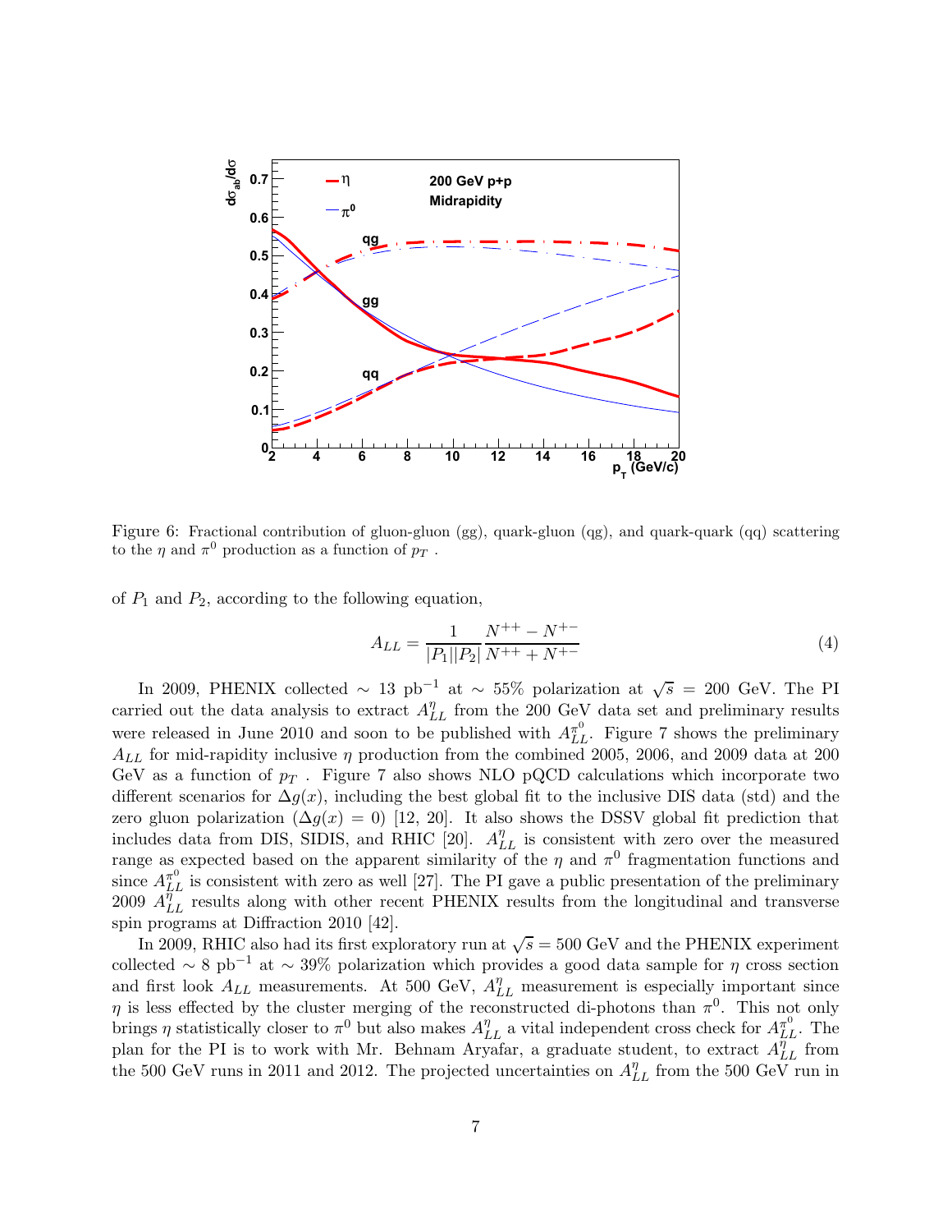

Figure 6: Fractional contribution of gluon-gluon (gg), quark-gluon (qg), and quark-quark (qq) scattering to the  $\eta$  and  $\pi^0$  production as a function of  $p_T$ .

of  $P_1$  and  $P_2$ , according to the following equation,

$$
A_{LL} = \frac{1}{|P_1||P_2|} \frac{N^{++} - N^{+-}}{N^{++} + N^{+-}} \tag{4}
$$

In 2009, PHENIX collected  $\sim 13$  pb<sup>-1</sup> at  $\sim 55\%$  polarization at  $\sqrt{s}$  = 200 GeV. The PI carried out the data analysis to extract  $A_{LL}^{\eta}$  from the 200 GeV data set and preliminary results<br>were released in June 2010 and seen to be published with  $A_{\eta}^{\eta}$ . Figure 7 shows the puliminary were released in June 2010 and soon to be published with  $A_{LL}^{\pi^0}$ . Figure 7 shows the preliminary  $A_{LL}$  for mid-rapidity inclusive n production from the combined 2005, 2006, and 2009 data at 200  $A_{LL}$  for mid-rapidity inclusive  $\eta$  production from the combined 2005, 2006, and 2009 data at 200 GeV as a function of  $p_T$ . Figure 7 also shows NLO pQCD calculations which incorporate two different scenarios for  $\Delta g(x)$ , including the best global fit to the inclusive DIS data (std) and the zero gluon polarization  $(\Delta g(x) = 0)$  [12, 20]. It also shows the DSSV global fit prediction that includes data from DIS, SIDIS, and RHIC [20].  $A_{LL}^{\eta}$  is consistent with zero over the measured<br>range as expected based on the apparent similarity of the n and  $\pi^0$  fragmentation functions and range as expected based on the apparent similarity of the  $\eta$  and  $\pi^0$  fragmentation functions and since  $A_{LL}^{\pi^0}$  is consistent with zero as well [27]. The PI gave a public presentation of the preliminary<br>2009  $A^{\eta}$  results along with other recent PHENIX results from the longitudinal and transverse 2009  $A_{LL}^{\eta}$  results along with other recent PHENIX results from the longitudinal and transverse<br>spin programs at Diffraction 2010 [42] spin programs at Diffraction 2010 [42].

In 2009, RHIC also had its first exploratory run at  $\sqrt{s} = 500$  GeV and the PHENIX experiment collected ~ 8 pb<sup>-1</sup> at ~ 39% polarization which provides a good data sample for  $\eta$  cross section and first look  $A_{LL}$  measurements. At 500 GeV,  $A_{LL}^{\eta}$  measurement is especially important since <br>*n* is less effected by the cluster merging of the reconstructed di-photons than  $\pi^0$ . This not only  $\eta$  is less effected by the cluster merging of the reconstructed di-photons than  $\pi^0$ . This not only brings  $\eta$  statistically closer to  $\pi^0$  but also makes  $A_{LL}^{\eta}$  a vital independent cross check for  $A_{LL}^{\pi^0}$ . The plan for the PI is to work with Mr. Behnam Aryafar, a graduate student, to extract  $A_{LL}^{\eta}$  from<br>the 500 GeV runs in 2011 and 2012. The projected uncertainties on  $A^{\eta}$  from the 500 GeV run in the 500 GeV runs in 2011 and 2012. The projected uncertainties on  $A_{LL}^{\eta}$  from the 500 GeV run in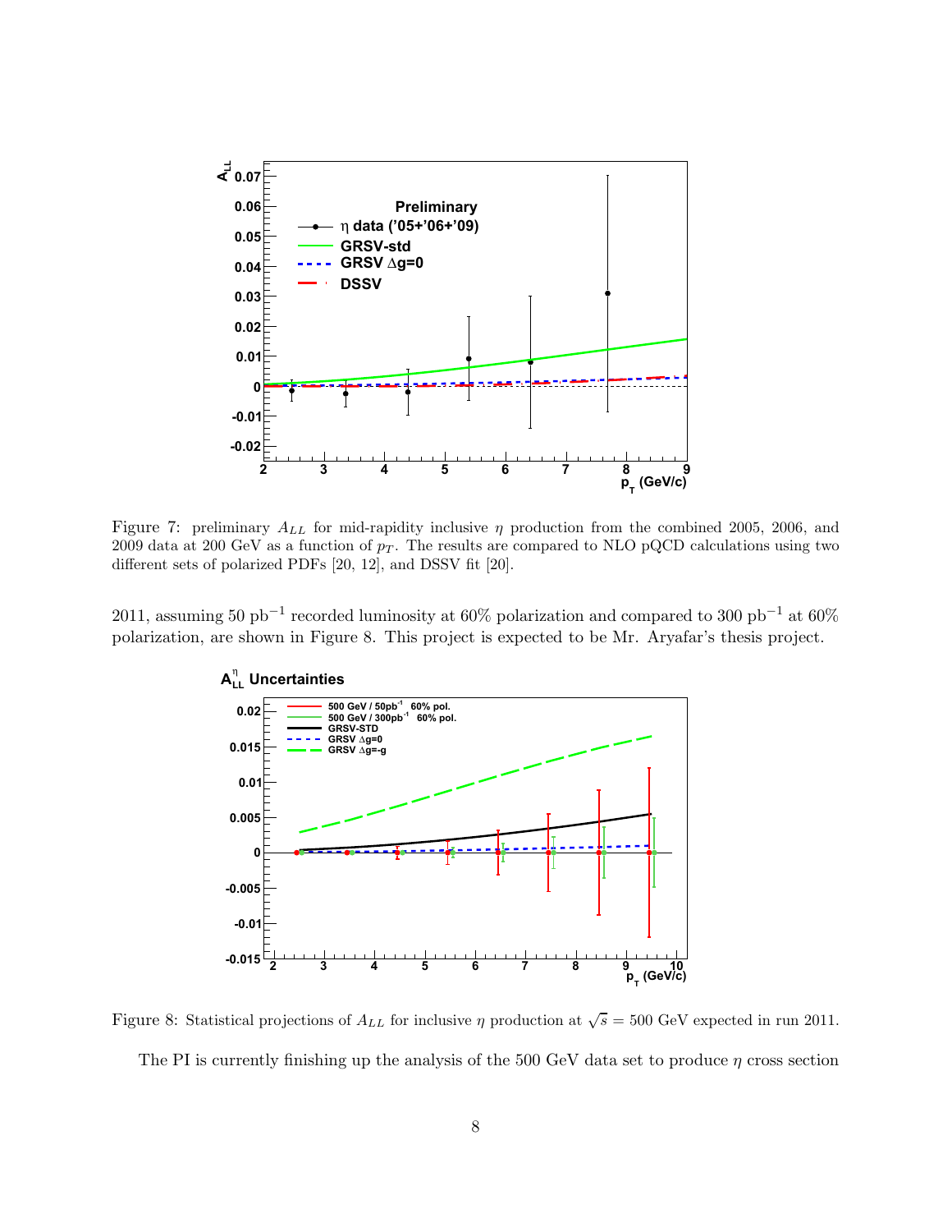

Figure 7: preliminary  $A_{LL}$  for mid-rapidity inclusive  $\eta$  production from the combined 2005, 2006, and 2009 data at 200 GeV as a function of  $p_T$ . The results are compared to NLO pQCD calculations using two different sets of polarized PDFs [20, 12], and DSSV fit [20].

2011, assuming 50 pb<sup>-1</sup> recorded luminosity at 60% polarization and compared to 300 pb<sup>-1</sup> at 60% polarization, are shown in Figure 8. This project is expected to be Mr. Aryafar's thesis project.



Figure 8: Statistical projections of  $A_{LL}$  for inclusive  $\eta$  production at  $\sqrt{s} = 500$  GeV expected in run 2011. The PI is currently finishing up the analysis of the 500 GeV data set to produce  $\eta$  cross section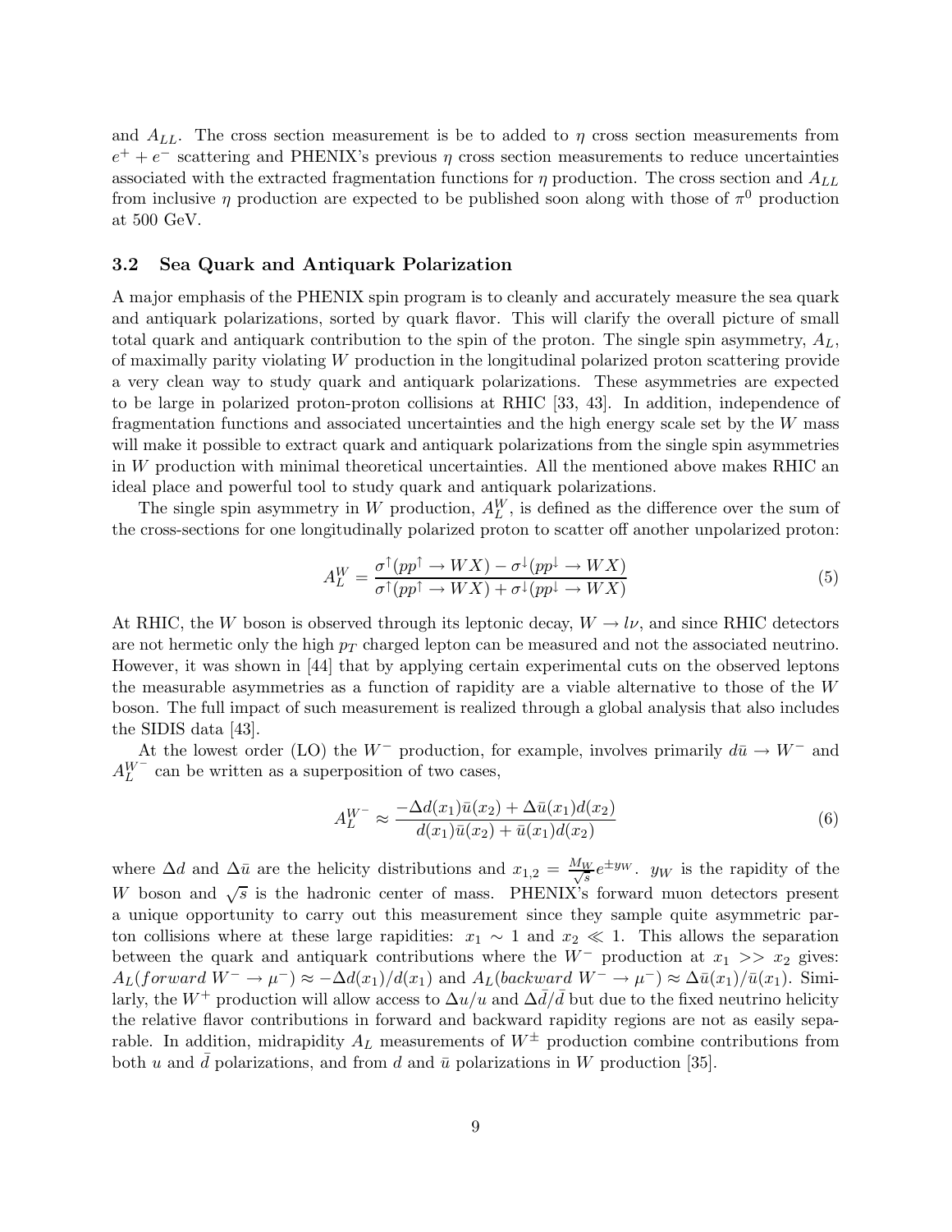and  $A_{LL}$ . The cross section measurement is be to added to  $\eta$  cross section measurements from  $e^+ + e^-$  scattering and PHENIX's previous  $\eta$  cross section measurements to reduce uncertainties associated with the extracted fragmentation functions for  $\eta$  production. The cross section and  $A_{LL}$ from inclusive  $\eta$  production are expected to be published soon along with those of  $\pi^0$  production at 500 GeV.

### **3.2 Sea Quark and Antiquark Polarization**

A major emphasis of the PHENIX spin program is to cleanly and accurately measure the sea quark and antiquark polarizations, sorted by quark flavor. This will clarify the overall picture of small total quark and antiquark contribution to the spin of the proton. The single spin asymmetry,  $A_L$ , of maximally parity violating W production in the longitudinal polarized proton scattering provide a very clean way to study quark and antiquark polarizations. These asymmetries are expected to be large in polarized proton-proton collisions at RHIC [33, 43]. In addition, independence of fragmentation functions and associated uncertainties and the high energy scale set by the W mass will make it possible to extract quark and antiquark polarizations from the single spin asymmetries in W production with minimal theoretical uncertainties. All the mentioned above makes RHIC an ideal place and powerful tool to study quark and antiquark polarizations.

The single spin asymmetry in W production,  $A_L^W$ , is defined as the difference over the sum of cross-sections for one longitudinally polarized proton to scatter off another unpolarized proton: the cross-sections for one longitudinally polarized proton to scatter off another unpolarized proton:

$$
A_L^W = \frac{\sigma^{\uparrow}(pp^{\uparrow} \to W X) - \sigma^{\downarrow}(pp^{\downarrow} \to W X)}{\sigma^{\uparrow}(pp^{\uparrow} \to W X) + \sigma^{\downarrow}(pp^{\downarrow} \to W X)} \tag{5}
$$

At RHIC, the W boson is observed through its leptonic decay,  $W \to l\nu$ , and since RHIC detectors are not hermetic only the high  $p<sub>T</sub>$  charged lepton can be measured and not the associated neutrino. However, it was shown in [44] that by applying certain experimental cuts on the observed leptons the measurable asymmetries as a function of rapidity are a viable alternative to those of the W boson. The full impact of such measurement is realized through a global analysis that also includes the SIDIS data [43].

At the lowest order (LO) the W<sup>-</sup> production, for example, involves primarily  $d\bar{u} \to W^-$  and  $A_L^{W^-}$  can be written as a superposition of two cases,

$$
A_L^{W^-} \approx \frac{-\Delta d(x_1)\bar{u}(x_2) + \Delta \bar{u}(x_1)d(x_2)}{d(x_1)\bar{u}(x_2) + \bar{u}(x_1)d(x_2)}
$$
(6)

where  $\Delta d$  and  $\Delta \bar{u}$  are the helicity distributions and  $x_{1,2} = \frac{M_W}{\sqrt{s}} e^{\pm y_W}$ .  $y_W$  is the rapidity of the  $W$  here and  $\sqrt{s}$  is the hedronic senter of mass. DUENIV's forward muon detectors present W boson and  $\sqrt{s}$  is the hadronic center of mass. PHENIX's forward muon detectors present a unique opportunity to carry out this measurement since they sample quite asymmetric parton collisions where at these large rapidities:  $x_1 \sim 1$  and  $x_2 \ll 1$ . This allows the separation between the quark and antiquark contributions where the  $W^-$  production at  $x_1 >> x_2$  gives:  $A_L(forward W^-\rightarrow \mu^-)\approx -\Delta d(x_1)/d(x_1)$  and  $A_L(backward W^-\rightarrow \mu^-)\approx \Delta \bar{u}(x_1)/\bar{u}(x_1)$ . Similarly, the  $W^+$  production will allow access to  $\Delta u/u$  and  $\Delta d/\bar{d}$  but due to the fixed neutrino helicity the relative flavor contributions in forward and backward rapidity regions are not as easily separable. In addition, midrapidity  $A_L$  measurements of  $W^{\pm}$  production combine contributions from both u and  $\bar{d}$  polarizations, and from d and  $\bar{u}$  polarizations in W production [35].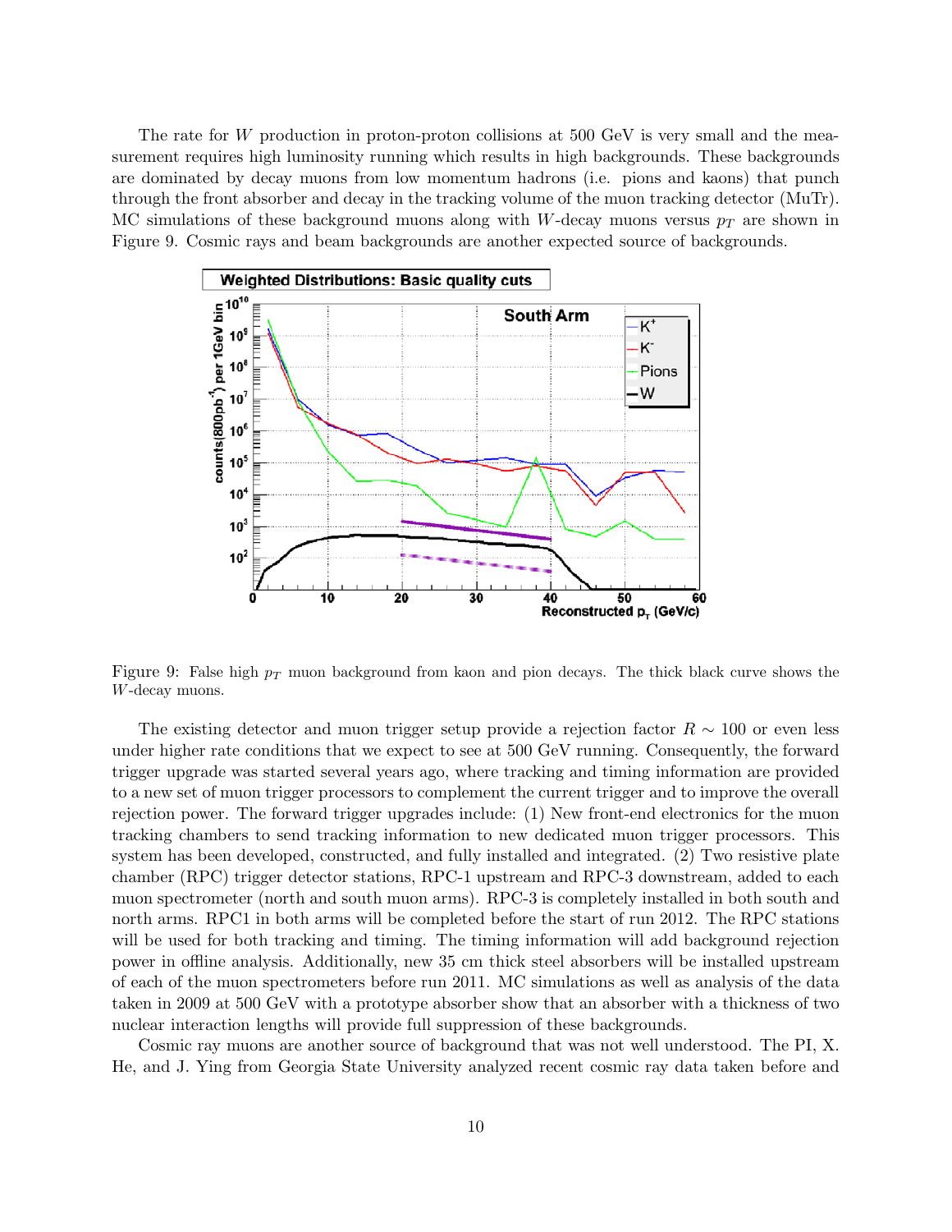The rate for W production in proton-proton collisions at  $500 \text{ GeV}$  is very small and the measurement requires high luminosity running which results in high backgrounds. These backgrounds are dominated by decay muons from low momentum hadrons (i.e. pions and kaons) that punch through the front absorber and decay in the tracking volume of the muon tracking detector (MuTr). MC simulations of these background muons along with W-decay muons versus  $p_T$  are shown in Figure 9. Cosmic rays and beam backgrounds are another expected source of backgrounds.



Figure 9: False high  $p_T$  muon background from kaon and pion decays. The thick black curve shows the W-decay muons.

The existing detector and muon trigger setup provide a rejection factor  $R \sim 100$  or even less under higher rate conditions that we expect to see at 500 GeV running. Consequently, the forward trigger upgrade was started several years ago, where tracking and timing information are provided to a new set of muon trigger processors to complement the current trigger and to improve the overall rejection power. The forward trigger upgrades include: (1) New front-end electronics for the muon tracking chambers to send tracking information to new dedicated muon trigger processors. This system has been developed, constructed, and fully installed and integrated. (2) Two resistive plate chamber (RPC) trigger detector stations, RPC-1 upstream and RPC-3 downstream, added to each muon spectrometer (north and south muon arms). RPC-3 is completely installed in both south and north arms. RPC1 in both arms will be completed before the start of run 2012. The RPC stations will be used for both tracking and timing. The timing information will add background rejection power in offline analysis. Additionally, new 35 cm thick steel absorbers will be installed upstream of each of the muon spectrometers before run 2011. MC simulations as well as analysis of the data taken in 2009 at 500 GeV with a prototype absorber show that an absorber with a thickness of two nuclear interaction lengths will provide full suppression of these backgrounds.

Cosmic ray muons are another source of background that was not well understood. The PI, X. He, and J. Ying from Georgia State University analyzed recent cosmic ray data taken before and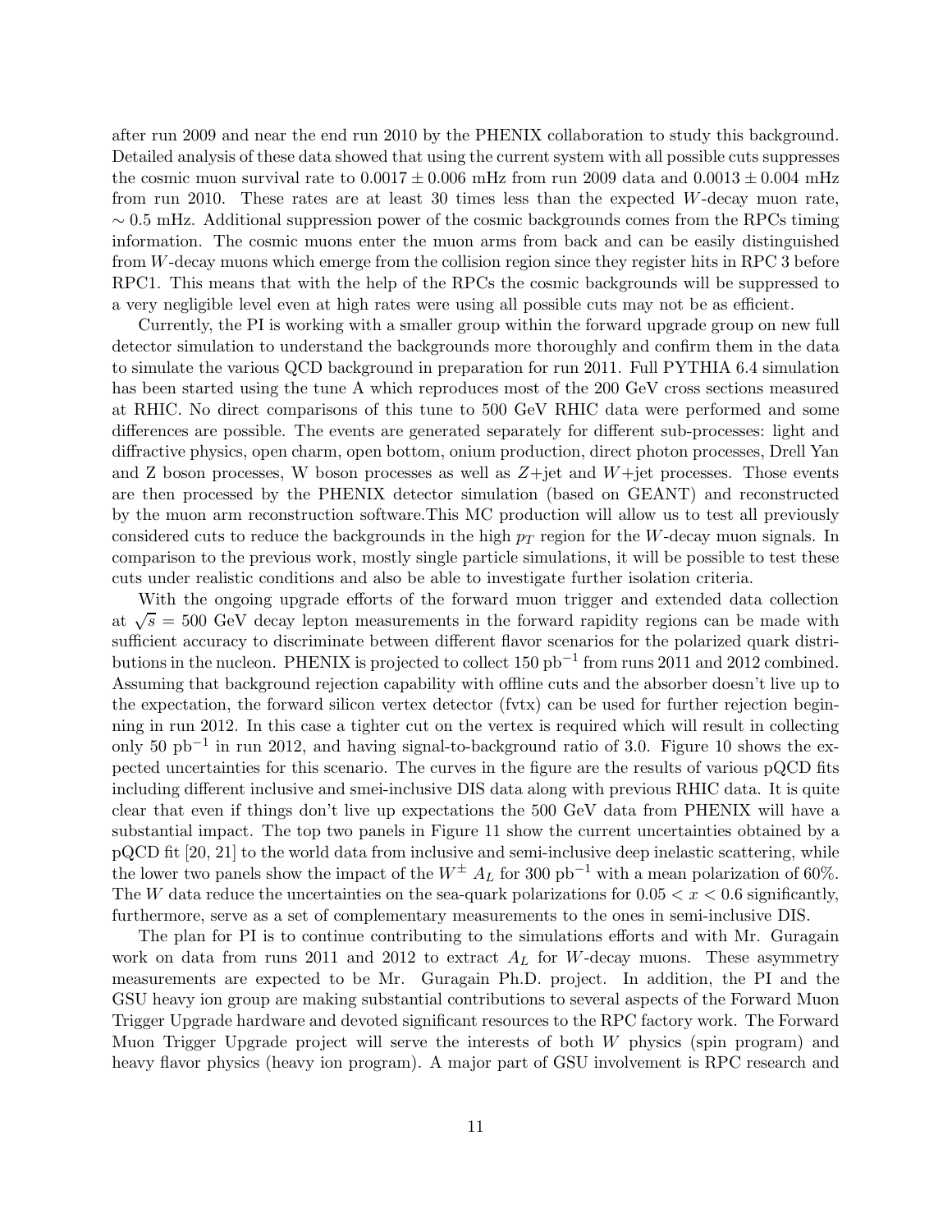after run 2009 and near the end run 2010 by the PHENIX collaboration to study this background. Detailed analysis of these data showed that using the current system with all possible cuts suppresses the cosmic muon survival rate to  $0.0017 \pm 0.006$  mHz from run 2009 data and  $0.0013 \pm 0.004$  mHz from run 2010. These rates are at least 30 times less than the expected W-decay muon rate,  $\sim 0.5$  mHz. Additional suppression power of the cosmic backgrounds comes from the RPCs timing information. The cosmic muons enter the muon arms from back and can be easily distinguished from W-decay muons which emerge from the collision region since they register hits in RPC 3 before RPC1. This means that with the help of the RPCs the cosmic backgrounds will be suppressed to a very negligible level even at high rates were using all possible cuts may not be as efficient.

Currently, the PI is working with a smaller group within the forward upgrade group on new full detector simulation to understand the backgrounds more thoroughly and confirm them in the data to simulate the various QCD background in preparation for run 2011. Full PYTHIA 6.4 simulation has been started using the tune A which reproduces most of the 200 GeV cross sections measured at RHIC. No direct comparisons of this tune to 500 GeV RHIC data were performed and some differences are possible. The events are generated separately for different sub-processes: light and diffractive physics, open charm, open bottom, onium production, direct photon processes, Drell Yan and Z boson processes, W boson processes as well as  $Z+jet$  and  $W+jet$  processes. Those events are then processed by the PHENIX detector simulation (based on GEANT) and reconstructed by the muon arm reconstruction software.This MC production will allow us to test all previously considered cuts to reduce the backgrounds in the high  $p_T$  region for the W-decay muon signals. In comparison to the previous work, mostly single particle simulations, it will be possible to test these cuts under realistic conditions and also be able to investigate further isolation criteria.

With the ongoing upgrade efforts of the forward muon trigger and extended data collection at  $\sqrt{s}$  = 500 GeV decay lepton measurements in the forward rapidity regions can be made with sufficient accuracy to discriminate between different flavor scenarios for the polarized quark distributions in the nucleon. PHENIX is projected to collect 150 pb−<sup>1</sup> from runs 2011 and 2012 combined. Assuming that background rejection capability with offline cuts and the absorber doesn't live up to the expectation, the forward silicon vertex detector (fvtx) can be used for further rejection beginning in run 2012. In this case a tighter cut on the vertex is required which will result in collecting only 50 pb<sup>-1</sup> in run 2012, and having signal-to-background ratio of 3.0. Figure 10 shows the expected uncertainties for this scenario. The curves in the figure are the results of various pQCD fits including different inclusive and smei-inclusive DIS data along with previous RHIC data. It is quite clear that even if things don't live up expectations the 500 GeV data from PHENIX will have a substantial impact. The top two panels in Figure 11 show the current uncertainties obtained by a pQCD fit [20, 21] to the world data from inclusive and semi-inclusive deep inelastic scattering, while the lower two panels show the impact of the  $W^{\pm} A_L$  for 300 pb<sup>-1</sup> with a mean polarization of 60%. The W data reduce the uncertainties on the sea-quark polarizations for  $0.05 < x < 0.6$  significantly, furthermore, serve as a set of complementary measurements to the ones in semi-inclusive DIS.

The plan for PI is to continue contributing to the simulations efforts and with Mr. Guragain work on data from runs 2011 and 2012 to extract  $A_L$  for W-decay muons. These asymmetry measurements are expected to be Mr. Guragain Ph.D. project. In addition, the PI and the GSU heavy ion group are making substantial contributions to several aspects of the Forward Muon Trigger Upgrade hardware and devoted significant resources to the RPC factory work. The Forward Muon Trigger Upgrade project will serve the interests of both W physics (spin program) and heavy flavor physics (heavy ion program). A major part of GSU involvement is RPC research and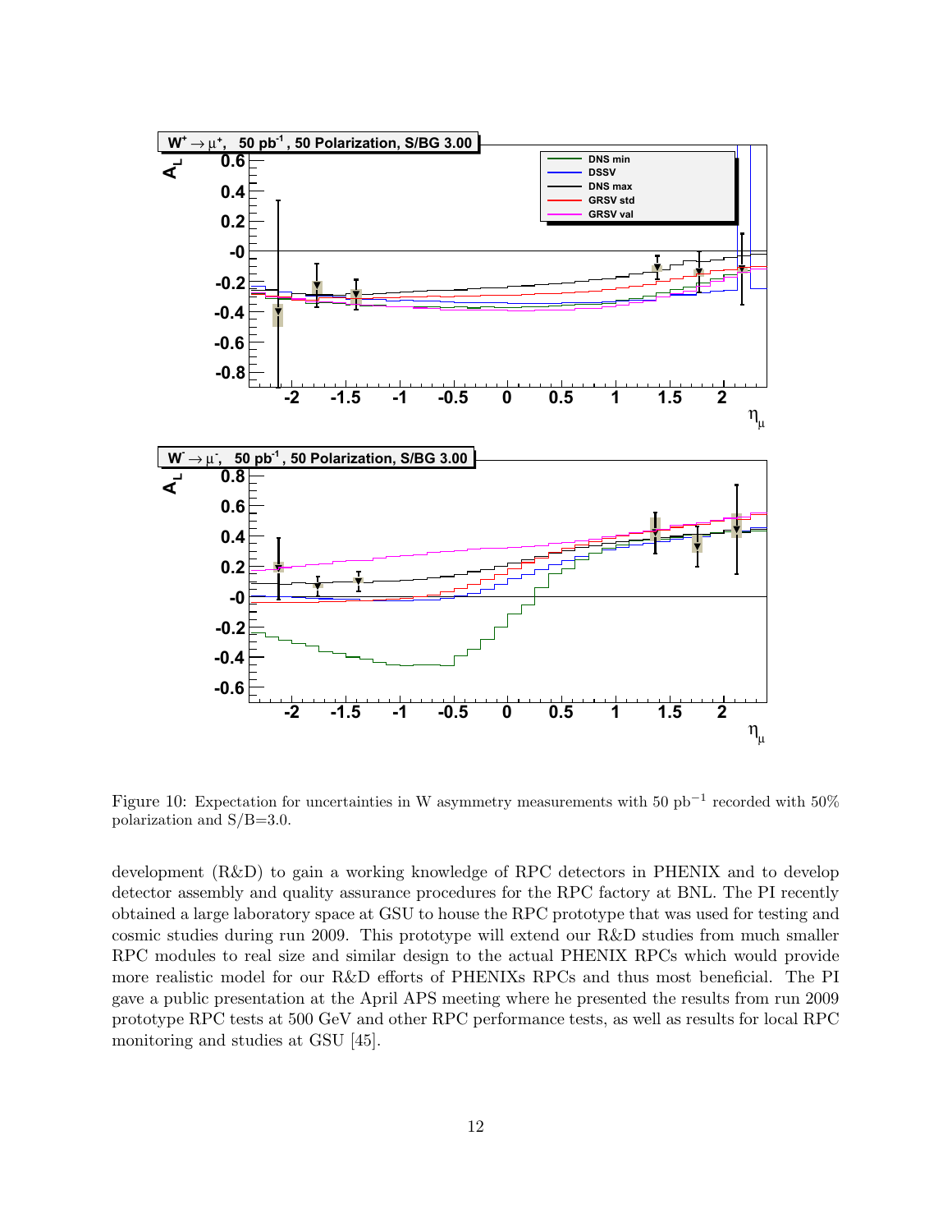

Figure 10: Expectation for uncertainties in W asymmetry measurements with 50 pb<sup>−</sup><sup>1</sup> recorded with 50% polarization and S/B=3.0.

development (R&D) to gain a working knowledge of RPC detectors in PHENIX and to develop detector assembly and quality assurance procedures for the RPC factory at BNL. The PI recently obtained a large laboratory space at GSU to house the RPC prototype that was used for testing and cosmic studies during run 2009. This prototype will extend our R&D studies from much smaller RPC modules to real size and similar design to the actual PHENIX RPCs which would provide more realistic model for our R&D efforts of PHENIXs RPCs and thus most beneficial. The PI gave a public presentation at the April APS meeting where he presented the results from run 2009 prototype RPC tests at 500 GeV and other RPC performance tests, as well as results for local RPC monitoring and studies at GSU [45].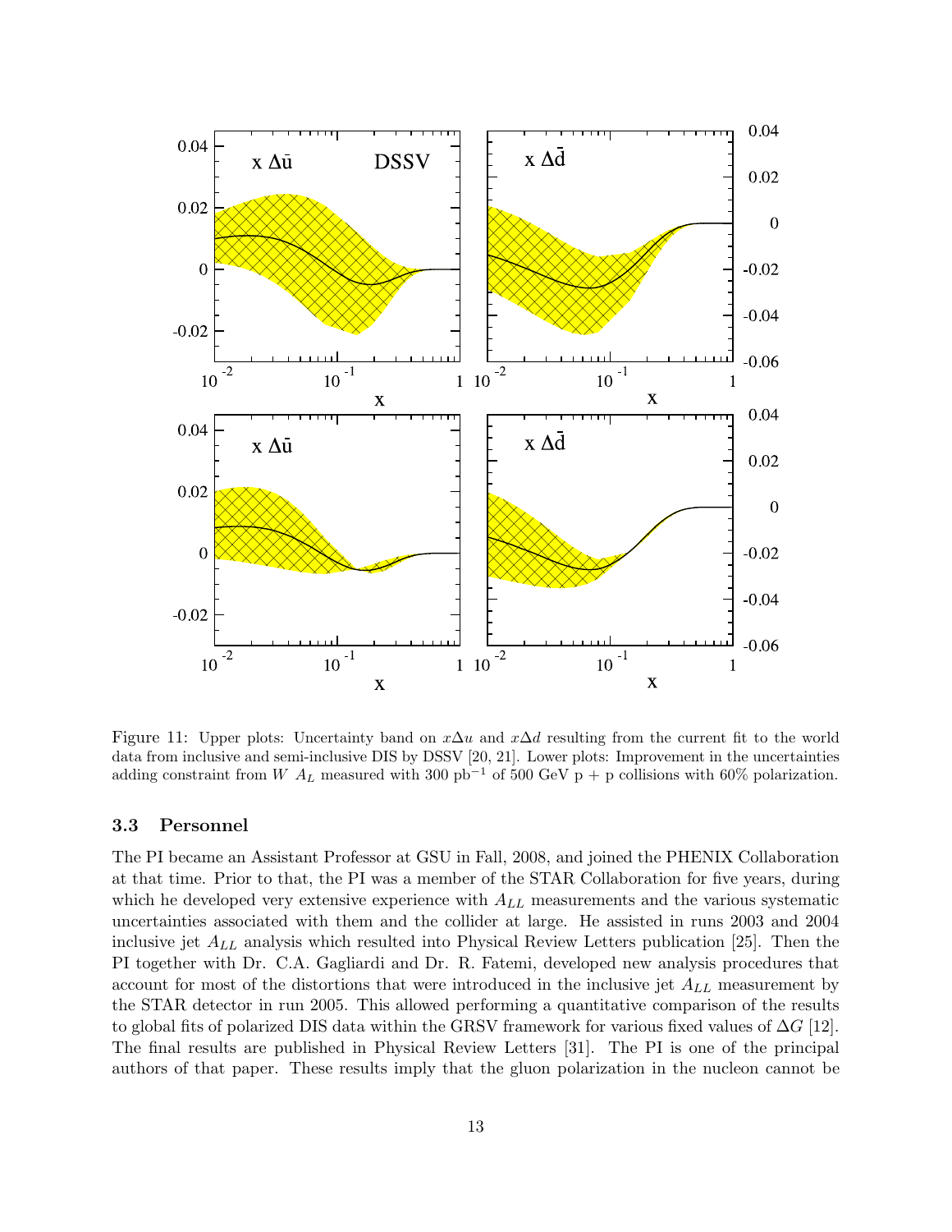

Figure 11: Upper plots: Uncertainty band on  $x\Delta u$  and  $x\Delta d$  resulting from the current fit to the world data from inclusive and semi-inclusive DIS by DSSV [20, 21]. Lower plots: Improvement in the uncertainties adding constraint from W  $A_L$  measured with 300 pb<sup>-1</sup> of 500 GeV p + p collisions with 60% polarization.

#### **3.3 Personnel**

The PI became an Assistant Professor at GSU in Fall, 2008, and joined the PHENIX Collaboration at that time. Prior to that, the PI was a member of the STAR Collaboration for five years, during which he developed very extensive experience with  $A_{LL}$  measurements and the various systematic uncertainties associated with them and the collider at large. He assisted in runs 2003 and 2004 inclusive jet  $A_{LL}$  analysis which resulted into Physical Review Letters publication [25]. Then the PI together with Dr. C.A. Gagliardi and Dr. R. Fatemi, developed new analysis procedures that account for most of the distortions that were introduced in the inclusive jet  $A_{LL}$  measurement by the STAR detector in run 2005. This allowed performing a quantitative comparison of the results to global fits of polarized DIS data within the GRSV framework for various fixed values of  $\Delta G$  [12]. The final results are published in Physical Review Letters [31]. The PI is one of the principal authors of that paper. These results imply that the gluon polarization in the nucleon cannot be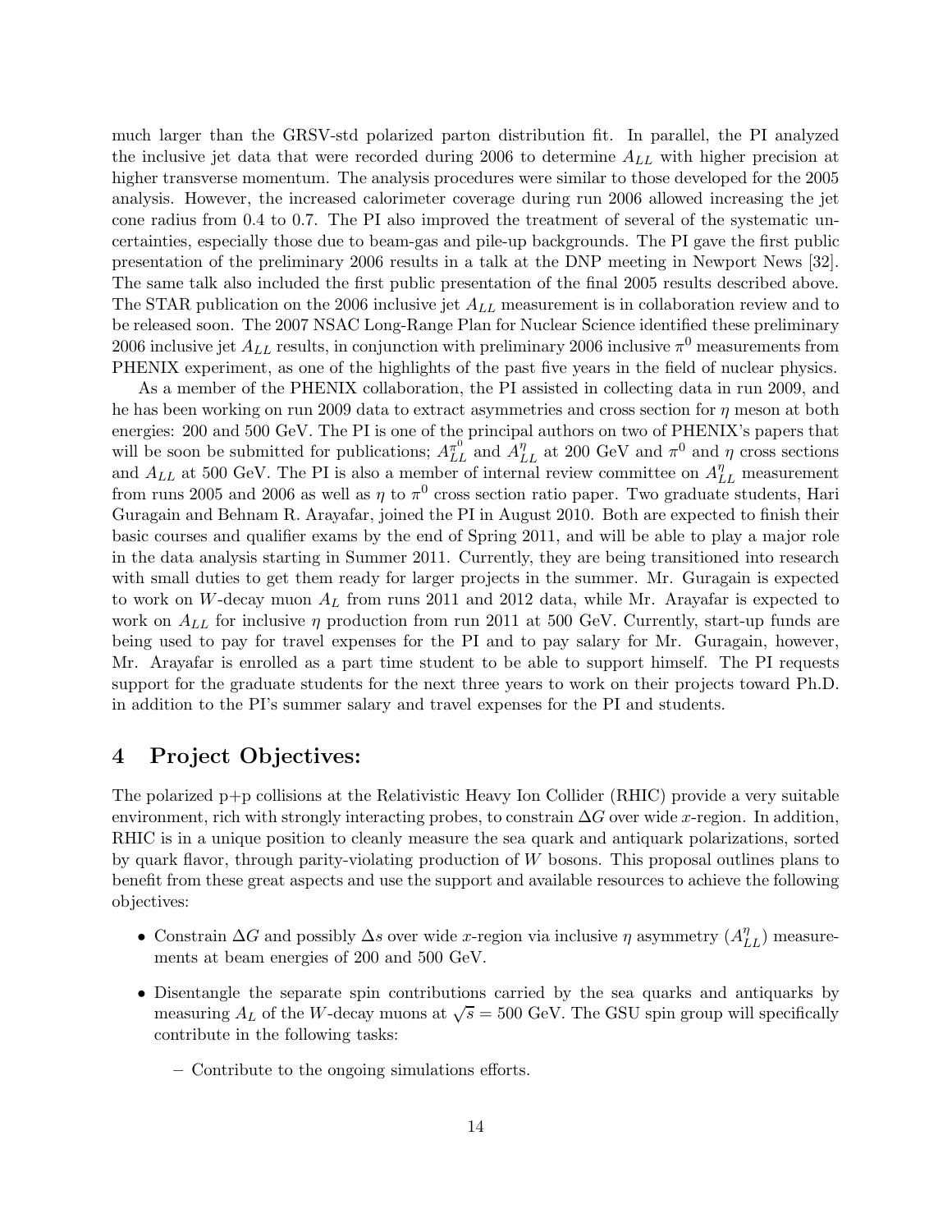much larger than the GRSV-std polarized parton distribution fit. In parallel, the PI analyzed the inclusive jet data that were recorded during 2006 to determine  $A_{LL}$  with higher precision at higher transverse momentum. The analysis procedures were similar to those developed for the 2005 analysis. However, the increased calorimeter coverage during run 2006 allowed increasing the jet cone radius from 0.4 to 0.7. The PI also improved the treatment of several of the systematic uncertainties, especially those due to beam-gas and pile-up backgrounds. The PI gave the first public presentation of the preliminary 2006 results in a talk at the DNP meeting in Newport News [32]. The same talk also included the first public presentation of the final 2005 results described above. The STAR publication on the 2006 inclusive jet  $A_{LL}$  measurement is in collaboration review and to be released soon. The 2007 NSAC Long-Range Plan for Nuclear Science identified these preliminary 2006 inclusive jet  $A_{LL}$  results, in conjunction with preliminary 2006 inclusive  $\pi^0$  measurements from PHENIX experiment, as one of the highlights of the past five years in the field of nuclear physics.

As a member of the PHENIX collaboration, the PI assisted in collecting data in run 2009, and he has been working on run 2009 data to extract asymmetries and cross section for  $\eta$  meson at both energies: 200 and 500 GeV. The PI is one of the principal authors on two of PHENIX's papers that will be soon be submitted for publications;  $A_{LL}^{\pi^0}$  and  $A_{LL}^{\eta}$  at 200 GeV and  $\pi^0$  and  $\eta$  cross sections<br>and  $A_{LL}$  at 500 GeV. The PL is also a member of internal review committee on  $A^{\eta}$ , measurement and  $A_{LL}$  at 500 GeV. The PI is also a member of internal review committee on  $A_{LL}^{\eta}$  measurement<br>from runs 2005 and 2006 as well as n to  $\pi^0$  cross section ratio paper. Two graduate students. Hari from runs 2005 and 2006 as well as  $\eta$  to  $\pi^0$  cross section ratio paper. Two graduate students, Hari Guragain and Behnam R. Arayafar, joined the PI in August 2010. Both are expected to finish their basic courses and qualifier exams by the end of Spring 2011, and will be able to play a major role in the data analysis starting in Summer 2011. Currently, they are being transitioned into research with small duties to get them ready for larger projects in the summer. Mr. Guragain is expected to work on W-decay muon  $A_L$  from runs 2011 and 2012 data, while Mr. Arayafar is expected to work on  $A_{LL}$  for inclusive  $\eta$  production from run 2011 at 500 GeV. Currently, start-up funds are being used to pay for travel expenses for the PI and to pay salary for Mr. Guragain, however, Mr. Arayafar is enrolled as a part time student to be able to support himself. The PI requests support for the graduate students for the next three years to work on their projects toward Ph.D. in addition to the PI's summer salary and travel expenses for the PI and students.

### **4 Project Objectives:**

The polarized p+p collisions at the Relativistic Heavy Ion Collider (RHIC) provide a very suitable environment, rich with strongly interacting probes, to constrain  $\Delta G$  over wide x-region. In addition, RHIC is in a unique position to cleanly measure the sea quark and antiquark polarizations, sorted by quark flavor, through parity-violating production of W bosons. This proposal outlines plans to benefit from these great aspects and use the support and available resources to achieve the following objectives:

- Constrain  $\Delta G$  and possibly  $\Delta s$  over wide x-region via inclusive  $\eta$  asymmetry  $(A_{LL}^{\eta})$  measure-<br>ments at beam energies of 200 and 500 GeV ments at beam energies of 200 and 500 GeV.
- Disentangle the separate spin contributions carried by the sea quarks and antiquarks by measuring  $A_L$  of the W-decay muons at  $\sqrt{s} = 500$  GeV. The GSU spin group will specifically contribute in the following tasks:
	- **–** Contribute to the ongoing simulations efforts.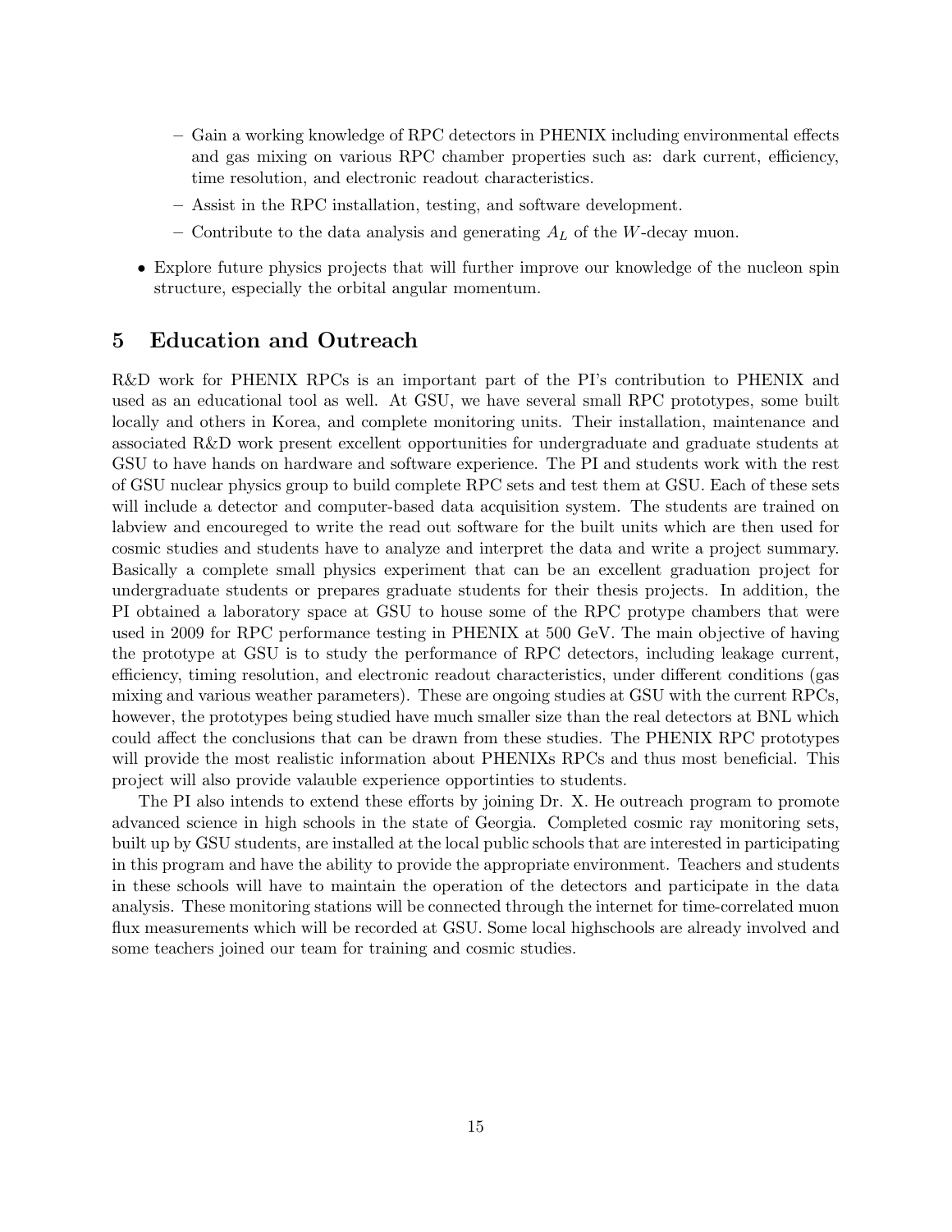- **–** Gain a working knowledge of RPC detectors in PHENIX including environmental effects and gas mixing on various RPC chamber properties such as: dark current, efficiency, time resolution, and electronic readout characteristics.
- **–** Assist in the RPC installation, testing, and software development.
- Contribute to the data analysis and generating  $A_L$  of the W-decay muon.
- Explore future physics projects that will further improve our knowledge of the nucleon spin structure, especially the orbital angular momentum.

### **5 Education and Outreach**

R&D work for PHENIX RPCs is an important part of the PI's contribution to PHENIX and used as an educational tool as well. At GSU, we have several small RPC prototypes, some built locally and others in Korea, and complete monitoring units. Their installation, maintenance and associated R&D work present excellent opportunities for undergraduate and graduate students at GSU to have hands on hardware and software experience. The PI and students work with the rest of GSU nuclear physics group to build complete RPC sets and test them at GSU. Each of these sets will include a detector and computer-based data acquisition system. The students are trained on labview and encoureged to write the read out software for the built units which are then used for cosmic studies and students have to analyze and interpret the data and write a project summary. Basically a complete small physics experiment that can be an excellent graduation project for undergraduate students or prepares graduate students for their thesis projects. In addition, the PI obtained a laboratory space at GSU to house some of the RPC protype chambers that were used in 2009 for RPC performance testing in PHENIX at 500 GeV. The main objective of having the prototype at GSU is to study the performance of RPC detectors, including leakage current, efficiency, timing resolution, and electronic readout characteristics, under different conditions (gas mixing and various weather parameters). These are ongoing studies at GSU with the current RPCs, however, the prototypes being studied have much smaller size than the real detectors at BNL which could affect the conclusions that can be drawn from these studies. The PHENIX RPC prototypes will provide the most realistic information about PHENIXs RPCs and thus most beneficial. This project will also provide valauble experience opportinties to students.

The PI also intends to extend these efforts by joining Dr. X. He outreach program to promote advanced science in high schools in the state of Georgia. Completed cosmic ray monitoring sets, built up by GSU students, are installed at the local public schools that are interested in participating in this program and have the ability to provide the appropriate environment. Teachers and students in these schools will have to maintain the operation of the detectors and participate in the data analysis. These monitoring stations will be connected through the internet for time-correlated muon flux measurements which will be recorded at GSU. Some local highschools are already involved and some teachers joined our team for training and cosmic studies.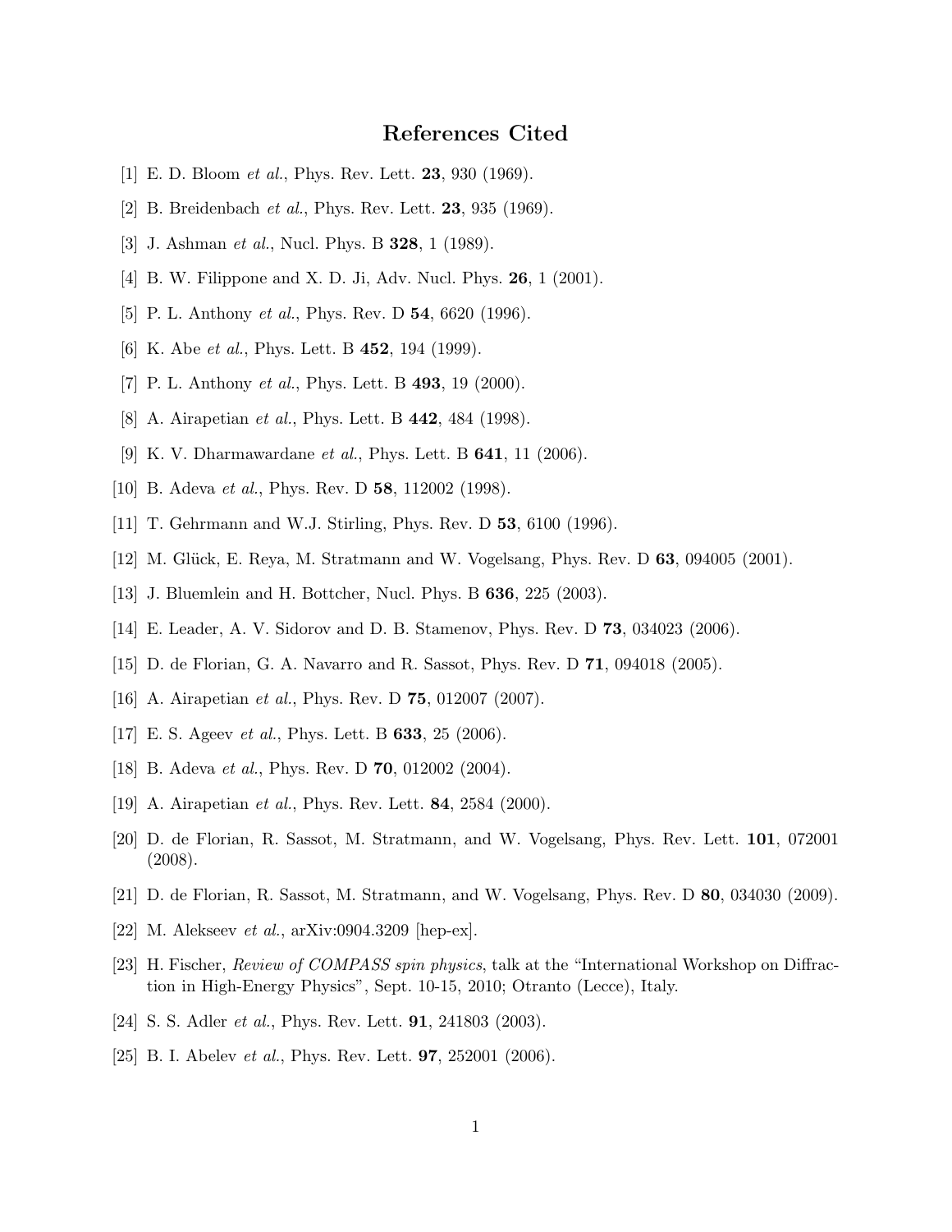### **References Cited**

- [1] E. D. Bloom et al., Phys. Rev. Lett. **23**, 930 (1969).
- [2] B. Breidenbach et al., Phys. Rev. Lett. **23**, 935 (1969).
- [3] J. Ashman et al., Nucl. Phys. B **328**, 1 (1989).
- [4] B. W. Filippone and X. D. Ji, Adv. Nucl. Phys. **26**, 1 (2001).
- [5] P. L. Anthony et al., Phys. Rev. D **54**, 6620 (1996).
- [6] K. Abe et al., Phys. Lett. B **452**, 194 (1999).
- [7] P. L. Anthony et al., Phys. Lett. B **493**, 19 (2000).
- [8] A. Airapetian et al., Phys. Lett. B **442**, 484 (1998).
- [9] K. V. Dharmawardane et al., Phys. Lett. B **641**, 11 (2006).
- [10] B. Adeva et al., Phys. Rev. D **58**, 112002 (1998).
- [11] T. Gehrmann and W.J. Stirling, Phys. Rev. D **53**, 6100 (1996).
- [12] M. Glück, E. Reya, M. Stratmann and W. Vogelsang, Phys. Rev. D **63**, 094005 (2001).
- [13] J. Bluemlein and H. Bottcher, Nucl. Phys. B **636**, 225 (2003).
- [14] E. Leader, A. V. Sidorov and D. B. Stamenov, Phys. Rev. D **73**, 034023 (2006).
- [15] D. de Florian, G. A. Navarro and R. Sassot, Phys. Rev. D **71**, 094018 (2005).
- [16] A. Airapetian et al., Phys. Rev. D **75**, 012007 (2007).
- [17] E. S. Ageev et al., Phys. Lett. B **633**, 25 (2006).
- [18] B. Adeva et al., Phys. Rev. D **70**, 012002 (2004).
- [19] A. Airapetian et al., Phys. Rev. Lett. **84**, 2584 (2000).
- [20] D. de Florian, R. Sassot, M. Stratmann, and W. Vogelsang, Phys. Rev. Lett. **101**, 072001 (2008).
- [21] D. de Florian, R. Sassot, M. Stratmann, and W. Vogelsang, Phys. Rev. D **80**, 034030 (2009).
- [22] M. Alekseev *et al.*,  $arXiv:0904.3209$  [hep-ex].
- [23] H. Fischer, Review of COMPASS spin physics, talk at the "International Workshop on Diffraction in High-Energy Physics", Sept. 10-15, 2010; Otranto (Lecce), Italy.
- [24] S. S. Adler et al., Phys. Rev. Lett. **91**, 241803 (2003).
- [25] B. I. Abelev et al., Phys. Rev. Lett. **97**, 252001 (2006).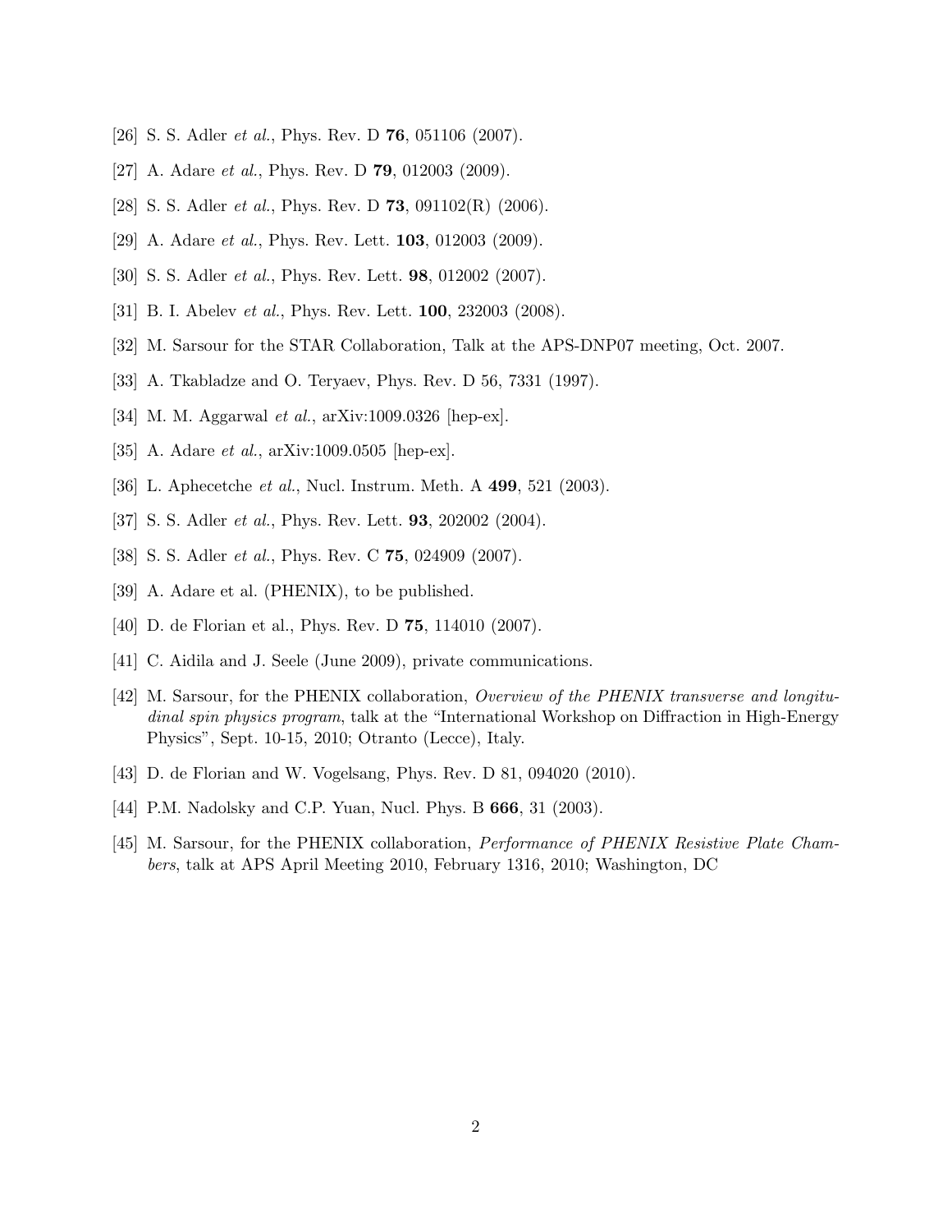- [26] S. S. Adler et al., Phys. Rev. D **76**, 051106 (2007).
- [27] A. Adare et al., Phys. Rev. D **79**, 012003 (2009).
- [28] S. S. Adler et al., Phys. Rev. D **73**, 091102(R) (2006).
- [29] A. Adare et al., Phys. Rev. Lett. **103**, 012003 (2009).
- [30] S. S. Adler et al., Phys. Rev. Lett. **98**, 012002 (2007).
- [31] B. I. Abelev et al., Phys. Rev. Lett. **100**, 232003 (2008).
- [32] M. Sarsour for the STAR Collaboration, Talk at the APS-DNP07 meeting, Oct. 2007.
- [33] A. Tkabladze and O. Teryaev, Phys. Rev. D 56, 7331 (1997).
- [34] M. M. Aggarwal et al., arXiv:1009.0326 [hep-ex].
- [35] A. Adare *et al.*, arXiv:1009.0505 [hep-ex].
- [36] L. Aphecetche et al., Nucl. Instrum. Meth. A **499**, 521 (2003).
- [37] S. S. Adler et al., Phys. Rev. Lett. **93**, 202002 (2004).
- [38] S. S. Adler et al., Phys. Rev. C **75**, 024909 (2007).
- [39] A. Adare et al. (PHENIX), to be published.
- [40] D. de Florian et al., Phys. Rev. D **75**, 114010 (2007).
- [41] C. Aidila and J. Seele (June 2009), private communications.
- [42] M. Sarsour, for the PHENIX collaboration, Overview of the PHENIX transverse and longitudinal spin physics program, talk at the "International Workshop on Diffraction in High-Energy Physics", Sept. 10-15, 2010; Otranto (Lecce), Italy.
- [43] D. de Florian and W. Vogelsang, Phys. Rev. D 81, 094020 (2010).
- [44] P.M. Nadolsky and C.P. Yuan, Nucl. Phys. B **666**, 31 (2003).
- [45] M. Sarsour, for the PHENIX collaboration, Performance of PHENIX Resistive Plate Chambers, talk at APS April Meeting 2010, February 1316, 2010; Washington, DC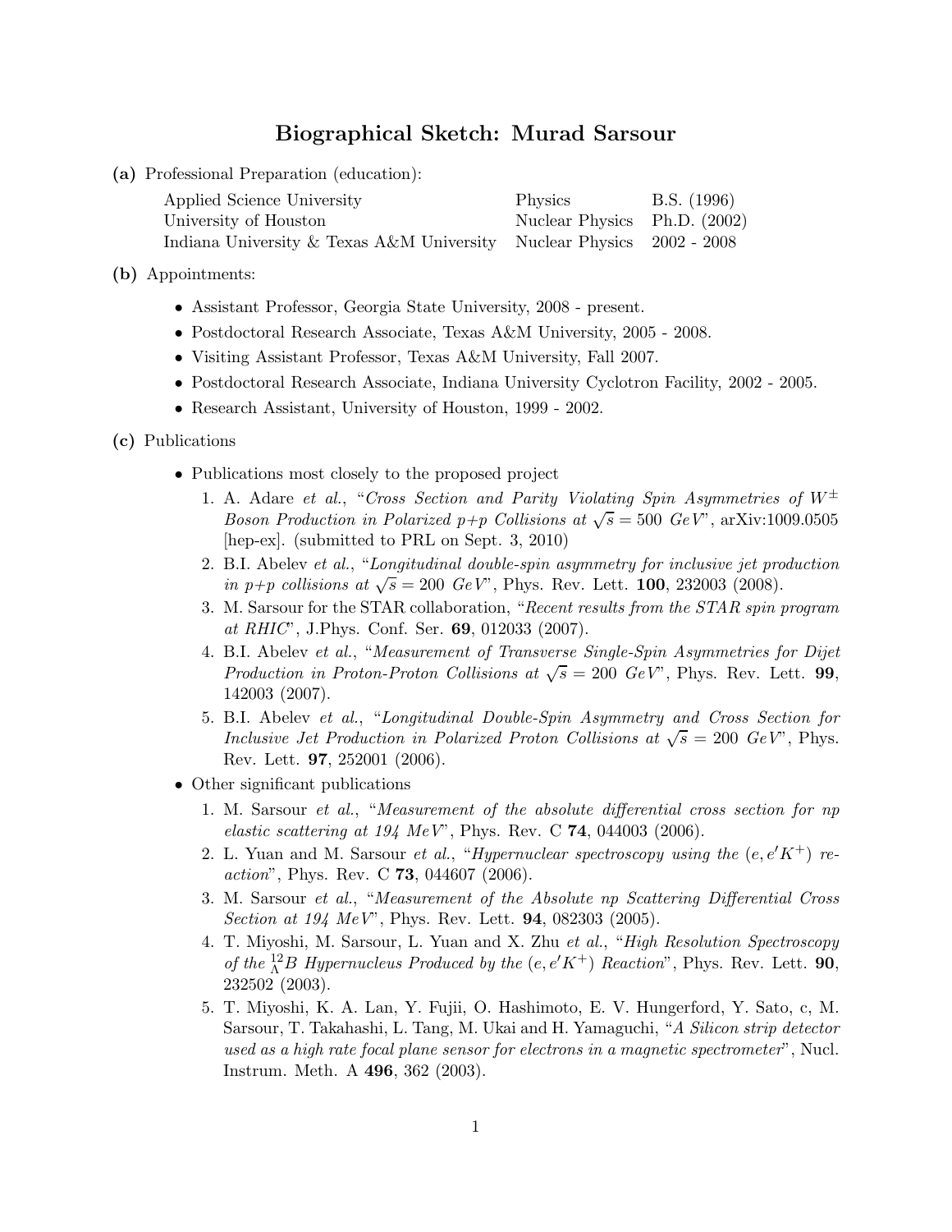# **Biographical Sketch: Murad Sarsour**

**(a)** Professional Preparation (education):

| Applied Science University                                            | Physics                      | B.S. (1996) |
|-----------------------------------------------------------------------|------------------------------|-------------|
| University of Houston                                                 | Nuclear Physics Ph.D. (2002) |             |
| Indiana University & Texas A&M University Nuclear Physics 2002 - 2008 |                              |             |

### **(b)** Appointments:

- Assistant Professor, Georgia State University, 2008 present.
- Postdoctoral Research Associate, Texas A&M University, 2005 2008.
- Visiting Assistant Professor, Texas A&M University, Fall 2007.
- Postdoctoral Research Associate, Indiana University Cyclotron Facility, 2002 2005.
- Research Assistant, University of Houston, 1999 2002.

### **(c)** Publications

- Publications most closely to the proposed project
	- 1. A. Adare et al., "Cross Section and Parity Violating Spin Asymmetries of  $W^{\pm}$ Boson Production in Polarized p+p Collisions at  $\sqrt{s} = 500 \text{ GeV}$ , arXiv:1009.0505 [hep-ex]. (submitted to PRL on Sept. 3, 2010)
	- 2. B.I. Abelev et al., "Longitudinal double-spin asymmetry for inclusive jet production in p+p collisions at  $\sqrt{s} = 200$  GeV", Phys. Rev. Lett. **100**, 232003 (2008).
	- 3. M. Sarsour for the STAR collaboration, "Recent results from the STAR spin program at RHIC", J.Phys. Conf. Ser. **69**, 012033 (2007).
	- 4. B.I. Abelev et al., "Measurement of Transverse Single-Spin Asymmetries for Dijet Production in Proton-Proton Collisions at  $\sqrt{s} = 200$  GeV", Phys. Rev. Lett. **99**, 142003 (2007).
	- 5. B.I. Abelev et al., "Longitudinal Double-Spin Asymmetry and Cross Section for Inclusive Jet Production in Polarized Proton Collisions at  $\sqrt{s} = 200 \text{ GeV}$ , Phys. Rev. Lett. **97**, 252001 (2006).
- Other significant publications
	- 1. M. Sarsour et al., "Measurement of the absolute differential cross section for np elastic scattering at 194 MeV", Phys. Rev. C **74**, 044003 (2006).
	- 2. L. Yuan and M. Sarsour et al., "Hypernuclear spectroscopy using the  $(e, e'K^+)$  reaction", Phys. Rev. C **73**, 044607 (2006).
	- 3. M. Sarsour et al., "Measurement of the Absolute np Scattering Differential Cross Section at 194 MeV", Phys. Rev. Lett. **94**, 082303 (2005).
	- 4. T. Miyoshi, M. Sarsour, L. Yuan and X. Zhu et al., "High Resolution Spectroscopy of the  $^{12}_{\Lambda}B$  Hypernucleus Produced by the  $(e, e'K^+)$  Reaction", Phys. Rev. Lett. **90**, 232502 (2003).
	- 5. T. Miyoshi, K. A. Lan, Y. Fujii, O. Hashimoto, E. V. Hungerford, Y. Sato, c, M. Sarsour, T. Takahashi, L. Tang, M. Ukai and H. Yamaguchi, "A Silicon strip detector used as a high rate focal plane sensor for electrons in a magnetic spectrometer", Nucl. Instrum. Meth. A **496**, 362 (2003).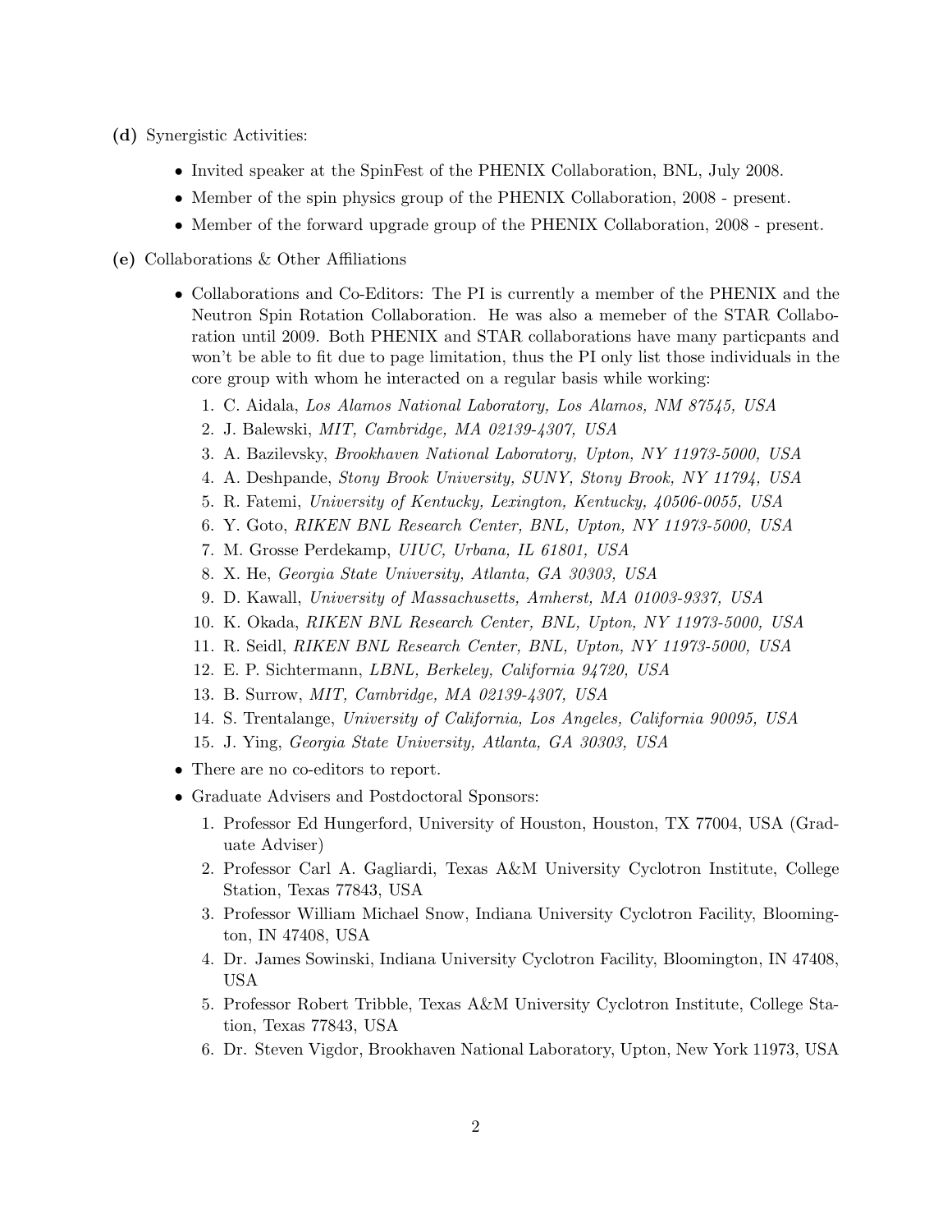- **(d)** Synergistic Activities:
	- Invited speaker at the SpinFest of the PHENIX Collaboration, BNL, July 2008.
	- Member of the spin physics group of the PHENIX Collaboration, 2008 present.
	- Member of the forward upgrade group of the PHENIX Collaboration, 2008 present.
- **(e)** Collaborations & Other Affiliations
	- Collaborations and Co-Editors: The PI is currently a member of the PHENIX and the Neutron Spin Rotation Collaboration. He was also a memeber of the STAR Collaboration until 2009. Both PHENIX and STAR collaborations have many particpants and won't be able to fit due to page limitation, thus the PI only list those individuals in the core group with whom he interacted on a regular basis while working:
		- 1. C. Aidala, Los Alamos National Laboratory, Los Alamos, NM 87545, USA
		- 2. J. Balewski, MIT, Cambridge, MA 02139-4307, USA
		- 3. A. Bazilevsky, Brookhaven National Laboratory, Upton, NY 11973-5000, USA
		- 4. A. Deshpande, Stony Brook University, SUNY, Stony Brook, NY 11794, USA
		- 5. R. Fatemi, University of Kentucky, Lexington, Kentucky, 40506-0055, USA
		- 6. Y. Goto, RIKEN BNL Research Center, BNL, Upton, NY 11973-5000, USA
		- 7. M. Grosse Perdekamp, UIUC, Urbana, IL 61801, USA
		- 8. X. He, Georgia State University, Atlanta, GA 30303, USA
		- 9. D. Kawall, University of Massachusetts, Amherst, MA 01003-9337, USA
		- 10. K. Okada, RIKEN BNL Research Center, BNL, Upton, NY 11973-5000, USA
		- 11. R. Seidl, RIKEN BNL Research Center, BNL, Upton, NY 11973-5000, USA
		- 12. E. P. Sichtermann, LBNL, Berkeley, California 94720, USA
		- 13. B. Surrow, MIT, Cambridge, MA 02139-4307, USA
		- 14. S. Trentalange, University of California, Los Angeles, California 90095, USA
		- 15. J. Ying, Georgia State University, Atlanta, GA 30303, USA
	- There are no co-editors to report.
	- Graduate Advisers and Postdoctoral Sponsors:
		- 1. Professor Ed Hungerford, University of Houston, Houston, TX 77004, USA (Graduate Adviser)
		- 2. Professor Carl A. Gagliardi, Texas A&M University Cyclotron Institute, College Station, Texas 77843, USA
		- 3. Professor William Michael Snow, Indiana University Cyclotron Facility, Bloomington, IN 47408, USA
		- 4. Dr. James Sowinski, Indiana University Cyclotron Facility, Bloomington, IN 47408, USA
		- 5. Professor Robert Tribble, Texas A&M University Cyclotron Institute, College Station, Texas 77843, USA
		- 6. Dr. Steven Vigdor, Brookhaven National Laboratory, Upton, New York 11973, USA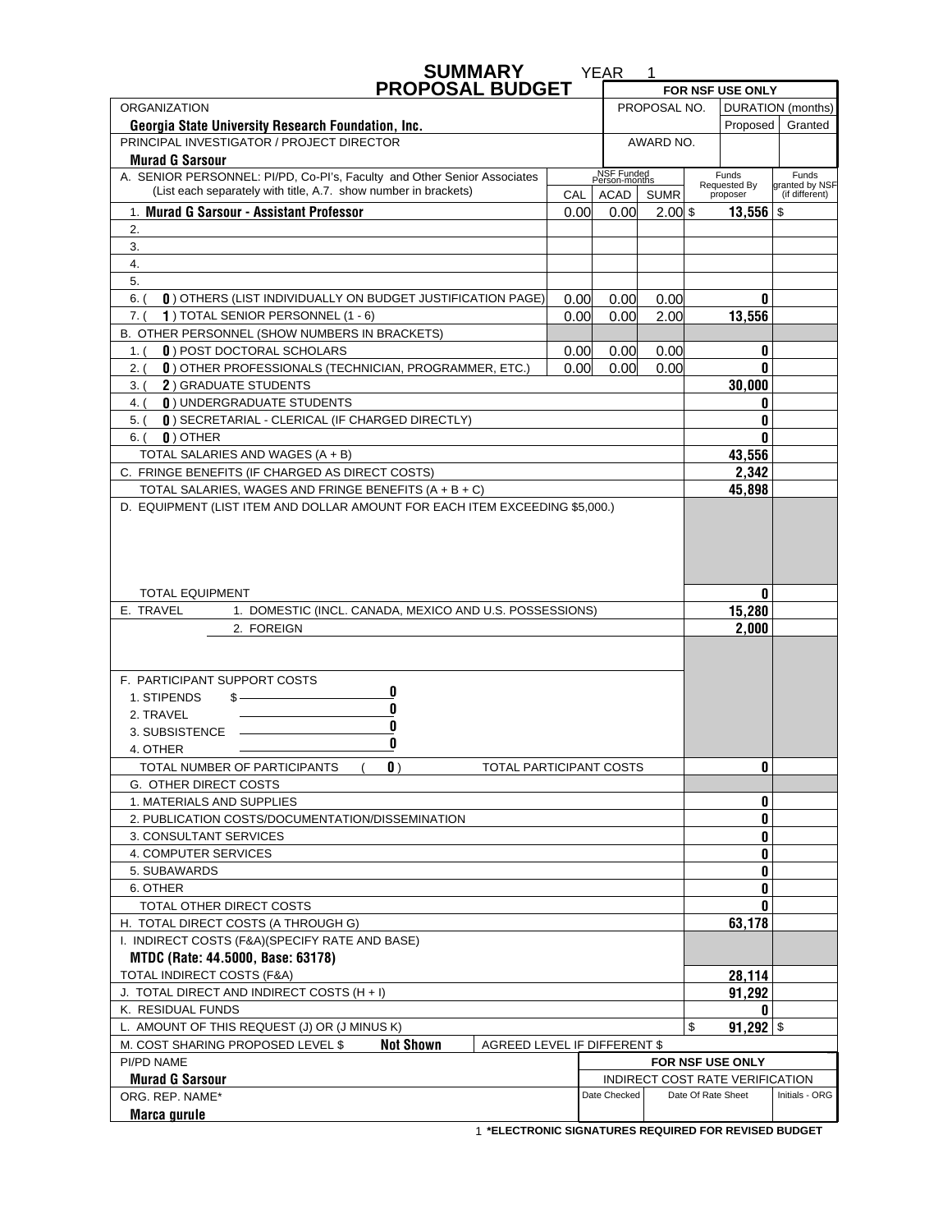| <b>SUMMARY</b>                                                                        |      | <b>YEAR</b>                 | 1            |                                 |                         |
|---------------------------------------------------------------------------------------|------|-----------------------------|--------------|---------------------------------|-------------------------|
| <b>PROPOSAL BUDGET</b>                                                                |      |                             |              | FOR NSF USE ONLY                |                         |
| <b>ORGANIZATION</b>                                                                   |      |                             | PROPOSAL NO. |                                 | DURATION (months)       |
| Georgia State University Research Foundation, Inc.                                    |      |                             |              | Proposed                        | Granted                 |
| PRINCIPAL INVESTIGATOR / PROJECT DIRECTOR                                             |      |                             | AWARD NO.    |                                 |                         |
| <b>Murad G Sarsour</b>                                                                |      |                             |              |                                 |                         |
| A. SENIOR PERSONNEL: PI/PD, Co-PI's, Faculty and Other Senior Associates              |      | NSF Funded<br>Person-months |              | Funds<br>Requested By           | Funds<br>granted by NSF |
| (List each separately with title, A.7. show number in brackets)                       | CAL  | ACAD                        | <b>SUMR</b>  | proposer                        | (if different)          |
| 1. Murad G Sarsour - Assistant Professor                                              | 0.00 | 0.00                        | $2.00$ \$    | $13,556$ \$                     |                         |
| 2.                                                                                    |      |                             |              |                                 |                         |
| 3.                                                                                    |      |                             |              |                                 |                         |
| 4.                                                                                    |      |                             |              |                                 |                         |
| 5.                                                                                    |      |                             |              |                                 |                         |
| <b>0) OTHERS (LIST INDIVIDUALLY ON BUDGET JUSTIFICATION PAGE)</b><br>$6.$ (           | 0.00 | 0.00                        | 0.00         | 0                               |                         |
| 1) TOTAL SENIOR PERSONNEL (1 - 6)<br>7. (                                             | 0.00 | 0.00                        | 2.00         | 13,556                          |                         |
| B. OTHER PERSONNEL (SHOW NUMBERS IN BRACKETS)                                         |      |                             |              |                                 |                         |
| <b>0</b> ) POST DOCTORAL SCHOLARS<br>1. (                                             | 0.00 | 0.00                        | 0.00         | 0                               |                         |
| 0) OTHER PROFESSIONALS (TECHNICIAN, PROGRAMMER, ETC.)<br>2. (                         | 0.00 | 0.00                        | 0.00         | 0                               |                         |
| 2) GRADUATE STUDENTS<br>3. (                                                          |      |                             |              | 30,000                          |                         |
| <b>0) UNDERGRADUATE STUDENTS</b><br>4. (                                              |      |                             |              | 0                               |                         |
| [ ) SECRETARIAL - CLERICAL (IF CHARGED DIRECTLY)<br>5. (                              |      |                             |              | 0                               |                         |
| $\mathbf{0}$ ) OTHER<br>6. (                                                          |      |                             |              | 0                               |                         |
| TOTAL SALARIES AND WAGES (A + B)                                                      |      |                             |              | 43,556                          |                         |
| C. FRINGE BENEFITS (IF CHARGED AS DIRECT COSTS)                                       |      |                             |              | 2,342                           |                         |
| TOTAL SALARIES, WAGES AND FRINGE BENEFITS (A + B + C)                                 |      |                             |              | 45,898                          |                         |
| D. EQUIPMENT (LIST ITEM AND DOLLAR AMOUNT FOR EACH ITEM EXCEEDING \$5,000.)           |      |                             |              |                                 |                         |
|                                                                                       |      |                             |              |                                 |                         |
|                                                                                       |      |                             |              |                                 |                         |
|                                                                                       |      |                             |              |                                 |                         |
|                                                                                       |      |                             |              |                                 |                         |
| <b>TOTAL EQUIPMENT</b>                                                                |      |                             |              | 0                               |                         |
| E. TRAVEL<br>1. DOMESTIC (INCL. CANADA, MEXICO AND U.S. POSSESSIONS)                  |      |                             |              | 15,280                          |                         |
| 2. FOREIGN                                                                            |      |                             |              | 2,000                           |                         |
|                                                                                       |      |                             |              |                                 |                         |
|                                                                                       |      |                             |              |                                 |                         |
| F. PARTICIPANT SUPPORT COSTS                                                          |      |                             |              |                                 |                         |
| 0<br>1. STIPENDS<br>\$-                                                               |      |                             |              |                                 |                         |
| 0<br>2. TRAVEL                                                                        |      |                             |              |                                 |                         |
| 0<br>3. SUBSISTENCE                                                                   |      |                             |              |                                 |                         |
| 0<br>4. OTHER                                                                         |      |                             |              |                                 |                         |
| TOTAL NUMBER OF PARTICIPANTS<br>$\mathbf{0}$ )<br>TOTAL PARTICIPANT COSTS             |      |                             |              | 0                               |                         |
| G. OTHER DIRECT COSTS                                                                 |      |                             |              |                                 |                         |
| 1. MATERIALS AND SUPPLIES                                                             |      |                             |              | 0                               |                         |
| 2. PUBLICATION COSTS/DOCUMENTATION/DISSEMINATION                                      |      |                             |              | 0                               |                         |
| 3. CONSULTANT SERVICES                                                                |      |                             |              | 0                               |                         |
| 4. COMPUTER SERVICES                                                                  |      |                             |              | 0                               |                         |
| 5. SUBAWARDS                                                                          |      |                             |              | 0                               |                         |
| 6. OTHER                                                                              |      |                             |              | 0                               |                         |
|                                                                                       |      |                             |              | 0                               |                         |
| TOTAL OTHER DIRECT COSTS                                                              |      |                             |              |                                 |                         |
| H. TOTAL DIRECT COSTS (A THROUGH G)                                                   |      |                             |              | 63,178                          |                         |
| I. INDIRECT COSTS (F&A)(SPECIFY RATE AND BASE)                                        |      |                             |              |                                 |                         |
| MTDC (Rate: 44.5000, Base: 63178)                                                     |      |                             |              |                                 |                         |
| TOTAL INDIRECT COSTS (F&A)                                                            |      |                             |              | 28,114                          |                         |
| J. TOTAL DIRECT AND INDIRECT COSTS (H + I)                                            |      |                             |              | 91,292                          |                         |
| K. RESIDUAL FUNDS                                                                     |      |                             |              | 0                               |                         |
| L. AMOUNT OF THIS REQUEST (J) OR (J MINUS K)                                          |      |                             |              | \$<br>91,292 $\frac{1}{2}$      |                         |
| <b>Not Shown</b><br>M. COST SHARING PROPOSED LEVEL \$<br>AGREED LEVEL IF DIFFERENT \$ |      |                             |              |                                 |                         |
| PI/PD NAME                                                                            |      |                             |              | FOR NSF USE ONLY                |                         |
| <b>Murad G Sarsour</b>                                                                |      |                             |              | INDIRECT COST RATE VERIFICATION |                         |
| ORG. REP. NAME*                                                                       |      | Date Checked                |              | Date Of Rate Sheet              | Initials - ORG          |
| Marca gurule                                                                          |      |                             |              |                                 |                         |

 **\*ELECTRONIC SIGNATURES REQUIRED FOR REVISED BUDGET** 1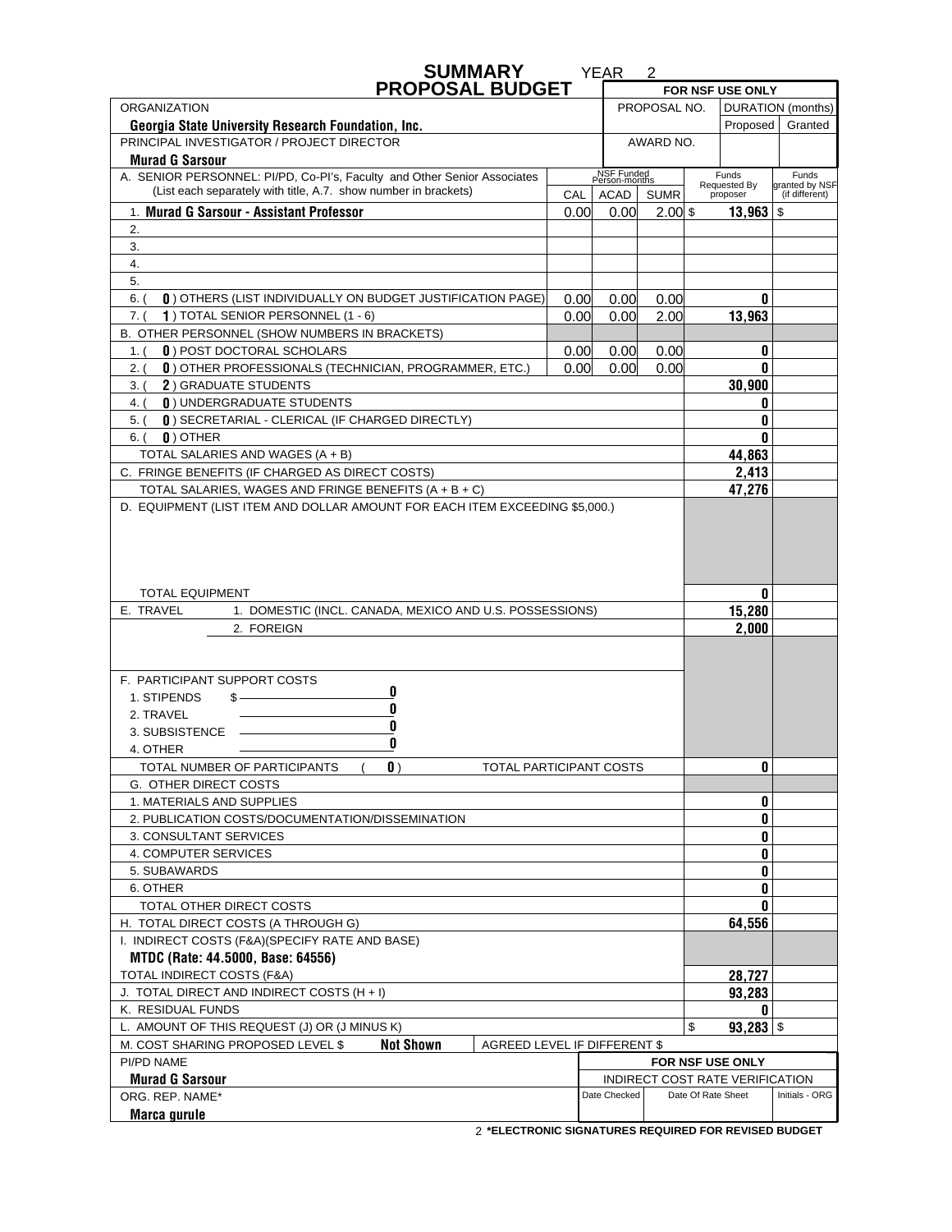| <b>SUMMARY</b>                                                                        |                   | <b>YEAR</b>                 | $\overline{2}$ |                                 |                         |
|---------------------------------------------------------------------------------------|-------------------|-----------------------------|----------------|---------------------------------|-------------------------|
| <b>PROPOSAL BUDGET</b>                                                                |                   |                             |                | FOR NSF USE ONLY                |                         |
| <b>ORGANIZATION</b>                                                                   |                   |                             | PROPOSAL NO.   |                                 | DURATION (months)       |
| Georgia State University Research Foundation, Inc.                                    |                   |                             |                | Proposed                        | Granted                 |
| PRINCIPAL INVESTIGATOR / PROJECT DIRECTOR                                             |                   |                             | AWARD NO.      |                                 |                         |
| <b>Murad G Sarsour</b>                                                                |                   |                             |                |                                 |                         |
| A. SENIOR PERSONNEL: PI/PD, Co-PI's, Faculty and Other Senior Associates              |                   | NSF Funded<br>Person-months |                | Funds<br>Requested By           | Funds<br>granted by NSF |
| (List each separately with title, A.7. show number in brackets)                       | CAL               | ACAD                        | <b>SUMR</b>    | proposer                        | (if different)          |
| 1. Murad G Sarsour - Assistant Professor                                              | 0.00 <sub>l</sub> | 0.00                        | $2.00$ \$      | 13,963                          | \$                      |
| 2.                                                                                    |                   |                             |                |                                 |                         |
| 3.                                                                                    |                   |                             |                |                                 |                         |
| 4.                                                                                    |                   |                             |                |                                 |                         |
| 5.                                                                                    |                   |                             |                |                                 |                         |
| <b>0) OTHERS (LIST INDIVIDUALLY ON BUDGET JUSTIFICATION PAGE)</b><br>$6.$ (           | 0.00              | 0.00                        | 0.00           | 0                               |                         |
| 1) TOTAL SENIOR PERSONNEL (1 - 6)<br>7. (                                             | 0.00              | 0.00                        | 2.00           | 13,963                          |                         |
| B. OTHER PERSONNEL (SHOW NUMBERS IN BRACKETS)                                         |                   |                             |                |                                 |                         |
| <b>0</b> ) POST DOCTORAL SCHOLARS<br>1. (                                             | 0.00              | 0.00                        | 0.00           | 0                               |                         |
| 0) OTHER PROFESSIONALS (TECHNICIAN, PROGRAMMER, ETC.)<br>2. (                         | 0.00              | 0.00                        | 0.00           | 0                               |                         |
| 2) GRADUATE STUDENTS<br>3. (                                                          |                   |                             |                | 30,900                          |                         |
| <b>0) UNDERGRADUATE STUDENTS</b><br>4. (                                              |                   |                             |                | 0                               |                         |
| 0) SECRETARIAL - CLERICAL (IF CHARGED DIRECTLY)<br>5. (                               |                   |                             |                | 0                               |                         |
| $\mathbf{0}$ ) OTHER<br>$6.$ (                                                        |                   |                             |                | 0                               |                         |
| TOTAL SALARIES AND WAGES (A + B)                                                      |                   |                             |                | 44,863                          |                         |
| C. FRINGE BENEFITS (IF CHARGED AS DIRECT COSTS)                                       |                   |                             |                | 2,413                           |                         |
| TOTAL SALARIES, WAGES AND FRINGE BENEFITS (A + B + C)                                 |                   |                             |                | 47,276                          |                         |
| D. EQUIPMENT (LIST ITEM AND DOLLAR AMOUNT FOR EACH ITEM EXCEEDING \$5,000.)           |                   |                             |                |                                 |                         |
|                                                                                       |                   |                             |                |                                 |                         |
|                                                                                       |                   |                             |                |                                 |                         |
|                                                                                       |                   |                             |                |                                 |                         |
|                                                                                       |                   |                             |                |                                 |                         |
|                                                                                       |                   |                             |                |                                 |                         |
| <b>TOTAL EQUIPMENT</b>                                                                |                   |                             |                | 0                               |                         |
| E. TRAVEL<br>1. DOMESTIC (INCL. CANADA, MEXICO AND U.S. POSSESSIONS)                  |                   |                             |                | 15,280                          |                         |
| 2. FOREIGN                                                                            |                   |                             |                | 2,000                           |                         |
|                                                                                       |                   |                             |                |                                 |                         |
|                                                                                       |                   |                             |                |                                 |                         |
| F. PARTICIPANT SUPPORT COSTS<br>0                                                     |                   |                             |                |                                 |                         |
| 1. STIPENDS<br>\$-<br>0                                                               |                   |                             |                |                                 |                         |
| 2. TRAVEL<br>0                                                                        |                   |                             |                |                                 |                         |
| 3. SUBSISTENCE<br>0                                                                   |                   |                             |                |                                 |                         |
| 4. OTHER                                                                              |                   |                             |                |                                 |                         |
| TOTAL NUMBER OF PARTICIPANTS<br>$\mathbf{0}$ )<br>TOTAL PARTICIPANT COSTS             |                   |                             |                | 0                               |                         |
| G. OTHER DIRECT COSTS                                                                 |                   |                             |                |                                 |                         |
| 1. MATERIALS AND SUPPLIES                                                             |                   |                             |                | 0                               |                         |
| 2. PUBLICATION COSTS/DOCUMENTATION/DISSEMINATION                                      |                   |                             |                | 0                               |                         |
| 3. CONSULTANT SERVICES                                                                |                   |                             |                | 0                               |                         |
| 4. COMPUTER SERVICES                                                                  |                   |                             |                | 0                               |                         |
| 5. SUBAWARDS                                                                          |                   |                             |                | 0                               |                         |
| 6. OTHER                                                                              |                   |                             |                | 0                               |                         |
| TOTAL OTHER DIRECT COSTS                                                              |                   |                             |                | 0                               |                         |
| H. TOTAL DIRECT COSTS (A THROUGH G)                                                   |                   |                             |                | 64,556                          |                         |
| I. INDIRECT COSTS (F&A)(SPECIFY RATE AND BASE)                                        |                   |                             |                |                                 |                         |
| MTDC (Rate: 44.5000, Base: 64556)                                                     |                   |                             |                |                                 |                         |
| <b>TOTAL INDIRECT COSTS (F&amp;A)</b>                                                 |                   |                             |                | 28,727                          |                         |
| J. TOTAL DIRECT AND INDIRECT COSTS (H + I)                                            |                   |                             |                | 93,283                          |                         |
| K. RESIDUAL FUNDS                                                                     |                   |                             |                | 0                               |                         |
|                                                                                       |                   |                             |                |                                 |                         |
| L. AMOUNT OF THIS REQUEST (J) OR (J MINUS K)                                          |                   |                             |                | \$<br>$93,283$ \$               |                         |
| <b>Not Shown</b><br>M. COST SHARING PROPOSED LEVEL \$<br>AGREED LEVEL IF DIFFERENT \$ |                   |                             |                |                                 |                         |
| PI/PD NAME                                                                            |                   |                             |                | FOR NSF USE ONLY                |                         |
| <b>Murad G Sarsour</b>                                                                |                   |                             |                | INDIRECT COST RATE VERIFICATION |                         |
| ORG. REP. NAME*                                                                       |                   | Date Checked                |                | Date Of Rate Sheet              | Initials - ORG          |
| <b>Marca gurule</b>                                                                   |                   |                             |                |                                 |                         |

 **\*ELECTRONIC SIGNATURES REQUIRED FOR REVISED BUDGET** 2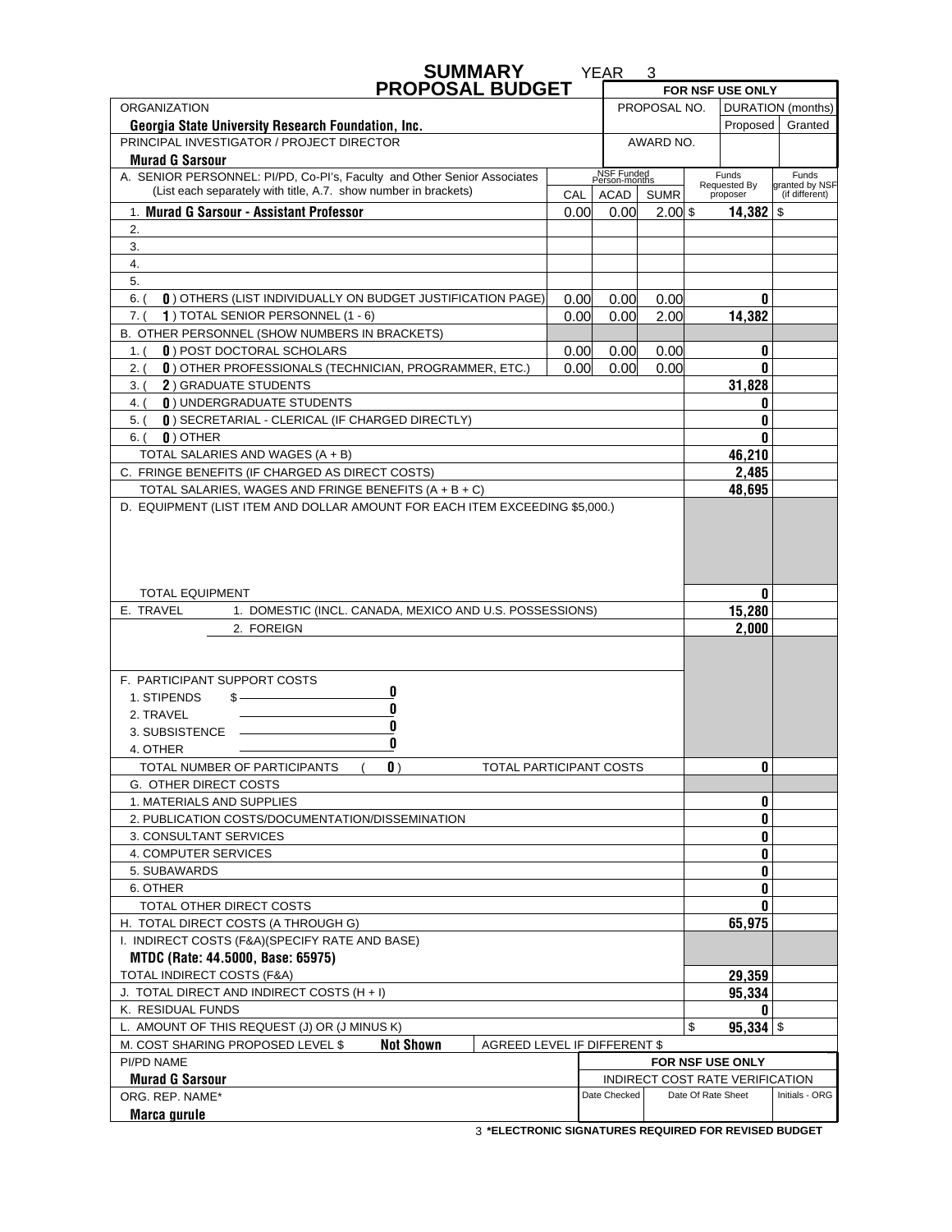| <b>SUMMARY</b>                                                                                                                              |      | <b>YEAR</b>                 | 3            |                                 |                         |
|---------------------------------------------------------------------------------------------------------------------------------------------|------|-----------------------------|--------------|---------------------------------|-------------------------|
| <b>PROPOSAL BUDGET</b>                                                                                                                      |      |                             |              | FOR NSF USE ONLY                |                         |
| <b>ORGANIZATION</b>                                                                                                                         |      |                             | PROPOSAL NO. |                                 | DURATION (months)       |
| Georgia State University Research Foundation, Inc.                                                                                          |      |                             |              | Proposed                        | Granted                 |
| PRINCIPAL INVESTIGATOR / PROJECT DIRECTOR                                                                                                   |      |                             | AWARD NO.    |                                 |                         |
| <b>Murad G Sarsour</b>                                                                                                                      |      |                             |              |                                 |                         |
| A. SENIOR PERSONNEL: PI/PD, Co-PI's, Faculty and Other Senior Associates<br>(List each separately with title, A.7. show number in brackets) |      | NSF Funded<br>Person-months |              | Funds<br>Requested By           | Funds<br>granted by NSF |
|                                                                                                                                             | CAL  | ACAD                        | <b>SUMR</b>  | proposer                        | (if different)          |
| 1. Murad G Sarsour - Assistant Professor                                                                                                    | 0.00 | 0.00                        | $2.00$ \$    | 14,382 $\frac{1}{3}$            |                         |
| 2.                                                                                                                                          |      |                             |              |                                 |                         |
| 3.<br>4.                                                                                                                                    |      |                             |              |                                 |                         |
| 5.                                                                                                                                          |      |                             |              |                                 |                         |
| $6.$ (<br><b>0) OTHERS (LIST INDIVIDUALLY ON BUDGET JUSTIFICATION PAGE)</b>                                                                 | 0.00 | 0.00                        | 0.00         | 0                               |                         |
| 1) TOTAL SENIOR PERSONNEL (1 - 6)<br>7. (                                                                                                   | 0.00 | 0.00                        | 2.00         | 14,382                          |                         |
| B. OTHER PERSONNEL (SHOW NUMBERS IN BRACKETS)                                                                                               |      |                             |              |                                 |                         |
| <b>0</b> ) POST DOCTORAL SCHOLARS<br>1. (                                                                                                   | 0.00 | 0.00                        | 0.00         | 0                               |                         |
| 0) OTHER PROFESSIONALS (TECHNICIAN, PROGRAMMER, ETC.)<br>2. (                                                                               | 0.00 | 0.00                        | 0.00         | 0                               |                         |
| 2) GRADUATE STUDENTS<br>3. (                                                                                                                |      |                             |              | 31,828                          |                         |
| <b>0) UNDERGRADUATE STUDENTS</b><br>4. (                                                                                                    |      |                             |              | 0                               |                         |
| 0) SECRETARIAL - CLERICAL (IF CHARGED DIRECTLY)<br>5. (                                                                                     |      |                             |              | 0                               |                         |
| $\mathbf{0}$ ) OTHER<br>$6.$ (                                                                                                              |      |                             |              | 0                               |                         |
| TOTAL SALARIES AND WAGES (A + B)                                                                                                            |      |                             |              | 46,210                          |                         |
| C. FRINGE BENEFITS (IF CHARGED AS DIRECT COSTS)                                                                                             |      |                             |              | 2,485                           |                         |
| TOTAL SALARIES, WAGES AND FRINGE BENEFITS (A + B + C)                                                                                       |      |                             |              | 48,695                          |                         |
| D. EQUIPMENT (LIST ITEM AND DOLLAR AMOUNT FOR EACH ITEM EXCEEDING \$5,000.)                                                                 |      |                             |              |                                 |                         |
|                                                                                                                                             |      |                             |              |                                 |                         |
| <b>TOTAL EQUIPMENT</b>                                                                                                                      |      |                             |              | 0                               |                         |
| E. TRAVEL<br>1. DOMESTIC (INCL. CANADA, MEXICO AND U.S. POSSESSIONS)                                                                        |      |                             |              | 15,280                          |                         |
| 2. FOREIGN                                                                                                                                  |      |                             |              | 2,000                           |                         |
|                                                                                                                                             |      |                             |              |                                 |                         |
| F. PARTICIPANT SUPPORT COSTS                                                                                                                |      |                             |              |                                 |                         |
| 0<br>1. STIPENDS<br>\$-                                                                                                                     |      |                             |              |                                 |                         |
| 0<br>2. TRAVEL                                                                                                                              |      |                             |              |                                 |                         |
| 0<br>3. SUBSISTENCE                                                                                                                         |      |                             |              |                                 |                         |
| 0<br>4. OTHER                                                                                                                               |      |                             |              |                                 |                         |
| TOTAL NUMBER OF PARTICIPANTS<br>$\mathbf{0}$ )<br>TOTAL PARTICIPANT COSTS                                                                   |      |                             |              | 0                               |                         |
| G. OTHER DIRECT COSTS                                                                                                                       |      |                             |              |                                 |                         |
| 1. MATERIALS AND SUPPLIES                                                                                                                   |      |                             |              | 0                               |                         |
| 2. PUBLICATION COSTS/DOCUMENTATION/DISSEMINATION                                                                                            |      |                             |              | 0                               |                         |
| 3. CONSULTANT SERVICES                                                                                                                      |      |                             |              | 0                               |                         |
| 4. COMPUTER SERVICES                                                                                                                        |      |                             |              | 0                               |                         |
| 5. SUBAWARDS                                                                                                                                |      |                             |              | 0                               |                         |
| 6. OTHER                                                                                                                                    |      |                             |              | 0                               |                         |
| TOTAL OTHER DIRECT COSTS                                                                                                                    |      |                             |              | 0                               |                         |
| H. TOTAL DIRECT COSTS (A THROUGH G)                                                                                                         |      |                             |              | 65,975                          |                         |
| I. INDIRECT COSTS (F&A)(SPECIFY RATE AND BASE)                                                                                              |      |                             |              |                                 |                         |
| MTDC (Rate: 44.5000, Base: 65975)                                                                                                           |      |                             |              |                                 |                         |
| TOTAL INDIRECT COSTS (F&A)                                                                                                                  |      |                             |              | 29,359                          |                         |
| J. TOTAL DIRECT AND INDIRECT COSTS (H + I)                                                                                                  |      |                             |              | 95,334                          |                         |
| K. RESIDUAL FUNDS                                                                                                                           |      |                             |              | 0                               |                         |
| L. AMOUNT OF THIS REQUEST (J) OR (J MINUS K)                                                                                                |      |                             |              | \$<br>$95,334$   \$             |                         |
| <b>Not Shown</b><br>M. COST SHARING PROPOSED LEVEL \$<br>AGREED LEVEL IF DIFFERENT \$                                                       |      |                             |              |                                 |                         |
| PI/PD NAME                                                                                                                                  |      |                             |              | FOR NSF USE ONLY                |                         |
| <b>Murad G Sarsour</b>                                                                                                                      |      |                             |              | INDIRECT COST RATE VERIFICATION |                         |
| ORG. REP. NAME*                                                                                                                             |      | Date Checked                |              | Date Of Rate Sheet              | Initials - ORG          |
| <b>Marca gurule</b>                                                                                                                         |      |                             |              |                                 |                         |

 **\*ELECTRONIC SIGNATURES REQUIRED FOR REVISED BUDGET** 3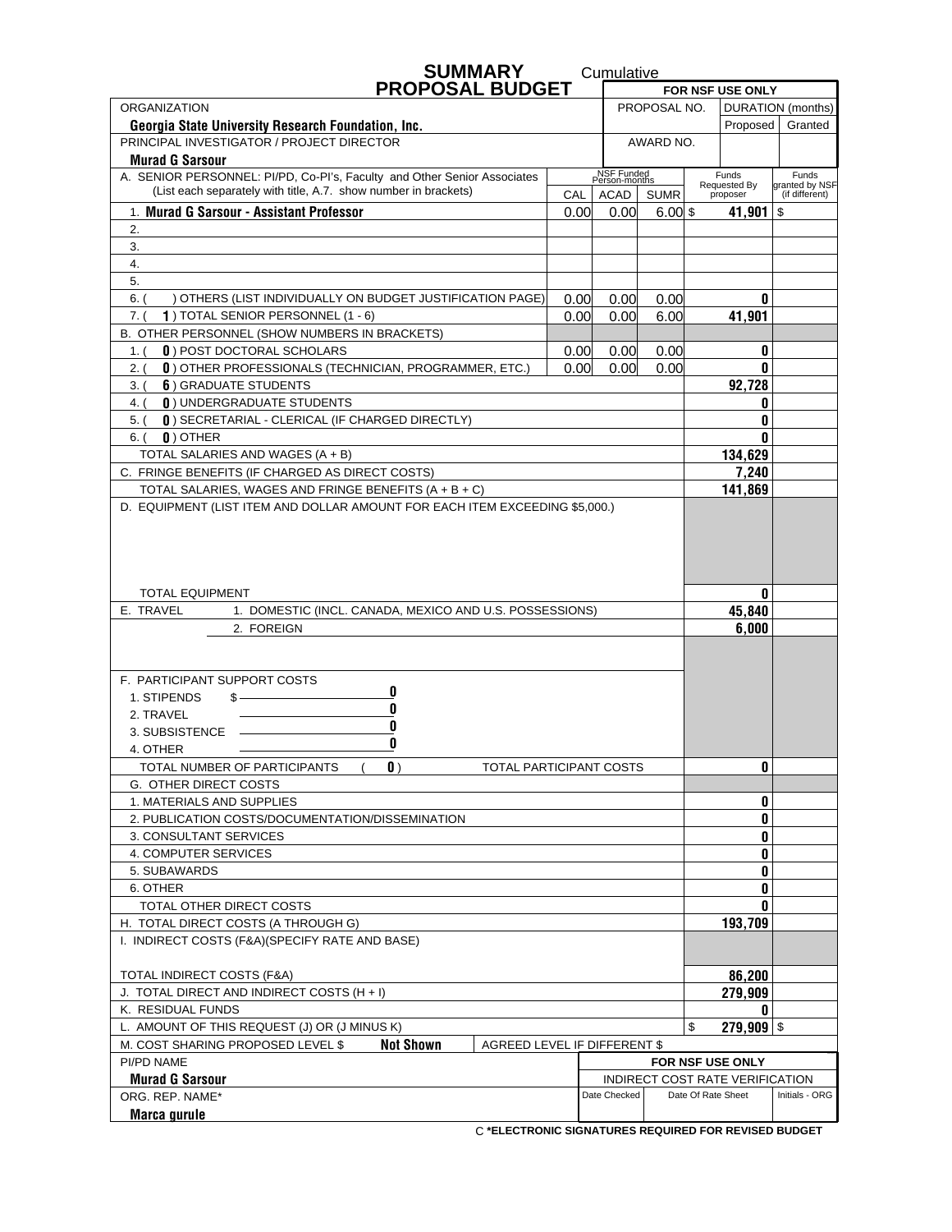| <b>SUMMARY</b>                                                                                 |      | Cumulative                  |              |                                                       |                         |
|------------------------------------------------------------------------------------------------|------|-----------------------------|--------------|-------------------------------------------------------|-------------------------|
| <b>PROPOSAL BUDGET</b>                                                                         |      |                             |              | FOR NSF USE ONLY                                      |                         |
| <b>ORGANIZATION</b>                                                                            |      |                             | PROPOSAL NO. |                                                       | DURATION (months)       |
| Georgia State University Research Foundation, Inc.                                             |      |                             |              | Proposed                                              | Granted                 |
| PRINCIPAL INVESTIGATOR / PROJECT DIRECTOR                                                      |      |                             | AWARD NO.    |                                                       |                         |
| <b>Murad G Sarsour</b>                                                                         |      |                             |              |                                                       |                         |
| A. SENIOR PERSONNEL: PI/PD, Co-PI's, Faculty and Other Senior Associates                       |      | NSF Funded<br>Person-months |              | Funds<br>Requested By                                 | Funds<br>granted by NSF |
| (List each separately with title, A.7. show number in brackets)                                | CAL  | ACAD                        | <b>SUMR</b>  | proposer                                              | (if different)          |
| 1. Murad G Sarsour - Assistant Professor                                                       | 0.00 | 0.00                        | $6.00$ \$    | 41,901                                                | \$                      |
| 2.                                                                                             |      |                             |              |                                                       |                         |
| 3.<br>4.                                                                                       |      |                             |              |                                                       |                         |
| 5.                                                                                             |      |                             |              |                                                       |                         |
| ) OTHERS (LIST INDIVIDUALLY ON BUDGET JUSTIFICATION PAGE)<br>6. (                              | 0.00 | 0.00                        | 0.00         | 0                                                     |                         |
| 1) TOTAL SENIOR PERSONNEL (1 - 6)<br>7. (                                                      | 0.00 | 0.00                        | 6.00         | 41,901                                                |                         |
| B. OTHER PERSONNEL (SHOW NUMBERS IN BRACKETS)                                                  |      |                             |              |                                                       |                         |
| <b>0</b> ) POST DOCTORAL SCHOLARS<br>1. (                                                      | 0.00 | 0.00                        | 0.00         | 0                                                     |                         |
| 0) OTHER PROFESSIONALS (TECHNICIAN, PROGRAMMER, ETC.)<br>2. (                                  | 0.00 | 0.00                        | 0.00         | 0                                                     |                         |
| 6) GRADUATE STUDENTS<br>3. (                                                                   |      |                             |              | 92,728                                                |                         |
| <b>0) UNDERGRADUATE STUDENTS</b><br>4. (                                                       |      |                             |              | 0                                                     |                         |
| [ ) SECRETARIAL - CLERICAL (IF CHARGED DIRECTLY)<br>5. (                                       |      |                             |              | 0                                                     |                         |
| $\mathbf{0}$ ) OTHER<br>6. (                                                                   |      |                             |              | 0                                                     |                         |
| TOTAL SALARIES AND WAGES (A + B)                                                               |      |                             |              | 134,629                                               |                         |
| C. FRINGE BENEFITS (IF CHARGED AS DIRECT COSTS)                                                |      |                             |              | 7,240                                                 |                         |
| TOTAL SALARIES, WAGES AND FRINGE BENEFITS (A + B + C)                                          |      |                             |              | 141,869                                               |                         |
| D. EQUIPMENT (LIST ITEM AND DOLLAR AMOUNT FOR EACH ITEM EXCEEDING \$5,000.)                    |      |                             |              |                                                       |                         |
|                                                                                                |      |                             |              | 0                                                     |                         |
| <b>TOTAL EQUIPMENT</b><br>E. TRAVEL<br>1. DOMESTIC (INCL. CANADA, MEXICO AND U.S. POSSESSIONS) |      |                             |              |                                                       |                         |
| 2. FOREIGN                                                                                     |      |                             |              | 45,840<br>6,000                                       |                         |
|                                                                                                |      |                             |              |                                                       |                         |
|                                                                                                |      |                             |              |                                                       |                         |
| F. PARTICIPANT SUPPORT COSTS                                                                   |      |                             |              |                                                       |                         |
| 0<br>1. STIPENDS<br>\$-                                                                        |      |                             |              |                                                       |                         |
| 0<br>2. TRAVEL                                                                                 |      |                             |              |                                                       |                         |
| 0<br>3. SUBSISTENCE                                                                            |      |                             |              |                                                       |                         |
| 0<br>4. OTHER                                                                                  |      |                             |              |                                                       |                         |
| TOTAL NUMBER OF PARTICIPANTS<br>$\mathbf{0}$ )<br>TOTAL PARTICIPANT COSTS                      |      |                             |              | 0                                                     |                         |
| G. OTHER DIRECT COSTS                                                                          |      |                             |              |                                                       |                         |
| 1. MATERIALS AND SUPPLIES                                                                      |      |                             |              | 0                                                     |                         |
| 2. PUBLICATION COSTS/DOCUMENTATION/DISSEMINATION                                               |      |                             |              | 0                                                     |                         |
| 3. CONSULTANT SERVICES                                                                         |      |                             |              | 0                                                     |                         |
| 4. COMPUTER SERVICES                                                                           |      |                             |              | 0                                                     |                         |
| 5. SUBAWARDS                                                                                   |      |                             |              | 0                                                     |                         |
| 6. OTHER                                                                                       |      |                             |              | 0                                                     |                         |
| TOTAL OTHER DIRECT COSTS                                                                       |      |                             |              | 0                                                     |                         |
| H. TOTAL DIRECT COSTS (A THROUGH G)                                                            |      |                             |              | 193,709                                               |                         |
| I. INDIRECT COSTS (F&A)(SPECIFY RATE AND BASE)                                                 |      |                             |              |                                                       |                         |
|                                                                                                |      |                             |              |                                                       |                         |
| TOTAL INDIRECT COSTS (F&A)                                                                     |      |                             |              | 86,200                                                |                         |
| J. TOTAL DIRECT AND INDIRECT COSTS (H + I)                                                     |      |                             |              | 279,909                                               |                         |
| K. RESIDUAL FUNDS                                                                              |      |                             |              | 0                                                     |                         |
| L. AMOUNT OF THIS REQUEST (J) OR (J MINUS K)                                                   |      |                             |              | \$<br>$279,909$ \$                                    |                         |
| <b>Not Shown</b><br>M. COST SHARING PROPOSED LEVEL \$<br>AGREED LEVEL IF DIFFERENT \$          |      |                             |              |                                                       |                         |
| PI/PD NAME                                                                                     |      |                             |              | FOR NSF USE ONLY                                      |                         |
| <b>Murad G Sarsour</b><br>ORG. REP. NAME*                                                      |      | Date Checked                |              | INDIRECT COST RATE VERIFICATION<br>Date Of Rate Sheet | Initials - ORG          |
| Marca gurule                                                                                   |      |                             |              |                                                       |                         |
|                                                                                                |      |                             |              |                                                       |                         |

 **\*ELECTRONIC SIGNATURES REQUIRED FOR REVISED BUDGET** C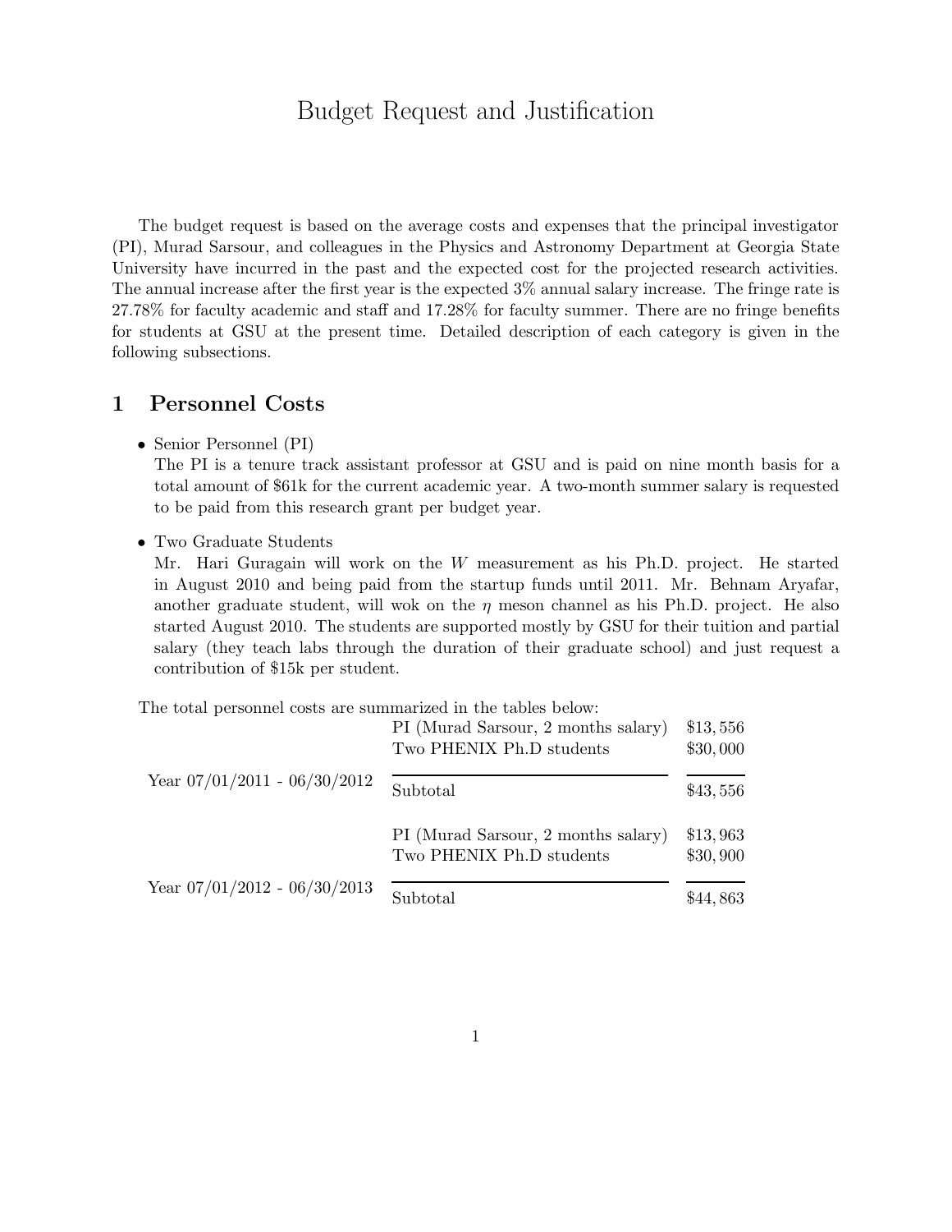# Budget Request and Justification

The budget request is based on the average costs and expenses that the principal investigator (PI), Murad Sarsour, and colleagues in the Physics and Astronomy Department at Georgia State University have incurred in the past and the expected cost for the projected research activities. The annual increase after the first year is the expected 3% annual salary increase. The fringe rate is 27.78% for faculty academic and staff and 17.28% for faculty summer. There are no fringe benefits for students at GSU at the present time. Detailed description of each category is given in the following subsections.

# **1 Personnel Costs**

• Senior Personnel (PI)

The PI is a tenure track assistant professor at GSU and is paid on nine month basis for a total amount of \$61k for the current academic year. A two-month summer salary is requested to be paid from this research grant per budget year.

• Two Graduate Students

Mr. Hari Guragain will work on the W measurement as his Ph.D. project. He started in August 2010 and being paid from the startup funds until 2011. Mr. Behnam Aryafar, another graduate student, will wok on the  $\eta$  meson channel as his Ph.D. project. He also started August 2010. The students are supported mostly by GSU for their tuition and partial salary (they teach labs through the duration of their graduate school) and just request a contribution of \$15k per student.

The total personnel costs are summarized in the tables below:

|                                | PI (Murad Sarsour, 2 months salary)<br>Two PHENIX Ph.D students | \$13,556<br>\$30,000 |
|--------------------------------|-----------------------------------------------------------------|----------------------|
| Year $07/01/2011 - 06/30/2012$ | Subtotal                                                        | \$43,556             |
|                                | PI (Murad Sarsour, 2 months salary)<br>Two PHENIX Ph.D students | \$13,963<br>\$30,900 |
| Year $07/01/2012 - 06/30/2013$ | Subtotal                                                        | \$44,863             |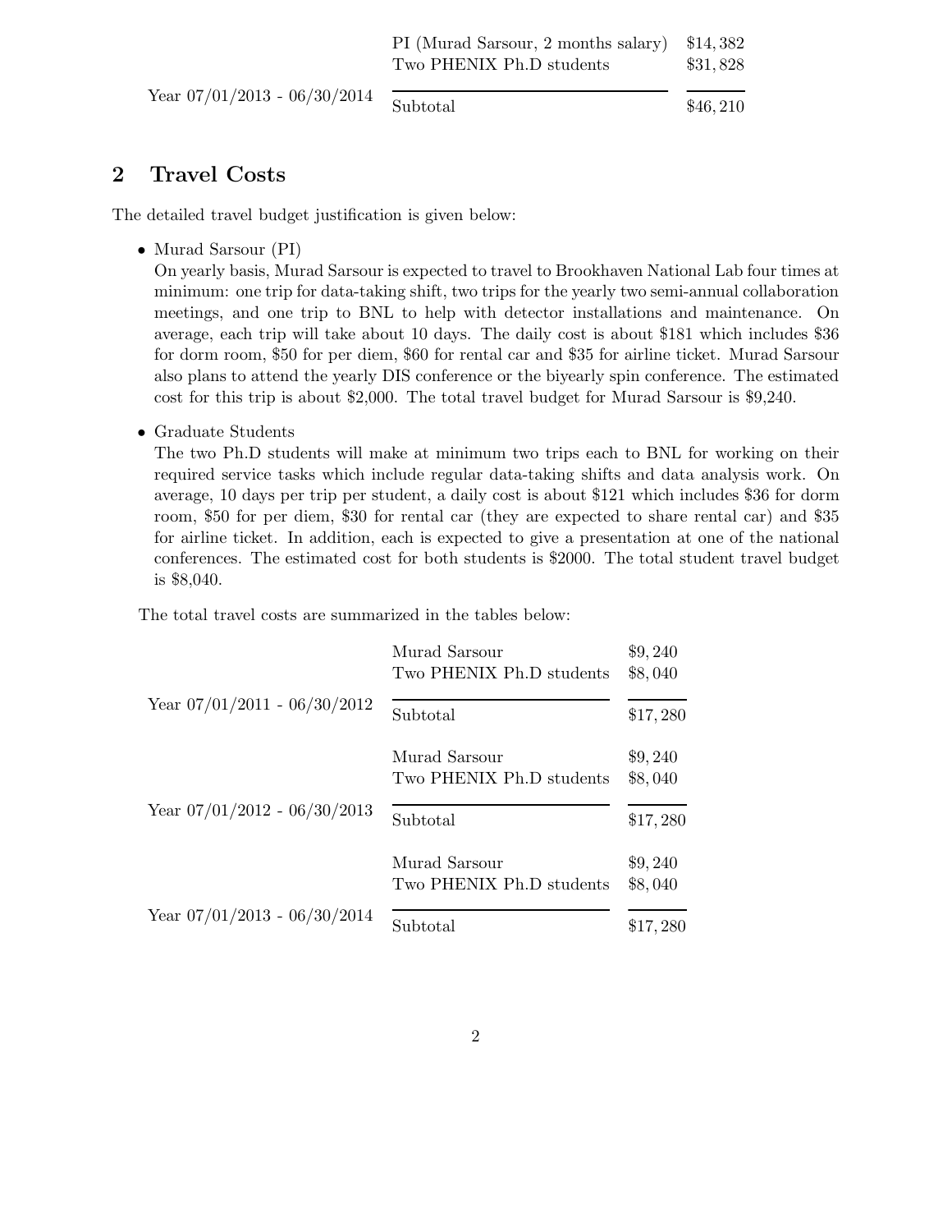|                                | PI (Murad Sarsour, 2 months salary) \$14,382<br>Two PHENIX Ph.D students | \$31,828 |
|--------------------------------|--------------------------------------------------------------------------|----------|
| Year $07/01/2013 - 06/30/2014$ | Subtotal                                                                 | \$46,210 |

# **2 Travel Costs**

The detailed travel budget justification is given below:

• Murad Sarsour *(PI)* 

On yearly basis, Murad Sarsour is expected to travel to Brookhaven National Lab four times at minimum: one trip for data-taking shift, two trips for the yearly two semi-annual collaboration meetings, and one trip to BNL to help with detector installations and maintenance. On average, each trip will take about 10 days. The daily cost is about \$181 which includes \$36 for dorm room, \$50 for per diem, \$60 for rental car and \$35 for airline ticket. Murad Sarsour also plans to attend the yearly DIS conference or the biyearly spin conference. The estimated cost for this trip is about \$2,000. The total travel budget for Murad Sarsour is \$9,240.

• Graduate Students

The two Ph.D students will make at minimum two trips each to BNL for working on their required service tasks which include regular data-taking shifts and data analysis work. On average, 10 days per trip per student, a daily cost is about \$121 which includes \$36 for dorm room, \$50 for per diem, \$30 for rental car (they are expected to share rental car) and \$35 for airline ticket. In addition, each is expected to give a presentation at one of the national conferences. The estimated cost for both students is \$2000. The total student travel budget is \$8,040.

The total travel costs are summarized in the tables below:

|                                | Murad Sarsour<br>Two PHENIX Ph.D students | \$9,240<br>\$8,040 |
|--------------------------------|-------------------------------------------|--------------------|
| Year $07/01/2011 - 06/30/2012$ | Subtotal                                  | \$17,280           |
|                                | Murad Sarsour<br>Two PHENIX Ph.D students | \$9,240<br>\$8,040 |
| Year $07/01/2012 - 06/30/2013$ | Subtotal                                  | \$17,280           |
|                                | Murad Sarsour<br>Two PHENIX Ph.D students | \$9,240<br>\$8,040 |
| Year $07/01/2013 - 06/30/2014$ | Subtotal                                  | \$17,280           |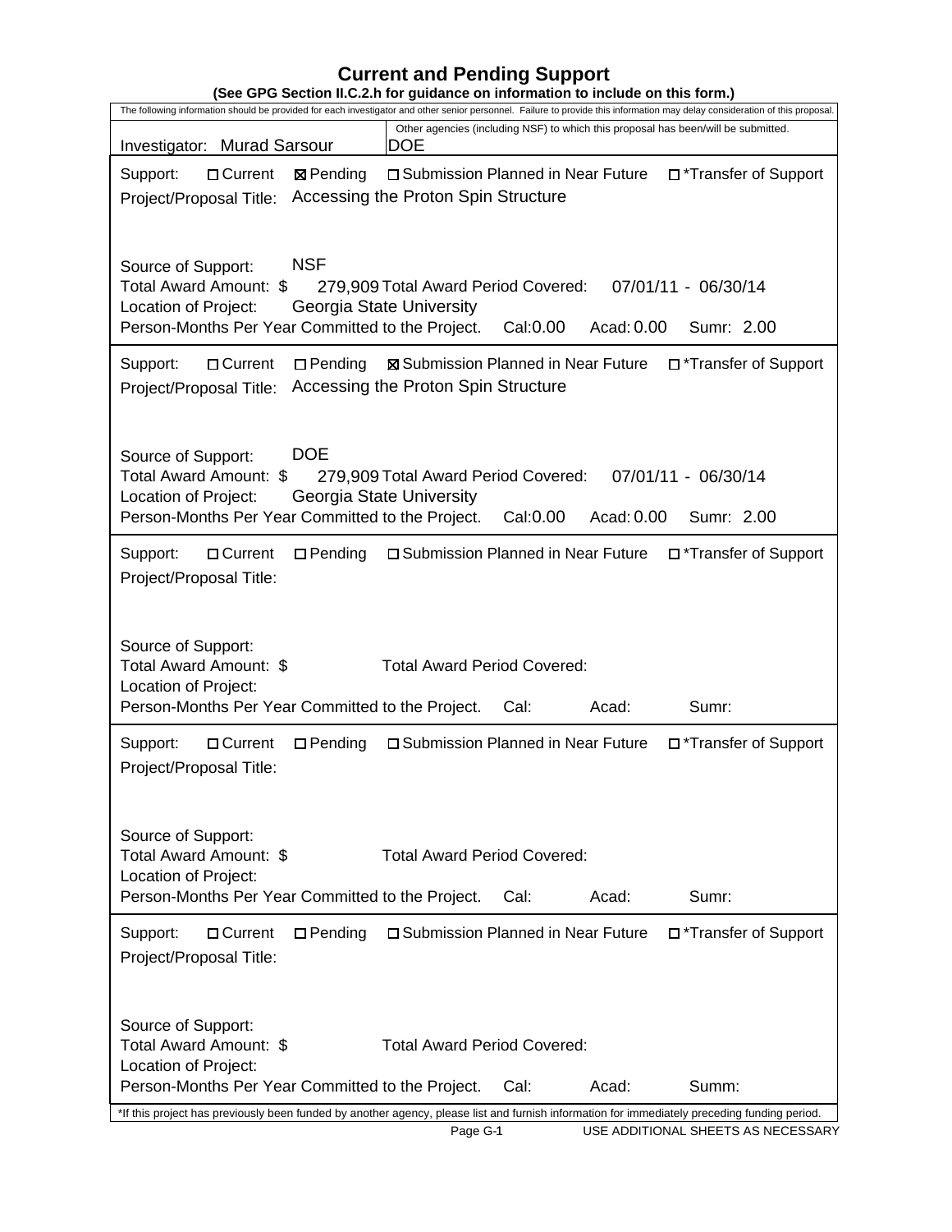### **Current and Pending Support (See GPG Section II.C.11 GITU III)**<br>(See GPG Section II.C.2.h for quidance on information to include on this form.)

| (See GPG Section il.C.Z.n for guidance on information to include on this form.)<br>The following information should be provided for each investigator and other senior personnel. Failure to provide this information may delay consideration of this proposal. |  |  |
|-----------------------------------------------------------------------------------------------------------------------------------------------------------------------------------------------------------------------------------------------------------------|--|--|
| Other agencies (including NSF) to which this proposal has been/will be submitted.                                                                                                                                                                               |  |  |
| <b>Investigator: Murad Sarsour</b><br><b>DOE</b>                                                                                                                                                                                                                |  |  |
| $\Box$ Current<br>□ Submission Planned in Near Future<br>□ *Transfer of Support<br>Support:<br><b>⊠</b> Pending                                                                                                                                                 |  |  |
| Accessing the Proton Spin Structure<br>Project/Proposal Title:                                                                                                                                                                                                  |  |  |
|                                                                                                                                                                                                                                                                 |  |  |
|                                                                                                                                                                                                                                                                 |  |  |
| <b>NSF</b><br>Source of Support:                                                                                                                                                                                                                                |  |  |
| 07/01/11 - 06/30/14<br>Total Award Amount: \$<br>279,909 Total Award Period Covered:                                                                                                                                                                            |  |  |
| Georgia State University<br>Location of Project:                                                                                                                                                                                                                |  |  |
| Person-Months Per Year Committed to the Project.<br>Cal:0.00<br>Acad: 0.00<br>Sumr: 2.00                                                                                                                                                                        |  |  |
|                                                                                                                                                                                                                                                                 |  |  |
| ⊠ Submission Planned in Near Future<br>Support:<br>□ Current<br>$\Box$ Pending<br>⊔*Transfer of Support                                                                                                                                                         |  |  |
| Accessing the Proton Spin Structure<br>Project/Proposal Title:                                                                                                                                                                                                  |  |  |
|                                                                                                                                                                                                                                                                 |  |  |
|                                                                                                                                                                                                                                                                 |  |  |
| <b>DOE</b><br>Source of Support:                                                                                                                                                                                                                                |  |  |
| Total Award Amount: \$<br>07/01/11 - 06/30/14<br>279,909 Total Award Period Covered:                                                                                                                                                                            |  |  |
| Georgia State University<br>Location of Project:                                                                                                                                                                                                                |  |  |
| Person-Months Per Year Committed to the Project.<br>Cal:0.00<br>Acad: 0.00<br>Sumr: 2.00                                                                                                                                                                        |  |  |
| □ Submission Planned in Near Future<br>Support:<br>□ Current<br>$\Box$ Pending<br>⊔*Transfer of Support                                                                                                                                                         |  |  |
| Project/Proposal Title:                                                                                                                                                                                                                                         |  |  |
|                                                                                                                                                                                                                                                                 |  |  |
|                                                                                                                                                                                                                                                                 |  |  |
| Source of Support:                                                                                                                                                                                                                                              |  |  |
| Total Award Amount: \$<br><b>Total Award Period Covered:</b>                                                                                                                                                                                                    |  |  |
| Location of Project:                                                                                                                                                                                                                                            |  |  |
| Person-Months Per Year Committed to the Project.<br>Acad:<br>Sumr:<br>Cal:                                                                                                                                                                                      |  |  |
|                                                                                                                                                                                                                                                                 |  |  |
| $\square$ Pending<br>□ Submission Planned in Near Future<br>Transfer of Support<br>□ Current<br>Support:                                                                                                                                                        |  |  |
| Project/Proposal Title:                                                                                                                                                                                                                                         |  |  |
|                                                                                                                                                                                                                                                                 |  |  |
|                                                                                                                                                                                                                                                                 |  |  |
| Source of Support:                                                                                                                                                                                                                                              |  |  |
| <b>Total Award Period Covered:</b><br>Total Award Amount: \$                                                                                                                                                                                                    |  |  |
| Location of Project:                                                                                                                                                                                                                                            |  |  |
| Person-Months Per Year Committed to the Project.<br>Acad:<br>Sumr:<br>Cal:                                                                                                                                                                                      |  |  |
| Support:<br>$\square$ Pending<br>□ Submission Planned in Near Future<br>⊔*Transfer of Support<br>□ Current                                                                                                                                                      |  |  |
| Project/Proposal Title:                                                                                                                                                                                                                                         |  |  |
|                                                                                                                                                                                                                                                                 |  |  |
|                                                                                                                                                                                                                                                                 |  |  |
| Source of Support:                                                                                                                                                                                                                                              |  |  |
| Total Award Amount: \$<br><b>Total Award Period Covered:</b>                                                                                                                                                                                                    |  |  |
| Location of Project:                                                                                                                                                                                                                                            |  |  |
| Person-Months Per Year Committed to the Project.<br>Summ:<br>Acad:<br>Cal:                                                                                                                                                                                      |  |  |
|                                                                                                                                                                                                                                                                 |  |  |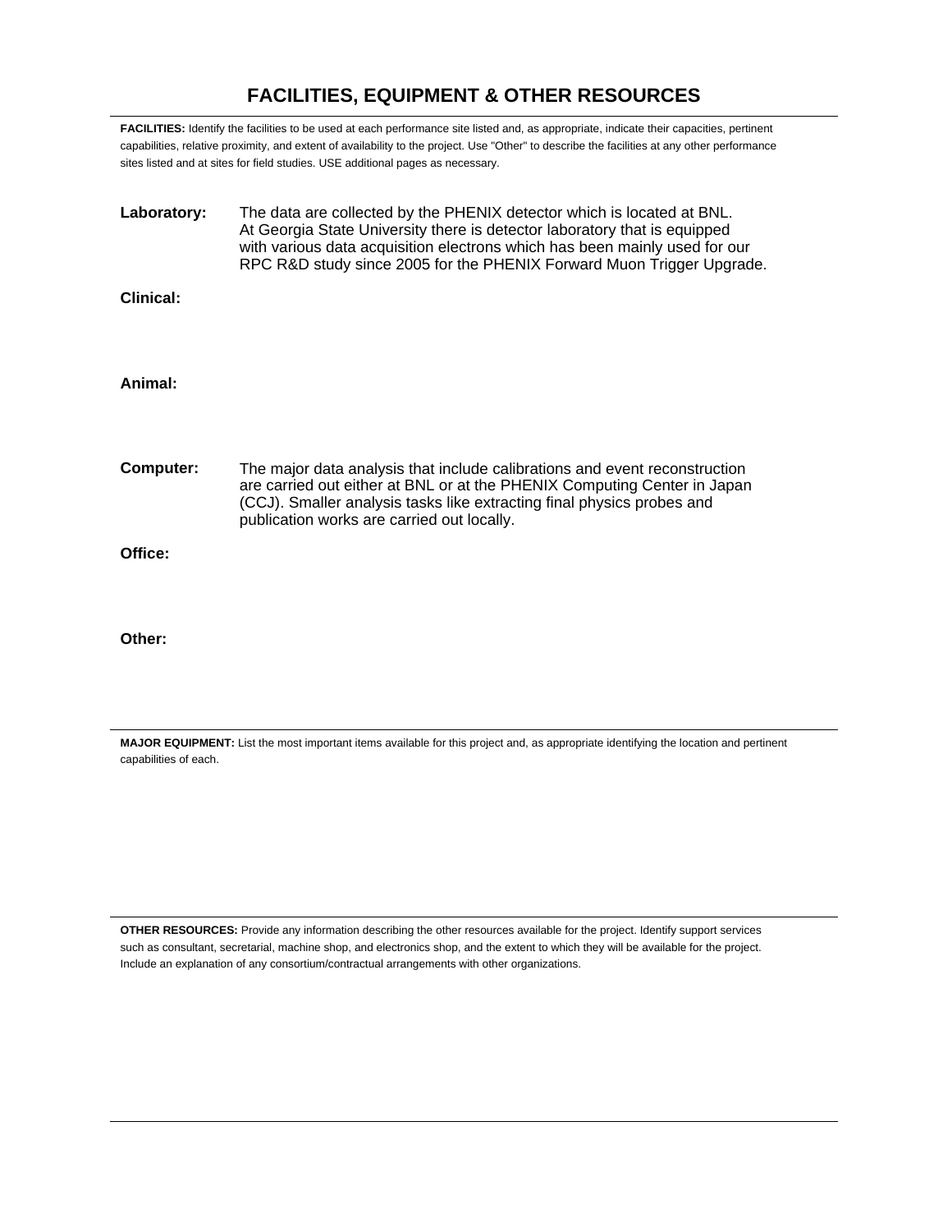# **FACILITIES, EQUIPMENT & OTHER RESOURCES**

**FACILITIES:** Identify the facilities to be used at each performance site listed and, as appropriate, indicate their capacities, pertinent capabilities, relative proximity, and extent of availability to the project. Use "Other" to describe the facilities at any other performance sites listed and at sites for field studies. USE additional pages as necessary.

| Laboratory:      | The data are collected by the PHENIX detector which is located at BNL.<br>At Georgia State University there is detector laboratory that is equipped<br>with various data acquisition electrons which has been mainly used for our<br>RPC R&D study since 2005 for the PHENIX Forward Muon Trigger Upgrade. |
|------------------|------------------------------------------------------------------------------------------------------------------------------------------------------------------------------------------------------------------------------------------------------------------------------------------------------------|
| <b>Clinical:</b> |                                                                                                                                                                                                                                                                                                            |
| Animal:          |                                                                                                                                                                                                                                                                                                            |
| Computer:        | The major data analysis that include calibrations and event reconstruction<br>are carried out either at BNL or at the PHENIX Computing Center in Japan<br>(CCJ). Smaller analysis tasks like extracting final physics probes and<br>publication works are carried out locally.                             |
| Office:          |                                                                                                                                                                                                                                                                                                            |
| Other:           |                                                                                                                                                                                                                                                                                                            |

**MAJOR EQUIPMENT:** List the most important items available for this project and, as appropriate identifying the location and pertinent capabilities of each.

**OTHER RESOURCES:** Provide any information describing the other resources available for the project. Identify support services such as consultant, secretarial, machine shop, and electronics shop, and the extent to which they will be available for the project. Include an explanation of any consortium/contractual arrangements with other organizations.